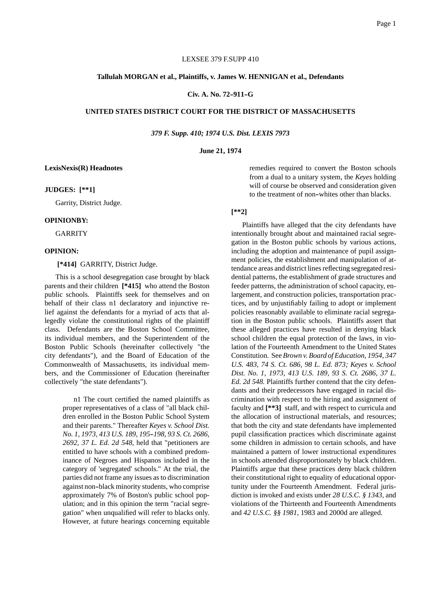## LEXSEE 379 F.SUPP 410

#### **Tallulah MORGAN et al., Plaintiffs, v. James W. HENNIGAN et al., Defendants**

# **Civ. A. No. 72--911--G**

## **UNITED STATES DISTRICT COURT FOR THE DISTRICT OF MASSACHUSETTS**

*379 F. Supp. 410; 1974 U.S. Dist. LEXIS 7973*

#### **June 21, 1974**

#### **LexisNexis(R) Headnotes**

#### **JUDGES: [\*\*1]**

Garrity, District Judge.

#### **OPINIONBY:**

GARRITY

### **OPINION:**

**[\*414]** GARRITY, District Judge.

This is a school desegregation case brought by black parents and their children **[\*415]** who attend the Boston public schools. Plaintiffs seek for themselves and on behalf of their class n1 declaratory and injunctive relief against the defendants for a myriad of acts that allegedly violate the constitutional rights of the plaintiff class. Defendants are the Boston School Committee, its individual members, and the Superintendent of the Boston Public Schools (hereinafter collectively "the city defendants"), and the Board of Education of the Commonwealth of Massachusetts, its individual members, and the Commissioner of Education (hereinafter collectively "the state defendants").

> n1 The court certified the named plaintiffs as proper representatives of a class of "all black children enrolled in the Boston Public School System and their parents." Thereafter *Keyes v. School Dist. No. 1, 1973, 413 U.S. 189, 195--198, 93 S. Ct. 2686, 2692, 37 L. Ed. 2d 548,* held that "petitioners are entitled to have schools with a combined predominance of Negroes and Hispanos included in the category of 'segregated' schools." At the trial, the parties did not frame any issues as to discrimination against non-black minority students, who comprise approximately 7% of Boston's public school population; and in this opinion the term "racial segregation" when unqualified will refer to blacks only. However, at future hearings concerning equitable

remedies required to convert the Boston schools from a dual to a unitary system, the *Keyes* holding will of course be observed and consideration given to the treatment of non-whites other than blacks.

# **[\*\*2]**

Plaintiffs have alleged that the city defendants have intentionally brought about and maintained racial segregation in the Boston public schools by various actions, including the adoption and maintenance of pupil assignment policies, the establishment and manipulation of attendance areas and district lines reflecting segregated residential patterns, the establishment of grade structures and feeder patterns, the administration of school capacity, enlargement, and construction policies, transportation practices, and by unjustifiably failing to adopt or implement policies reasonably available to eliminate racial segregation in the Boston public schools. Plaintiffs assert that these alleged practices have resulted in denying black school children the equal protection of the laws, in violation of the Fourteenth Amendment to the United States Constitution. See *Brown v. Board of Education, 1954, 347 U.S. 483, 74 S. Ct. 686, 98 L. Ed. 873; Keyes v. School Dist. No. 1, 1973, 413 U.S. 189, 93 S. Ct. 2686, 37 L. Ed. 2d 548.* Plaintiffs further contend that the city defendants and their predecessors have engaged in racial discrimination with respect to the hiring and assignment of faculty and **[\*\*3]** staff, and with respect to curricula and the allocation of instructional materials, and resources; that both the city and state defendants have implemented pupil classification practices which discriminate against some children in admission to certain schools, and have maintained a pattern of lower instructional expenditures in schools attended disproportionately by black children. Plaintiffs argue that these practices deny black children their constitutional right to equality of educational opportunity under the Fourteenth Amendment. Federal jurisdiction is invoked and exists under *28 U.S.C. § 1343,* and violations of the Thirteenth and Fourteenth Amendments and *42 U.S.C. §§ 1981,* 1983 and 2000d are alleged.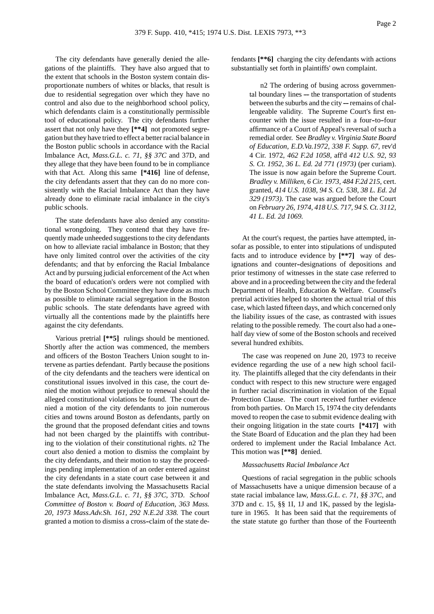The city defendants have generally denied the allegations of the plaintiffs. They have also argued that to the extent that schools in the Boston system contain disproportionate numbers of whites or blacks, that result is due to residential segregation over which they have no control and also due to the neighborhood school policy, which defendants claim is a constitutionally permissible tool of educational policy. The city defendants further assert that not only have they **[\*\*4]** not promoted segregation but they have tried to effect a better racial balance in the Boston public schools in accordance with the Racial Imbalance Act, *Mass.G.L. c. 71, §§ 37C* and 37D, and they allege that they have been found to be in compliance with that Act. Along this same **[\*416]** line of defense, the city defendants assert that they can do no more consistently with the Racial Imbalance Act than they have already done to eliminate racial imbalance in the city's public schools.

The state defendants have also denied any constitutional wrongdoing. They contend that they have frequently made unheeded suggestions to the city defendants on how to alleviate racial imbalance in Boston; that they have only limited control over the activities of the city defendants; and that by enforcing the Racial Imbalance Act and by pursuing judicial enforcement of the Act when the board of education's orders were not complied with by the Boston School Committee they have done as much as possible to eliminate racial segregation in the Boston public schools. The state defendants have agreed with virtually all the contentions made by the plaintiffs here against the city defendants.

Various pretrial **[\*\*5]** rulings should be mentioned. Shortly after the action was commenced, the members and officers of the Boston Teachers Union sought to intervene as parties defendant. Partly because the positions of the city defendants and the teachers were identical on constitutional issues involved in this case, the court denied the motion without prejudice to renewal should the alleged constitutional violations be found. The court denied a motion of the city defendants to join numerous cities and towns around Boston as defendants, partly on the ground that the proposed defendant cities and towns had not been charged by the plaintiffs with contributing to the violation of their constitutional rights. n2 The court also denied a motion to dismiss the complaint by the city defendants, and their motion to stay the proceedings pending implementation of an order entered against the city defendants in a state court case between it and the state defendants involving the Massachusetts Racial Imbalance Act, *Mass.G.L. c. 71, §§ 37C*, 37D. *School Committee of Boston v. Board of Education, 363 Mass. 20, 1973 Mass.Adv.Sh. 161, 292 N.E.2d 338.* The court granted a motion to dismiss a cross--claim of the state defendants **[\*\*6]** charging the city defendants with actions substantially set forth in plaintiffs' own complaint.

> n2 The ordering of busing across governmen $t$ al boundary lines  $-$  the transportation of students between the suburbs and the city ---- remains of challengeable validity. The Supreme Court's first encounter with the issue resulted in a four-to-four affirmance of a Court of Appeal's reversal of such a remedial order. See *Bradley v. Virginia State Board of Education, E.D.Va.1972, 338 F. Supp. 67,* rev'd 4 Cir. 1972, *462 F.2d 1058,* aff'd *412 U.S. 92, 93 S. Ct. 1952, 36 L. Ed. 2d 771 (1973)* (per curiam). The issue is now again before the Supreme Court. *Bradley v. Milliken, 6 Cir. 1973, 484 F.2d 215,* cert. granted, *414 U.S. 1038, 94 S. Ct. 538, 38 L. Ed. 2d 329 (1973).* The case was argued before the Court on *February 26, 1974, 418 U.S. 717, 94 S. Ct. 3112, 41 L. Ed. 2d 1069.*

At the court's request, the parties have attempted, insofar as possible, to enter into stipulations of undisputed facts and to introduce evidence by **[\*\*7]** way of designations and counter-designations of depositions and prior testimony of witnesses in the state case referred to above and in a proceeding between the city and the federal Department of Health, Education & Welfare. Counsel's pretrial activities helped to shorten the actual trial of this case, which lasted fifteen days, and which concerned only the liability issues of the case, as contrasted with issues relating to the possible remedy. The court also had a one- half day view of some of the Boston schools and received several hundred exhibits.

The case was reopened on June 20, 1973 to receive evidence regarding the use of a new high school facility. The plaintiffs alleged that the city defendants in their conduct with respect to this new structure were engaged in further racial discrimination in violation of the Equal Protection Clause. The court received further evidence from both parties. On March 15, 1974 the city defendants moved to reopen the case to submit evidence dealing with their ongoing litigation in the state courts **[\*417]** with the State Board of Education and the plan they had been ordered to implement under the Racial Imbalance Act. This motion was **[\*\*8]** denied.

#### *Massachusetts Racial Imbalance Act*

Questions of racial segregation in the public schools of Massachusetts have a unique dimension because of a state racial imbalance law, *Mass.G.L. c. 71, §§ 37C*, and 37D and c. 15, §§ 1I, 1J and 1K, passed by the legislature in 1965. It has been said that the requirements of the state statute go further than those of the Fourteenth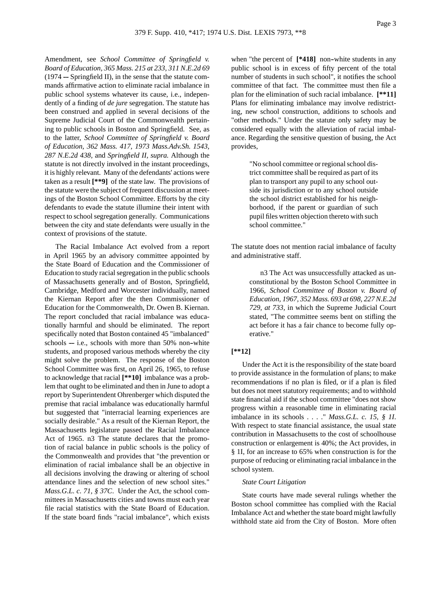Page 3

Amendment, see *School Committee of Springfield v. Board of Education, 365 Mass. 215 at 233, 311 N.E.2d 69*  $(1974 -$ Springfield II), in the sense that the statute commands affirmative action to eliminate racial imbalance in public school systems whatever its cause, i.e., independently of a finding of *de jure* segregation. The statute has been construed and applied in several decisions of the Supreme Judicial Court of the Commonwealth pertaining to public schools in Boston and Springfield. See, as to the latter, *School Committee of Springfield v. Board of Education, 362 Mass. 417, 1973 Mass.Adv.Sh. 1543, 287 N.E.2d 438,* and *Springfield II, supra.* Although the statute is not directly involved in the instant proceedings, it is highly relevant. Many of the defendants' actions were taken as a result **[\*\*9]** of the state law. The provisions of the statute were the subject of frequent discussion at meetings of the Boston School Committee. Efforts by the city defendants to evade the statute illumine their intent with respect to school segregation generally. Communications between the city and state defendants were usually in the context of provisions of the statute.

The Racial Imbalance Act evolved from a report in April 1965 by an advisory committee appointed by the State Board of Education and the Commissioner of Education to study racial segregation in the public schools of Massachusetts generally and of Boston, Springfield, Cambridge, Medford and Worcester individually, named the Kiernan Report after the then Commissioner of Education for the Commonwealth, Dr. Owen B. Kiernan. The report concluded that racial imbalance was educationally harmful and should be eliminated. The report specifically noted that Boston contained 45 "imbalanced"  $schools$  --i.e., schools with more than 50% non-white students, and proposed various methods whereby the city might solve the problem. The response of the Boston School Committee was first, on April 26, 1965, to refuse to acknowledge that racial **[\*\*10]** imbalance was a problem that ought to be eliminated and then in June to adopt a report by Superintendent Ohrenberger which disputed the premise that racial imbalance was educationally harmful but suggested that "interracial learning experiences are socially desirable." As a result of the Kiernan Report, the Massachusetts legislature passed the Racial Imbalance Act of 1965. n3 The statute declares that the promotion of racial balance in public schools is the policy of the Commonwealth and provides that "the prevention or elimination of racial imbalance shall be an objective in all decisions involving the drawing or altering of school attendance lines and the selection of new school sites." *Mass.G.L. c. 71, § 37C*. Under the Act, the school committees in Massachusetts cities and towns must each year file racial statistics with the State Board of Education. If the state board finds "racial imbalance", which exists

when "the percent of  $[*418]$  non-white students in any public school is in excess of fifty percent of the total number of students in such school", it notifies the school committee of that fact. The committee must then file a plan for the elimination of such racial imbalance. **[\*\*11]** Plans for eliminating imbalance may involve redistricting, new school construction, additions to schools and "other methods." Under the statute only safety may be considered equally with the alleviation of racial imbalance. Regarding the sensitive question of busing, the Act provides,

> "No school committee or regional school district committee shall be required as part of its plan to transport any pupil to any school outside its jurisdiction or to any school outside the school district established for his neighborhood, if the parent or guardian of such pupil files written objection thereto with such school committee."

The statute does not mention racial imbalance of faculty and administrative staff.

> n3 The Act was unsuccessfully attacked as unconstitutional by the Boston School Committee in 1966, *School Committee of Boston v. Board of Education, 1967, 352 Mass. 693 at 698, 227 N.E.2d 729, at 733,* in which the Supreme Judicial Court stated, "The committee seems bent on stifling the act before it has a fair chance to become fully operative."

## **[\*\*12]**

Under the Act it is the responsibility of the state board to provide assistance in the formulation of plans; to make recommendations if no plan is filed, or if a plan is filed but does not meet statutory requirements; and to withhold state financial aid if the school committee "does not show progress within a reasonable time in eliminating racial imbalance in its schools . . . ." *Mass.G.L. c. 15, § 1I*. With respect to state financial assistance, the usual state contribution in Massachusetts to the cost of schoolhouse construction or enlargement is 40%; the Act provides, in § 1I, for an increase to 65% when construction is for the purpose of reducing or eliminating racial imbalance in the school system.

### *State Court Litigation*

State courts have made several rulings whether the Boston school committee has complied with the Racial Imbalance Act and whether the state board might lawfully withhold state aid from the City of Boston. More often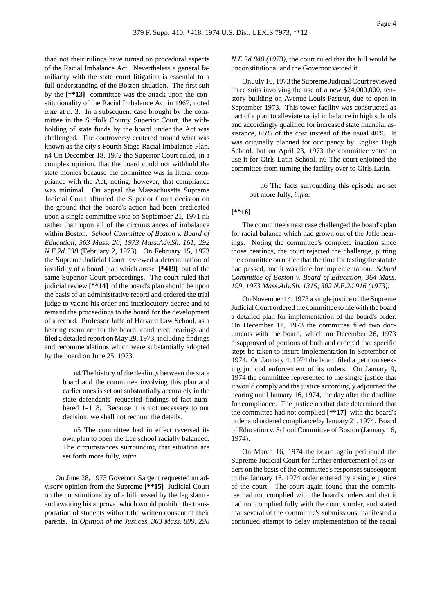Page 4

than not their rulings have turned on procedural aspects of the Racial Imbalance Act. Nevertheless a general familiarity with the state court litigation is essential to a full understanding of the Boston situation. The first suit by the **[\*\*13]** committee was the attack upon the constitutionality of the Racial Imbalance Act in 1967, noted *ante* at n. 3. In a subsequent case brought by the committee in the Suffolk County Superior Court, the withholding of state funds by the board under the Act was challenged. The controversy centered around what was known as the city's Fourth Stage Racial Imbalance Plan. n4 On December 18, 1972 the Superior Court ruled, in a complex opinion, that the board could not withhold the state monies because the committee was in literal compliance with the Act, noting, however, that compliance was minimal. On appeal the Massachusetts Supreme Judicial Court affirmed the Superior Court decision on the ground that the board's action had been predicated upon a single committee vote on September 21, 1971 n5 rather than upon all of the circumstances of imbalance within Boston. *School Committee of Boston v. Board of Education, 363 Mass. 20, 1973 Mass.Adv.Sh. 161, 292 N.E.2d 338* (February 2, 1973). On February 15, 1973 the Supreme Judicial Court reviewed a determination of invalidity of a board plan which arose **[\*419]** out of the same Superior Court proceedings. The court ruled that judicial review **[\*\*14]** of the board's plan should be upon the basis of an administrative record and ordered the trial judge to vacate his order and interlocutory decree and to remand the proceedings to the board for the development of a record. Professor Jaffe of Harvard Law School, as a hearing examiner for the board, conducted hearings and filed a detailed report on May 29, 1973, including findings and recommendations which were substantially adopted by the board on June 25, 1973.

> n4 The history of the dealings between the state board and the committee involving this plan and earlier ones is set out substantially accurately in the state defendants' requested findings of fact numbered 1-118. Because it is not necessary to our decision, we shall not recount the details.

> n5 The committee had in effect reversed its own plan to open the Lee school racially balanced. The circumstances surrounding that situation are set forth more fully, *infra*.

On June 28, 1973 Governor Sargent requested an advisory opinion from the Supreme **[\*\*15]** Judicial Court on the constitutionality of a bill passed by the legislature and awaiting his approval which would prohibit the transportation of students without the written consent of their parents. In *Opinion of the Justices, 363 Mass. 899, 298* *N.E.2d 840 (1973),* the court ruled that the bill would be unconstitutional and the Governor vetoed it.

On July 16, 1973 the Supreme Judicial Court reviewed three suits involving the use of a new \$24,000,000, ten- story building on Avenue Louis Pasteur, due to open in September 1973. This tower facility was constructed as part of a plan to alleviate racial imbalance in high schools and accordingly qualified for increased state financial assistance, 65% of the cost instead of the usual 40%. It was originally planned for occupancy by English High School, but on April 23, 1973 the committee voted to use it for Girls Latin School. n6 The court enjoined the committee from turning the facility over to Girls Latin.

> n6 The facts surrounding this episode are set out more fully, *infra*.

# **[\*\*16]**

The committee's next case challenged the board's plan for racial balance which had grown out of the Jaffe hearings. Noting the committee's complete inaction since those hearings, the court rejected the challenge, putting the committee on notice that the time for testing the statute had passed, and it was time for implementation. *School Committee of Boston v. Board of Education, 364 Mass. 199, 1973 Mass.Adv.Sh. 1315, 302 N.E.2d 916 (1973).*

On November 14, 1973 a single justice of the Supreme Judicial Court ordered the committee to file with the board a detailed plan for implementation of the board's order. On December 11, 1973 the committee filed two documents with the board, which on December 26, 1973 disapproved of portions of both and ordered that specific steps be taken to insure implementation in September of 1974. On January 4, 1974 the board filed a petition seeking judicial enforcement of its orders. On January 9, 1974 the committee represented to the single justice that it would comply and the justice accordingly adjourned the hearing until January 16, 1974, the day after the deadline for compliance. The justice on that date determined that the committee had not complied **[\*\*17]** with the board's order and ordered compliance by January 21, 1974. Board of Education v. School Committee of Boston (January 16, 1974).

On March 16, 1974 the board again petitioned the Supreme Judicial Court for further enforcement of its orders on the basis of the committee's responses subsequent to the January 16, 1974 order entered by a single justice of the court. The court again found that the committee had not complied with the board's orders and that it had not complied fully with the court's order, and stated that several of the committee's submissions manifested a continued attempt to delay implementation of the racial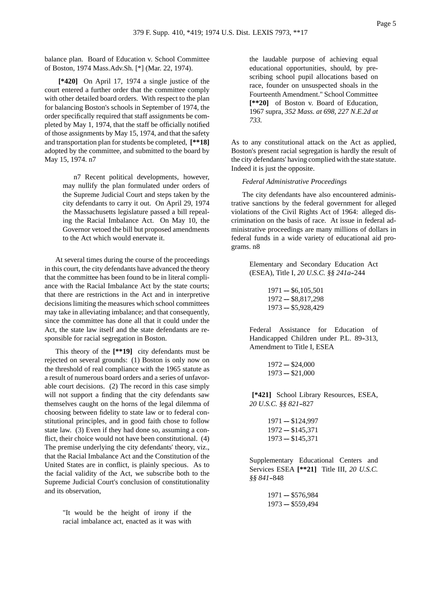balance plan. Board of Education v. School Committee of Boston, 1974 Mass.Adv.Sh. [\*] (Mar. 22, 1974).

**[\*420]** On April 17, 1974 a single justice of the court entered a further order that the committee comply with other detailed board orders. With respect to the plan for balancing Boston's schools in September of 1974, the order specifically required that staff assignments be completed by May 1, 1974, that the staff be officially notified of those assignments by May 15, 1974, and that the safety and transportation plan for students be completed, **[\*\*18]** adopted by the committee, and submitted to the board by May 15, 1974. n7

> n7 Recent political developments, however, may nullify the plan formulated under orders of the Supreme Judicial Court and steps taken by the city defendants to carry it out. On April 29, 1974 the Massachusetts legislature passed a bill repealing the Racial Imbalance Act. On May 10, the Governor vetoed the bill but proposed amendments to the Act which would enervate it.

At several times during the course of the proceedings in this court, the city defendants have advanced the theory that the committee has been found to be in literal compliance with the Racial Imbalance Act by the state courts; that there are restrictions in the Act and in interpretive decisions limiting the measures which school committees may take in alleviating imbalance; and that consequently, since the committee has done all that it could under the Act, the state law itself and the state defendants are responsible for racial segregation in Boston.

This theory of the **[\*\*19]** city defendants must be rejected on several grounds: (1) Boston is only now on the threshold of real compliance with the 1965 statute as a result of numerous board orders and a series of unfavorable court decisions. (2) The record in this case simply will not support a finding that the city defendants saw themselves caught on the horns of the legal dilemma of choosing between fidelity to state law or to federal constitutional principles, and in good faith chose to follow state law. (3) Even if they had done so, assuming a conflict, their choice would not have been constitutional. (4) The premise underlying the city defendants' theory, viz., that the Racial Imbalance Act and the Constitution of the United States are in conflict, is plainly specious. As to the facial validity of the Act, we subscribe both to the Supreme Judicial Court's conclusion of constitutionality and its observation,

> "It would be the height of irony if the racial imbalance act, enacted as it was with

the laudable purpose of achieving equal educational opportunities, should, by prescribing school pupil allocations based on race, founder on unsuspected shoals in the Fourteenth Amendment." School Committee **[\*\*20]** of Boston v. Board of Education, 1967 supra, *352 Mass. at 698, 227 N.E.2d at 733.*

As to any constitutional attack on the Act as applied, Boston's present racial segregation is hardly the result of the city defendants' having complied with the state statute. Indeed it is just the opposite.

#### *Federal Administrative Proceedings*

The city defendants have also encountered administrative sanctions by the federal government for alleged violations of the Civil Rights Act of 1964: alleged discrimination on the basis of race. At issue in federal administrative proceedings are many millions of dollars in federal funds in a wide variety of educational aid programs. n8

> Elementary and Secondary Education Act (ESEA), Title I, *20 U.S.C. §§ 241a*--244

> > $1971 - $6,105,501$  $1972 - $8,817,298$  $1973 - $5,928,429$

Federal Assistance for Education of Handicapped Children under P.L. 89-313, Amendment to Title I, ESEA

$$
1972 - \$24,000
$$
  

$$
1973 - \$21,000
$$

**[\*421]** School Library Resources, ESEA, 20 U.S.C. §§ 821-827

```
1971 - $124,9971972 - $145,3711973 - $145,371
```
Supplementary Educational Centers and Services ESEA **[\*\*21]** Title III, *20 U.S.C. §§ 841*--848

> $1971 - $576,984$  $1973 - $559,494$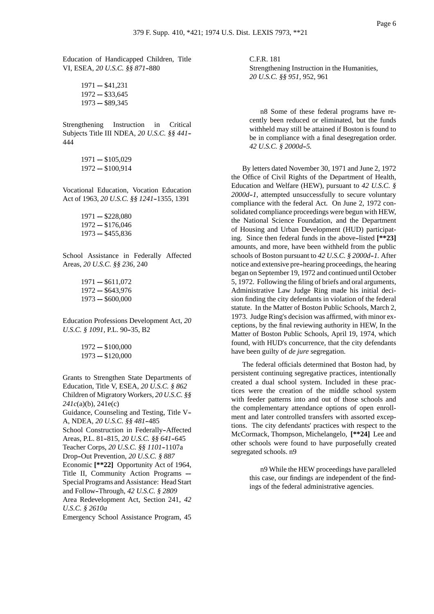Education of Handicapped Children, Title VI, ESEA, 20 U.S.C. §§ 871-880

> $1971 - $41,231$  $1972 - $33,645$  $1973 - $89,345$

Strengthening Instruction in Critical Subjects Title III NDEA, *20 U.S.C. §§ 441*-- 444

> $1971 - $105,029$  $1972 - $100,914$

Vocational Education, Vocation Education Act of 1963, *20 U.S.C. §§ 1241*--1355, 1391

> $1971 - $228,080$  $1972 - $176,046$  $1973 - $455,836$

School Assistance in Federally Affected Areas, *20 U.S.C. §§ 236,* 240

> $1971 - $611,072$  $1972 - $643,976$  $1973 - $600,000$

Education Professions Development Act, *20 U.S.C. § 1091*, P.L. 90-35, B2

> $1972 - $100,000$  $1973 - $120,000$

Grants to Strengthen State Departments of Education, Title V, ESEA, *20 U.S.C. § 862* Children of Migratory Workers, *20 U.S.C. §§ 241c*(a)(b), 241e(c)

Guidance, Counseling and Testing, Title V-- A, NDEA, *20 U.S.C. §§ 481*--485

School Construction in Federally-Affected Areas, P.L. 81-815, 20 U.S.C. §§ 641-645 Teacher Corps, 20 U.S.C. §§ 1101-1107a

Drop-Out Prevention, 20 U.S.C. § 887

Economic **[\*\*22]** Opportunity Act of 1964, Title II, Community Action Programs -Special Programs and Assistance: Head Start and Follow--Through, *42 U.S.C. § 2809*

Area Redevelopment Act, Section 241, *42 U.S.C. § 2610a*

Emergency School Assistance Program, 45

C.F.R. 181 Strengthening Instruction in the Humanities, *20 U.S.C. §§ 951,* 952, 961

n8 Some of these federal programs have recently been reduced or eliminated, but the funds withheld may still be attained if Boston is found to be in compliance with a final desegregation order. *42 U.S.C. § 2000d--5.*

By letters dated November 30, 1971 and June 2, 1972 the Office of Civil Rights of the Department of Health, Education and Welfare (HEW), pursuant to *42 U.S.C. § 2000d--1,* attempted unsuccessfully to secure voluntary compliance with the federal Act. On June 2, 1972 consolidated compliance proceedings were begun with HEW, the National Science Foundation, and the Department of Housing and Urban Development (HUD) participating. Since then federal funds in the above-listed [\*\*23] amounts, and more, have been withheld from the public schools of Boston pursuant to *42 U.S.C. § 2000d--1.* After notice and extensive pre--hearing proceedings, the hearing began on September 19, 1972 and continued until October 5, 1972. Following the filing of briefs and oral arguments, Administrative Law Judge Ring made his initial decision finding the city defendants in violation of the federal statute. In the Matter of Boston Public Schools, March 2, 1973. Judge Ring's decision was affirmed, with minor exceptions, by the final reviewing authority in HEW, In the Matter of Boston Public Schools, April 19, 1974, which found, with HUD's concurrence, that the city defendants have been guilty of *de jure* segregation.

The federal officials determined that Boston had, by persistent continuing segregative practices, intentionally created a dual school system. Included in these practices were the creation of the middle school system with feeder patterns into and out of those schools and the complementary attendance options of open enrollment and later controlled transfers with assorted exceptions. The city defendants' practices with respect to the McCormack, Thompson, Michelangelo, **[\*\*24]** Lee and other schools were found to have purposefully created segregated schools. n9

> n9 While the HEW proceedings have paralleled this case, our findings are independent of the findings of the federal administrative agencies.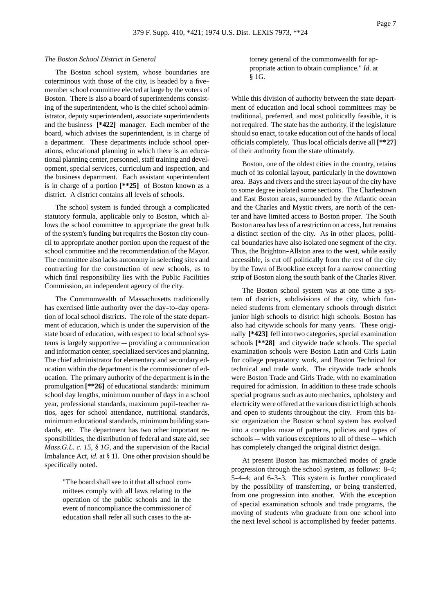### *The Boston School District in General*

The Boston school system, whose boundaries are coterminous with those of the city, is headed by a five- member school committee elected at large by the voters of Boston. There is also a board of superintendents consisting of the superintendent, who is the chief school administrator, deputy superintendent, associate superintendents and the business **[\*422]** manager. Each member of the board, which advises the superintendent, is in charge of a department. These departments include school operations, educational planning in which there is an educational planning center, personnel, staff training and development, special services, curriculum and inspection, and the business department. Each assistant superintendent is in charge of a portion **[\*\*25]** of Boston known as a district. A district contains all levels of schools.

The school system is funded through a complicated statutory formula, applicable only to Boston, which allows the school committee to appropriate the great bulk of the system's funding but requires the Boston city council to appropriate another portion upon the request of the school committee and the recommendation of the Mayor. The committee also lacks autonomy in selecting sites and contracting for the construction of new schools, as to which final responsibility lies with the Public Facilities Commission, an independent agency of the city.

The Commonwealth of Massachusetts traditionally has exercised little authority over the day-to-day operation of local school districts. The role of the state department of education, which is under the supervision of the state board of education, with respect to local school sys $tems$  is largely supportive  $-$  providing a communication and information center, specialized services and planning. The chief administrator for elementary and secondary education within the department is the commissioner of education. The primary authority of the department is in the promulgation **[\*\*26]** of educational standards: minimum school day lengths, minimum number of days in a school year, professional standards, maximum pupil-teacher ratios, ages for school attendance, nutritional standards, minimum educational standards, minimum building standards, etc. The department has two other important responsibilities, the distribution of federal and state aid, see *Mass.G.L. c. 15, § 1G, and the supervision of the Racial* Imbalance Act, *id.* at § 1I. One other provision should be specifically noted.

> "The board shall see to it that all school committees comply with all laws relating to the operation of the public schools and in the event of noncompliance the commissioner of education shall refer all such cases to the at-

torney general of the commonwealth for appropriate action to obtain compliance." *Id.* at § 1G.

While this division of authority between the state department of education and local school committees may be traditional, preferred, and most politically feasible, it is not required. The state has the authority, if the legislature should so enact, to take education out of the hands of local officials completely. Thus local officials derive all **[\*\*27]** of their authority from the state ultimately.

Boston, one of the oldest cities in the country, retains much of its colonial layout, particularly in the downtown area. Bays and rivers and the street layout of the city have to some degree isolated some sections. The Charlestown and East Boston areas, surrounded by the Atlantic ocean and the Charles and Mystic rivers, are north of the center and have limited access to Boston proper. The South Boston area has less of a restriction on access, but remains a distinct section of the city. As in other places, political boundaries have also isolated one segment of the city. Thus, the Brighton-Allston area to the west, while easily accessible, is cut off politically from the rest of the city by the Town of Brookline except for a narrow connecting strip of Boston along the south bank of the Charles River.

The Boston school system was at one time a system of districts, subdivisions of the city, which funneled students from elementary schools through district junior high schools to district high schools. Boston has also had citywide schools for many years. These originally **[\*423]** fell into two categories, special examination schools **[\*\*28]** and citywide trade schools. The special examination schools were Boston Latin and Girls Latin for college preparatory work, and Boston Technical for technical and trade work. The citywide trade schools were Boston Trade and Girls Trade, with no examination required for admission. In addition to these trade schools special programs such as auto mechanics, upholstery and electricity were offered at the various district high schools and open to students throughout the city. From this basic organization the Boston school system has evolved into a complex maze of patterns, policies and types of schools ---- with various exceptions to all of these ---- which has completely changed the original district design.

At present Boston has mismatched modes of grade progression through the school system, as follows: 8-4; 5-4-4; and 6-3-3. This system is further complicated by the possibility of transferring, or being transferred, from one progression into another. With the exception of special examination schools and trade programs, the moving of students who graduate from one school into the next level school is accomplished by feeder patterns.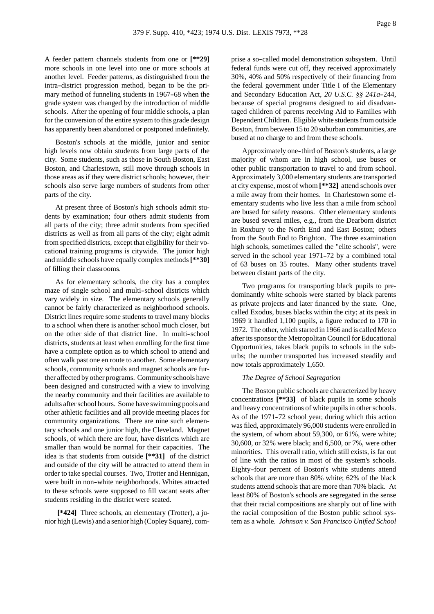A feeder pattern channels students from one or **[\*\*29]** more schools in one level into one or more schools at another level. Feeder patterns, as distinguished from the intra-district progression method, began to be the primary method of funneling students in 1967–68 when the grade system was changed by the introduction of middle schools. After the opening of four middle schools, a plan for the conversion of the entire system to this grade design has apparently been abandoned or postponed indefinitely.

Boston's schools at the middle, junior and senior high levels now obtain students from large parts of the city. Some students, such as those in South Boston, East Boston, and Charlestown, still move through schools in those areas as if they were district schools; however, their schools also serve large numbers of students from other parts of the city.

At present three of Boston's high schools admit students by examination; four others admit students from all parts of the city; three admit students from specified districts as well as from all parts of the city; eight admit from specified districts, except that eligibility for their vocational training programs is citywide. The junior high and middle schools have equally complex methods**[\*\*30]** of filling their classrooms.

As for elementary schools, the city has a complex maze of single school and multi-school districts which vary widely in size. The elementary schools generally cannot be fairly characterized as neighborhood schools. District lines require some students to travel many blocks to a school when there is another school much closer, but on the other side of that district line. In multi--school districts, students at least when enrolling for the first time have a complete option as to which school to attend and often walk past one en route to another. Some elementary schools, community schools and magnet schools are further affected by other programs. Community schools have been designed and constructed with a view to involving the nearby community and their facilities are available to adults after school hours. Some have swimming pools and other athletic facilities and all provide meeting places for community organizations. There are nine such elementary schools and one junior high, the Cleveland. Magnet schools, of which there are four, have districts which are smaller than would be normal for their capacities. The idea is that students from outside **[\*\*31]** of the district and outside of the city will be attracted to attend them in order to take special courses. Two, Trotter and Hennigan, were built in non-white neighborhoods. Whites attracted to these schools were supposed to fill vacant seats after students residing in the district were seated.

**[\*424]** Three schools, an elementary (Trotter), a junior high (Lewis) and a senior high (Copley Square), comprise a so--called model demonstration subsystem. Until federal funds were cut off, they received approximately 30%, 40% and 50% respectively of their financing from the federal government under Title I of the Elementary and Secondary Education Act, 20 U.S.C. §§ 241a-244, because of special programs designed to aid disadvantaged children of parents receiving Aid to Families with Dependent Children. Eligible white students from outside Boston, from between 15 to 20 suburban communities, are bused at no charge to and from these schools.

Approximately one-third of Boston's students, a large majority of whom are in high school, use buses or other public transportation to travel to and from school. Approximately 3,000 elementary students are transported at city expense, most of whom **[\*\*32]** attend schools over a mile away from their homes. In Charlestown some elementary students who live less than a mile from school are bused for safety reasons. Other elementary students are bused several miles, e.g., from the Dearborn district in Roxbury to the North End and East Boston; others from the South End to Brighton. The three examination high schools, sometimes called the "elite schools", were served in the school year 1971–72 by a combined total of 63 buses on 35 routes. Many other students travel between distant parts of the city.

Two programs for transporting black pupils to predominantly white schools were started by black parents as private projects and later financed by the state. One, called Exodus, buses blacks within the city; at its peak in 1969 it handled 1,100 pupils, a figure reduced to 170 in 1972. The other, which started in 1966 and is called Metco after its sponsor the Metropolitan Council for Educational Opportunities, takes black pupils to schools in the suburbs; the number transported has increased steadily and now totals approximately 1,650.

#### *The Degree of School Segregation*

The Boston public schools are characterized by heavy concentrations **[\*\*33]** of black pupils in some schools and heavy concentrations of white pupils in other schools. As of the 1971-72 school year, during which this action was filed, approximately 96,000 students were enrolled in the system, of whom about 59,300, or 61%, were white; 30,600, or 32% were black; and 6,500, or 7%, were other minorities. This overall ratio, which still exists, is far out of line with the ratios in most of the system's schools. Eighty--four percent of Boston's white students attend schools that are more than 80% white; 62% of the black students attend schools that are more than 70% black. At least 80% of Boston's schools are segregated in the sense that their racial compositions are sharply out of line with the racial composition of the Boston public school system as a whole. *Johnson v. San Francisco Unified School*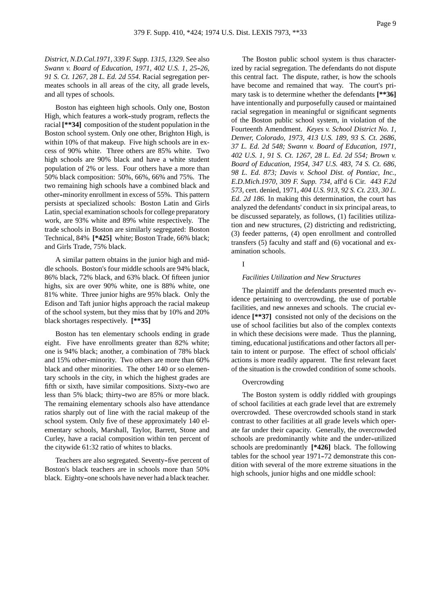*District, N.D.Cal.1971, 339 F. Supp. 1315, 1329.* See also *Swann v. Board of Education, 1971, 402 U.S. 1, 25--26, 91 S. Ct. 1267, 28 L. Ed. 2d 554.* Racial segregation permeates schools in all areas of the city, all grade levels, and all types of schools.

Boston has eighteen high schools. Only one, Boston High, which features a work-study program, reflects the racial **[\*\*34]** composition of the student population in the Boston school system. Only one other, Brighton High, is within 10% of that makeup. Five high schools are in excess of 90% white. Three others are 85% white. Two high schools are 90% black and have a white student population of 2% or less. Four others have a more than 50% black composition: 50%, 66%, 66% and 75%. The two remaining high schools have a combined black and other--minority enrollment in excess of 55%. This pattern persists at specialized schools: Boston Latin and Girls Latin, special examination schools for college preparatory work, are 93% white and 89% white respectively. The trade schools in Boston are similarly segregated: Boston Technical, 84% **[\*425]** white; Boston Trade, 66% black; and Girls Trade, 75% black.

A similar pattern obtains in the junior high and middle schools. Boston's four middle schools are 94% black, 86% black, 72% black, and 63% black. Of fifteen junior highs, six are over 90% white, one is 88% white, one 81% white. Three junior highs are 95% black. Only the Edison and Taft junior highs approach the racial makeup of the school system, but they miss that by 10% and 20% black shortages respectively. **[\*\*35]**

Boston has ten elementary schools ending in grade eight. Five have enrollments greater than 82% white; one is 94% black; another, a combination of 78% black and 15% other--minority. Two others are more than 60% black and other minorities. The other 140 or so elementary schools in the city, in which the highest grades are fifth or sixth, have similar compositions. Sixty-two are less than 5% black; thirty--two are 85% or more black. The remaining elementary schools also have attendance ratios sharply out of line with the racial makeup of the school system. Only five of these approximately 140 elementary schools, Marshall, Taylor, Barrett, Stone and Curley, have a racial composition within ten percent of the citywide 61:32 ratio of whites to blacks.

Teachers are also segregated. Seventy-five percent of Boston's black teachers are in schools more than 50% black. Eighty-one schools have never had a black teacher.

The Boston public school system is thus characterized by racial segregation. The defendants do not dispute this central fact. The dispute, rather, is how the schools have become and remained that way. The court's primary task is to determine whether the defendants **[\*\*36]** have intentionally and purposefully caused or maintained racial segregation in meaningful or significant segments of the Boston public school system, in violation of the Fourteenth Amendment. *Keyes v. School District No. 1, Denver, Colorado, 1973, 413 U.S. 189, 93 S. Ct. 2686, 37 L. Ed. 2d 548; Swann v. Board of Education, 1971, 402 U.S. 1, 91 S. Ct. 1267, 28 L. Ed. 2d 554; Brown v. Board of Education, 1954, 347 U.S. 483, 74 S. Ct. 686, 98 L. Ed. 873; Davis v. School Dist. of Pontiac, Inc., E.D.Mich.1970, 309 F. Supp. 734,* aff'd 6 Cir. *443 F.2d 573,* cert. denied, 1971, *404 U.S. 913, 92 S. Ct. 233, 30 L. Ed. 2d 186.* In making this determination, the court has analyzed the defendants' conduct in six principal areas, to be discussed separately, as follows, (1) facilities utilization and new structures, (2) districting and redistricting, (3) feeder patterns, (4) open enrollment and controlled transfers (5) faculty and staff and (6) vocational and examination schools.

### I

#### *Facilities Utilization and New Structures*

The plaintiff and the defendants presented much evidence pertaining to overcrowding, the use of portable facilities, and new annexes and schools. The crucial evidence **[\*\*37]** consisted not only of the decisions on the use of school facilities but also of the complex contexts in which these decisions were made. Thus the planning, timing, educational justifications and other factors all pertain to intent or purpose. The effect of school officials' actions is more readily apparent. The first relevant facet of the situation is the crowded condition of some schools.

#### **Overcrowding**

The Boston system is oddly riddled with groupings of school facilities at each grade level that are extremely overcrowded. These overcrowded schools stand in stark contrast to other facilities at all grade levels which operate far under their capacity. Generally, the overcrowded schools are predominantly white and the under--utilized schools are predominantly **[\*426]** black. The following tables for the school year 1971-72 demonstrate this condition with several of the more extreme situations in the high schools, junior highs and one middle school: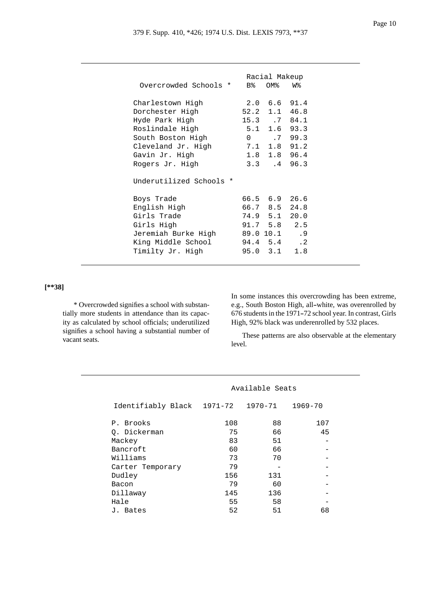|                            |                     | Racial Makeup  |           |
|----------------------------|---------------------|----------------|-----------|
| Overcrowded Schools *      | $B_{\rm s}^{\rm s}$ | OM%            | W%        |
| Charlestown High           |                     | $2.0\quad 6.6$ | 91.4      |
| Dorchester High            | 52.2                | 1.1            | 46.8      |
| Hyde Park High             |                     | $15.3 \t .7$   | 84.1      |
| Roslindale High            | 5.1                 | 1.6            | 93.3      |
| South Boston High          | $\Omega$            | $\cdot$ 7      | 99.3      |
| Cleveland Jr. High         | 7.1                 | 1.8            | 91.2      |
| Gavin Jr. High             | 1.8                 | 1.8            | 96.4      |
| Rogers Jr. High            |                     | $3.3 \t .4$    | 96.3      |
| Underutilized Schools<br>* |                     |                |           |
| Boys Trade                 |                     | 66.5 6.9       | 26.6      |
| English High               |                     | 66.7 8.5       | 24.8      |
| Girls Trade                |                     | 74.9 5.1       | 20.0      |
| Girls High                 |                     | 91.7 5.8       | 2.5       |
| Jeremiah Burke High        |                     | 89.0 10.1      | .9        |
| King Middle School         |                     | 94.4 5.4       | $\cdot$ 2 |
| Timilty Jr. High           | 95.0                | 3.1            | 1.8       |

# **[\*\*38]**

\* Overcrowded signifies a school with substantially more students in attendance than its capacity as calculated by school officials; underutilized signifies a school having a substantial number of vacant seats.

In some instances this overcrowding has been extreme, e.g., South Boston High, all-white, was overenrolled by 676 students in the 1971-72 school year. In contrast, Girls High, 92% black was underenrolled by 532 places.

These patterns are also observable at the elementary level.

|                    | Available Seats |         |         |  |  |
|--------------------|-----------------|---------|---------|--|--|
| Identifiably Black | 1971-72         | 1970-71 | 1969-70 |  |  |
| P. Brooks          | 108             | 88      | 107     |  |  |
| 0. Dickerman       | 75              | 66      | 45      |  |  |
| Mackey             | 83              | 51      |         |  |  |
| Bancroft           | 60              | 66      |         |  |  |
| Williams           | 73              | 70      |         |  |  |
| Carter Temporary   | 79              |         |         |  |  |
| Dudley             | 156             | 131     |         |  |  |
| Bacon              | 79              | 60      |         |  |  |
| Dillaway           | 145             | 136     |         |  |  |
| Hale               | 55              | 58      |         |  |  |
| J. Bates           | 52              | 51      | 68      |  |  |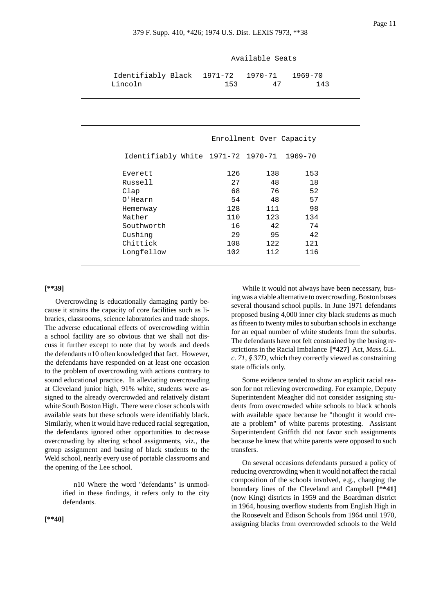Everett 126 138 153 Russell 27 48 18 Clap 68 76 52 0'Hearn 54 48 57 Hemenway 128 111 98 Mather 110 123 134 Southworth 16 42 74 Cushing 29 95 42 Chittick 108 122 121 Longfellow 102 112 116

|                                                  | Available Seats |                          |     |  |  |  |
|--------------------------------------------------|-----------------|--------------------------|-----|--|--|--|
| entifiably Black 1971–72 1970–71 1969–70<br>coln | 153             | 47                       | 143 |  |  |  |
|                                                  |                 |                          |     |  |  |  |
|                                                  |                 | Enrollment Over Capacity |     |  |  |  |
| Identifiably White 1971-72 1970-71 1969-70       |                 |                          |     |  |  |  |

|--|

Overcrowding is educationally damaging partly because it strains the capacity of core facilities such as libraries, classrooms, science laboratories and trade shops. The adverse educational effects of overcrowding within a school facility are so obvious that we shall not discuss it further except to note that by words and deeds the defendants n10 often knowledged that fact. However, the defendants have responded on at least one occasion to the problem of overcrowding with actions contrary to sound educational practice. In alleviating overcrowding at Cleveland junior high, 91% white, students were assigned to the already overcrowded and relatively distant white South Boston High. There were closer schools with available seats but these schools were identifiably black. Similarly, when it would have reduced racial segregation, the defendants ignored other opportunities to decrease overcrowding by altering school assignments, viz., the group assignment and busing of black students to the Weld school, nearly every use of portable classrooms and the opening of the Lee school.

Identif Lincoln

n10 Where the word "defendants" is unmodified in these findings, it refers only to the city defendants.

**[\*\*40]**

While it would not always have been necessary, busing was a viable alternative to overcrowding. Boston buses several thousand school pupils. In June 1971 defendants proposed busing 4,000 inner city black students as much as fifteen to twenty miles to suburban schools in exchange for an equal number of white students from the suburbs. The defendants have not felt constrained by the busing restrictions in the Racial Imbalance **[\*427]** Act, *Mass.G.L. c. 71, § 37D*, which they correctly viewed as constraining state officials only.

Some evidence tended to show an explicit racial reason for not relieving overcrowding. For example, Deputy Superintendent Meagher did not consider assigning students from overcrowded white schools to black schools with available space because he "thought it would create a problem" of white parents protesting. Assistant Superintendent Griffith did not favor such assignments because he knew that white parents were opposed to such transfers.

On several occasions defendants pursued a policy of reducing overcrowding when it would not affect the racial composition of the schools involved, e.g., changing the boundary lines of the Cleveland and Campbell **[\*\*41]** (now King) districts in 1959 and the Boardman district in 1964, housing overflow students from English High in the Roosevelt and Edison Schools from 1964 until 1970, assigning blacks from overcrowded schools to the Weld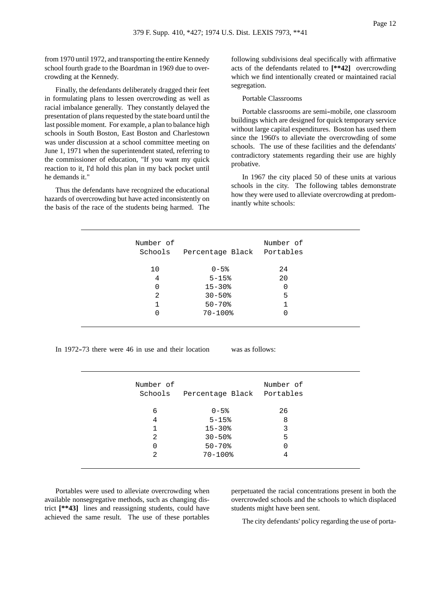from 1970 until 1972, and transporting the entire Kennedy school fourth grade to the Boardman in 1969 due to overcrowding at the Kennedy.

Finally, the defendants deliberately dragged their feet in formulating plans to lessen overcrowding as well as racial imbalance generally. They constantly delayed the presentation of plans requested by the state board until the last possible moment. For example, a plan to balance high schools in South Boston, East Boston and Charlestown was under discussion at a school committee meeting on June 1, 1971 when the superintendent stated, referring to the commissioner of education, "If you want my quick reaction to it, I'd hold this plan in my back pocket until he demands it."

Thus the defendants have recognized the educational hazards of overcrowding but have acted inconsistently on the basis of the race of the students being harmed. The following subdivisions deal specifically with affirmative acts of the defendants related to **[\*\*42]** overcrowding which we find intentionally created or maintained racial segregation.

Portable Classrooms

Portable classrooms are semi--mobile, one classroom buildings which are designed for quick temporary service without large capital expenditures. Boston has used them since the 1960's to alleviate the overcrowding of some schools. The use of these facilities and the defendants' contradictory statements regarding their use are highly probative.

In 1967 the city placed 50 of these units at various schools in the city. The following tables demonstrate how they were used to alleviate overcrowding at predominantly white schools:

| Number of<br>Schools | Percentage Black | Number of<br>Portables |
|----------------------|------------------|------------------------|
| 10                   | $0 - 5$ %        | 24                     |
| 4                    | $5 - 15$         | 20                     |
| $\Omega$             | $15 - 30$        | 0                      |
| 2                    | $30 - 50$        | 5                      |
|                      | $50 - 70$        |                        |
|                      | $70 - 100$ %     | 0                      |
|                      |                  |                        |

In 1972-73 there were 46 in use and their location was as follows:

| Number of<br>Schools | Percentage Black Portables | Number of |  |
|----------------------|----------------------------|-----------|--|
| 6                    | $0 - 5$ %                  | 26        |  |
| 4                    | $5 - 15$                   | 8         |  |
| 1                    | $15 - 30$                  | 3         |  |
| 2                    | $30 - 50$                  | 5         |  |
| 0                    | $50 - 70$                  | 0         |  |
| 2                    | $70 - 100$ %               | 4         |  |
|                      |                            |           |  |

Portables were used to alleviate overcrowding when available nonsegregative methods, such as changing district **[\*\*43]** lines and reassigning students, could have achieved the same result. The use of these portables perpetuated the racial concentrations present in both the overcrowded schools and the schools to which displaced students might have been sent.

The city defendants' policy regarding the use of porta-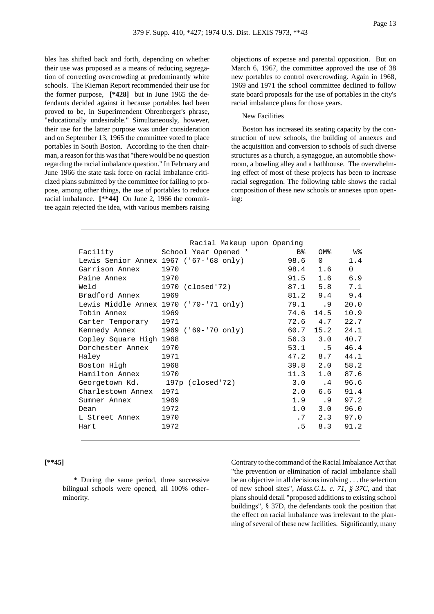bles has shifted back and forth, depending on whether their use was proposed as a means of reducing segregation of correcting overcrowding at predominantly white schools. The Kiernan Report recommended their use for the former purpose, **[\*428]** but in June 1965 the defendants decided against it because portables had been proved to be, in Superintendent Ohrenberger's phrase, "educationally undesirable." Simultaneously, however, their use for the latter purpose was under consideration and on September 13, 1965 the committee voted to place portables in South Boston. According to the then chairman, a reason for this was that "there would be no question regarding the racial imbalance question." In February and June 1966 the state task force on racial imbalance criticized plans submitted by the committee for failing to propose, among other things, the use of portables to reduce racial imbalance. **[\*\*44]** On June 2, 1966 the committee again rejected the idea, with various members raising objections of expense and parental opposition. But on March 6, 1967, the committee approved the use of 38 new portables to control overcrowding. Again in 1968, 1969 and 1971 the school committee declined to follow state board proposals for the use of portables in the city's racial imbalance plans for those years.

## New Facilities

Boston has increased its seating capacity by the construction of new schools, the building of annexes and the acquisition and conversion to schools of such diverse structures as a church, a synagogue, an automobile showroom, a bowling alley and a bathhouse. The overwhelming effect of most of these projects has been to increase racial segregation. The following table shows the racial composition of these new schools or annexes upon opening:

|                                 | Racial Makeup upon Opening             |                |                   |          |
|---------------------------------|----------------------------------------|----------------|-------------------|----------|
| Facility Theory                 | School Year Opened *                   | B <sup>o</sup> | OM%               | w%       |
|                                 | Lewis Senior Annex 1967 ('67-'68 only) | 98.6           | $0 \qquad \qquad$ | 1.4      |
| Garrison Annex                  | 1970                                   | 98.4           | 1.6               | $\Omega$ |
| Paine Annex                     | 1970                                   | 91.5           | 1.6               | 6.9      |
| Weld                            | 1970 (closed'72)                       |                | 87.1 5.8          | 7.1      |
| Bradford Annex                  | 1969                                   |                | 81.2 9.4          | 9.4      |
|                                 | Lewis Middle Annex 1970 ('70-'71 only) |                | 79.1.9            | 20.0     |
| Tobin Annex                     | 1969                                   | 74.6           | 14.5              | 10.9     |
| Carter Temporary                | 1971                                   |                | 72.6 4.7          | 22.7     |
| Kennedy Annex                   | 1969 ('69-'70 only)                    | 60.7           | 15.2              | 24.1     |
| Copley Square High 1968         |                                        |                | 56.3 3.0          | 40.7     |
| Dorchester Annex                | 1970                                   |                | 53.1 .5           | 46.4     |
| Haley                           | 1971                                   |                | 47.2 8.7          | 44.1     |
| Boston High                     | 1968                                   |                | 39.8 2.0          | 58.2     |
| Hamilton Annex                  | 1970                                   | 11.3           | 1.0               | 87.6     |
| Georgetown Kd. 197p (closed'72) |                                        |                | $3.0 \t .4$       | 96.6     |
| Charlestown Annex               | 1971                                   | 2.0            | 6.6               | 91.4     |
| Sumner Annex                    | 1969                                   |                | $1.9$ .9          | 97.2     |
| Dean                            | 1972                                   |                | 1.0 3.0           | 96.0     |
| L Street Annex                  | 1970                                   | .7             | 2.3               | 97.0     |
| Hart                            | 1972                                   | .5             | 8.3               | 91.2     |
|                                 |                                        |                |                   |          |

# **[\*\*45]**

\* During the same period, three successive bilingual schools were opened, all 100% other- minority.

Contrary to the command of the Racial Imbalance Act that "the prevention or elimination of racial imbalance shall be an objective in all decisions involving . . . the selection of new school sites", *Mass.G.L. c. 71, § 37C*, and that plans should detail "proposed additions to existing school buildings", § 37D, the defendants took the position that the effect on racial imbalance was irrelevant to the planning of several of these new facilities. Significantly, many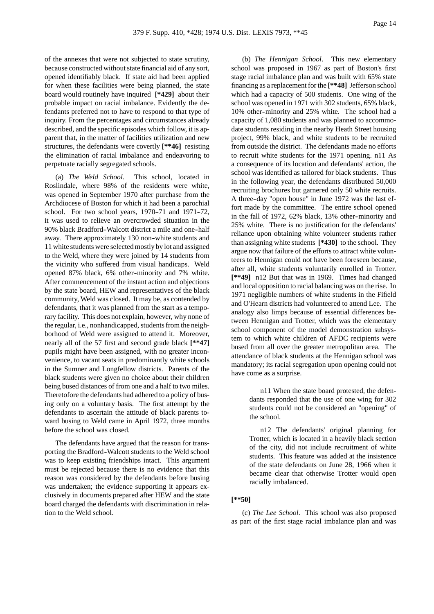Page 14

of the annexes that were not subjected to state scrutiny, because constructed without state financial aid of any sort, opened identifiably black. If state aid had been applied for when these facilities were being planned, the state board would routinely have inquired **[\*429]** about their probable impact on racial imbalance. Evidently the defendants preferred not to have to respond to that type of inquiry. From the percentages and circumstances already described, and the specific episodes which follow, it is apparent that, in the matter of facilities utilization and new structures, the defendants were covertly **[\*\*46]** resisting the elimination of racial imbalance and endeavoring to perpetuate racially segregated schools.

(a) *The Weld School*. This school, located in Roslindale, where 98% of the residents were white, was opened in September 1970 after purchase from the Archdiocese of Boston for which it had been a parochial school. For two school years,  $1970-71$  and  $1971-72$ , it was used to relieve an overcrowded situation in the 90% black Bradford-Walcott district a mile and one-half away. There approximately 130 non-white students and 11 white students were selected mostly by lot and assigned to the Weld, where they were joined by 14 students from the vicinity who suffered from visual handicaps. Weld opened 87% black, 6% other-minority and 7% white. After commencement of the instant action and objections by the state board, HEW and representatives of the black community, Weld was closed. It may be, as contended by defendants, that it was planned from the start as a temporary facility. This does not explain, however, why none of the regular, i.e., nonhandicapped, students from the neighborhood of Weld were assigned to attend it. Moreover, nearly all of the 57 first and second grade black **[\*\*47]** pupils might have been assigned, with no greater inconvenience, to vacant seats in predominantly white schools in the Sumner and Longfellow districts. Parents of the black students were given no choice about their children being bused distances of from one and a half to two miles. Theretofore the defendants had adhered to a policy of busing only on a voluntary basis. The first attempt by the defendants to ascertain the attitude of black parents toward busing to Weld came in April 1972, three months before the school was closed.

The defendants have argued that the reason for transporting the Bradford--Walcott students to the Weld school was to keep existing friendships intact. This argument must be rejected because there is no evidence that this reason was considered by the defendants before busing was undertaken; the evidence supporting it appears exclusively in documents prepared after HEW and the state board charged the defendants with discrimination in relation to the Weld school.

(b) *The Hennigan School*. This new elementary school was proposed in 1967 as part of Boston's first stage racial imbalance plan and was built with 65% state financing as a replacement for the **[\*\*48]** Jefferson school which had a capacity of 500 students. One wing of the school was opened in 1971 with 302 students, 65% black, 10% other--minority and 25% white. The school had a capacity of 1,080 students and was planned to accommodate students residing in the nearby Heath Street housing project, 99% black, and white students to be recruited from outside the district. The defendants made no efforts to recruit white students for the 1971 opening. n11 As a consequence of its location and defendants' action, the school was identified as tailored for black students. Thus in the following year, the defendants distributed 50,000 recruiting brochures but garnered only 50 white recruits. A three-day "open house" in June 1972 was the last effort made by the committee. The entire school opened in the fall of 1972, 62% black, 13% other-minority and 25% white. There is no justification for the defendants' reliance upon obtaining white volunteer students rather than assigning white students **[\*430]** to the school. They argue now that failure of the efforts to attract white volunteers to Hennigan could not have been foreseen because, after all, white students voluntarily enrolled in Trotter. **[\*\*49]** n12 But that was in 1969. Times had changed and local opposition to racial balancing was on the rise. In 1971 negligible numbers of white students in the Fifield and O'Hearn districts had volunteered to attend Lee. The analogy also limps because of essential differences between Hennigan and Trotter, which was the elementary school component of the model demonstration subsystem to which white children of AFDC recipients were bused from all over the greater metropolitan area. The attendance of black students at the Hennigan school was mandatory; its racial segregation upon opening could not have come as a surprise.

> n11 When the state board protested, the defendants responded that the use of one wing for 302 students could not be considered an "opening" of the school.

> n12 The defendants' original planning for Trotter, which is located in a heavily black section of the city, did not include recruitment of white students. This feature was added at the insistence of the state defendants on June 28, 1966 when it became clear that otherwise Trotter would open racially imbalanced.

# **[\*\*50]**

(c) *The Lee School*. This school was also proposed as part of the first stage racial imbalance plan and was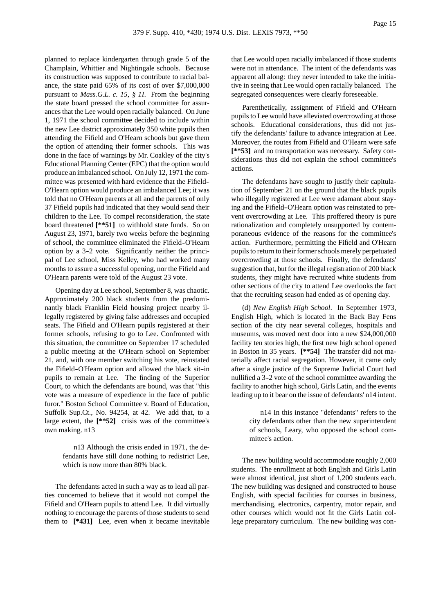planned to replace kindergarten through grade 5 of the Champlain, Whittier and Nightingale schools. Because its construction was supposed to contribute to racial balance, the state paid 65% of its cost of over \$7,000,000 pursuant to *Mass.G.L. c. 15, § 1I*. From the beginning the state board pressed the school committee for assurances that the Lee would open racially balanced. On June 1, 1971 the school committee decided to include within the new Lee district approximately 350 white pupils then attending the Fifield and O'Hearn schools but gave them the option of attending their former schools. This was done in the face of warnings by Mr. Coakley of the city's Educational Planning Center (EPC) that the option would produce an imbalanced school. On July 12, 1971 the committee was presented with hard evidence that the Fifield-- O'Hearn option would produce an imbalanced Lee; it was told that no O'Hearn parents at all and the parents of only 37 Fifield pupils had indicated that they would send their children to the Lee. To compel reconsideration, the state board threatened **[\*\*51]** to withhold state funds. So on August 23, 1971, barely two weeks before the beginning of school, the committee eliminated the Fifield-O'Hearn option by a 3-2 vote. Significantly neither the principal of Lee school, Miss Kelley, who had worked many months to assure a successful opening, nor the Fifield and O'Hearn parents were told of the August 23 vote.

Opening day at Lee school, September 8, was chaotic. Approximately 200 black students from the predominantly black Franklin Field housing project nearby illegally registered by giving false addresses and occupied seats. The Fifield and O'Hearn pupils registered at their former schools, refusing to go to Lee. Confronted with this situation, the committee on September 17 scheduled a public meeting at the O'Hearn school on September 21, and, with one member switching his vote, reinstated the Fifield-O'Hearn option and allowed the black sit-in pupils to remain at Lee. The finding of the Superior Court, to which the defendants are bound, was that "this vote was a measure of expedience in the face of public furor." Boston School Committee v. Board of Education, Suffolk Sup.Ct., No. 94254, at 42. We add that, to a large extent, the **[\*\*52]** crisis was of the committee's own making. n13

> n13 Although the crisis ended in 1971, the defendants have still done nothing to redistrict Lee, which is now more than 80% black.

The defendants acted in such a way as to lead all parties concerned to believe that it would not compel the Fifield and O'Hearn pupils to attend Lee. It did virtually nothing to encourage the parents of those students to send them to **[\*431]** Lee, even when it became inevitable that Lee would open racially imbalanced if those students were not in attendance. The intent of the defendants was apparent all along: they never intended to take the initiative in seeing that Lee would open racially balanced. The segregated consequences were clearly foreseeable.

Parenthetically, assignment of Fifield and O'Hearn pupils to Lee would have alleviated overcrowding at those schools. Educational considerations, thus did not justify the defendants' failure to advance integration at Lee. Moreover, the routes from Fifield and O'Hearn were safe **[\*\*53]** and no transportation was necessary. Safety considerations thus did not explain the school committee's actions.

The defendants have sought to justify their capitulation of September 21 on the ground that the black pupils who illegally registered at Lee were adamant about staying and the Fifield-O'Hearn option was reinstated to prevent overcrowding at Lee. This proffered theory is pure rationalization and completely unsupported by contemporaneous evidence of the reasons for the committee's action. Furthermore, permitting the Fifield and O'Hearn pupils to return to their former schools merely perpetuated overcrowding at those schools. Finally, the defendants' suggestion that, but for the illegal registration of 200 black students, they might have recruited white students from other sections of the city to attend Lee overlooks the fact that the recruiting season had ended as of opening day.

(d) *New English High School*. In September 1973, English High, which is located in the Back Bay Fens section of the city near several colleges, hospitals and museums, was moved next door into a new \$24,000,000 facility ten stories high, the first new high school opened in Boston in 35 years. **[\*\*54]** The transfer did not materially affect racial segregation. However, it came only after a single justice of the Supreme Judicial Court had nullified a 3-2 vote of the school committee awarding the facility to another high school, Girls Latin, and the events leading up to it bear on the issue of defendants' n14 intent.

> n14 In this instance "defendants" refers to the city defendants other than the new superintendent of schools, Leary, who opposed the school committee's action.

The new building would accommodate roughly 2,000 students. The enrollment at both English and Girls Latin were almost identical, just short of 1,200 students each. The new building was designed and constructed to house English, with special facilities for courses in business, merchandising, electronics, carpentry, motor repair, and other courses which would not fit the Girls Latin college preparatory curriculum. The new building was con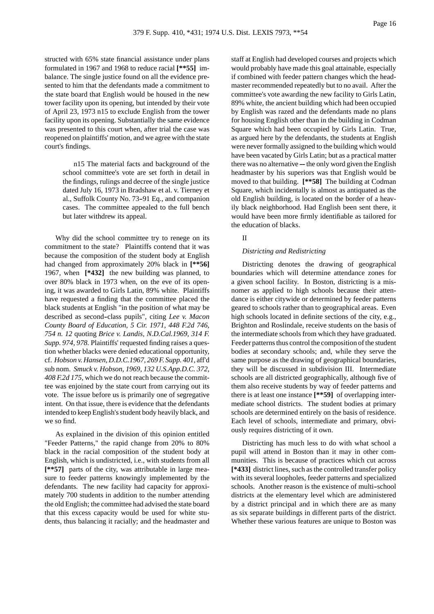structed with 65% state financial assistance under plans formulated in 1967 and 1968 to reduce racial **[\*\*55]** imbalance. The single justice found on all the evidence presented to him that the defendants made a commitment to the state board that English would be housed in the new tower facility upon its opening, but intended by their vote of April 23, 1973 n15 to exclude English from the tower facility upon its opening. Substantially the same evidence was presented to this court when, after trial the case was reopened on plaintiffs' motion, and we agree with the state court's findings.

> n15 The material facts and background of the school committee's vote are set forth in detail in the findings, rulings and decree of the single justice dated July 16, 1973 in Bradshaw et al. v. Tierney et al., Suffolk County No. 73-91 Eq., and companion cases. The committee appealed to the full bench but later withdrew its appeal.

Why did the school committee try to renege on its commitment to the state? Plaintiffs contend that it was because the composition of the student body at English had changed from approximately 20% black in **[\*\*56]** 1967, when **[\*432]** the new building was planned, to over 80% black in 1973 when, on the eve of its opening, it was awarded to Girls Latin, 89% white. Plaintiffs have requested a finding that the committee placed the black students at English "in the position of what may be described as second--class pupils", citing *Lee v. Macon County Board of Education, 5 Cir. 1971, 448 F.2d 746, 754 n. 12* quoting *Brice v. Landis, N.D.Cal.1969, 314 F. Supp. 974, 978.* Plaintiffs' requested finding raises a question whether blacks were denied educational opportunity, cf. *Hobson v. Hansen, D.D.C.1967, 269 F. Supp. 401,* aff'd sub nom. *Smuck v. Hobson, 1969, 132 U.S.App.D.C. 372, 408 F.2d 175,* which we do not reach because the committee was enjoined by the state court from carrying out its vote. The issue before us is primarily one of segregative intent. On that issue, there is evidence that the defendants intended to keep English's student body heavily black, and we so find.

As explained in the division of this opinion entitled "Feeder Patterns," the rapid change from 20% to 80% black in the racial composition of the student body at English, which is undistricted, i.e., with students from all **[\*\*57]** parts of the city, was attributable in large measure to feeder patterns knowingly implemented by the defendants. The new facility had capacity for approximately 700 students in addition to the number attending the old English; the committee had advised the state board that this excess capacity would be used for white students, thus balancing it racially; and the headmaster and staff at English had developed courses and projects which would probably have made this goal attainable, especially if combined with feeder pattern changes which the headmaster recommended repeatedly but to no avail. After the committee's vote awarding the new facility to Girls Latin, 89% white, the ancient building which had been occupied by English was razed and the defendants made no plans for housing English other than in the building in Codman Square which had been occupied by Girls Latin. True, as argued here by the defendants, the students at English were never formally assigned to the building which would have been vacated by Girls Latin; but as a practical matter there was no alternative  $-$  the only word given the English headmaster by his superiors was that English would be moved to that building. **[\*\*58]** The building at Codman Square, which incidentally is almost as antiquated as the old English building, is located on the border of a heavily black neighborhood. Had English been sent there, it would have been more firmly identifiable as tailored for the education of blacks.

# II

#### *Districting and Redistricting*

Districting denotes the drawing of geographical boundaries which will determine attendance zones for a given school facility. In Boston, districting is a misnomer as applied to high schools because their attendance is either citywide or determined by feeder patterns geared to schools rather than to geographical areas. Even high schools located in definite sections of the city, e.g., Brighton and Roslindale, receive students on the basis of the intermediate schools from which they have graduated. Feeder patterns thus control the composition of the student bodies at secondary schools; and, while they serve the same purpose as the drawing of geographical boundaries, they will be discussed in subdivision III. Intermediate schools are all districted geographically, although five of them also receive students by way of feeder patterns and there is at least one instance **[\*\*59]** of overlapping intermediate school districts. The student bodies at primary schools are determined entirely on the basis of residence. Each level of schools, intermediate and primary, obviously requires districting of it own.

Districting has much less to do with what school a pupil will attend in Boston than it may in other communities. This is because of practices which cut across **[\*433]** district lines, such as the controlled transfer policy with its several loopholes, feeder patterns and specialized schools. Another reason is the existence of multi-school districts at the elementary level which are administered by a district principal and in which there are as many as six separate buildings in different parts of the district. Whether these various features are unique to Boston was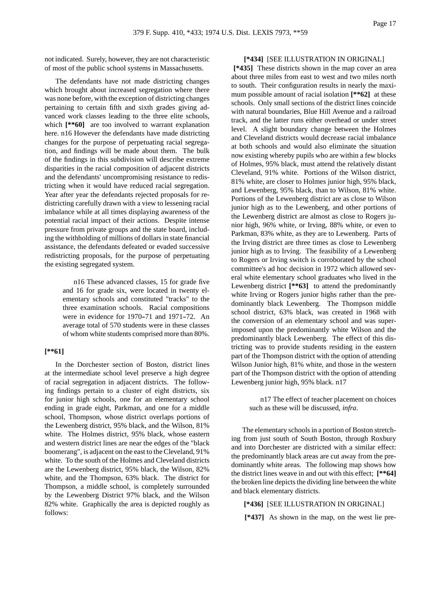not indicated. Surely, however, they are not characteristic of most of the public school systems in Massachusetts.

The defendants have not made districting changes which brought about increased segregation where there was none before, with the exception of districting changes pertaining to certain fifth and sixth grades giving advanced work classes leading to the three elite schools, which  $[***60]$  are too involved to warrant explanation here. n16 However the defendants have made districting changes for the purpose of perpetuating racial segregation, and findings will be made about them. The bulk of the findings in this subdivision will describe extreme disparities in the racial composition of adjacent districts and the defendants' uncompromising resistance to redistricting when it would have reduced racial segregation. Year after year the defendants rejected proposals for redistricting carefully drawn with a view to lessening racial imbalance while at all times displaying awareness of the potential racial impact of their actions. Despite intense pressure from private groups and the state board, including the withholding of millions of dollars in state financial assistance, the defendants defeated or evaded successive redistricting proposals, for the purpose of perpetuating the existing segregated system.

> n16 These advanced classes, 15 for grade five and 16 for grade six, were located in twenty elementary schools and constituted "tracks" to the three examination schools. Racial compositions were in evidence for  $1970-71$  and  $1971-72$ . An average total of 570 students were in these classes of whom white students comprised more than 80%.

### **[\*\*61]**

In the Dorchester section of Boston, district lines at the intermediate school level preserve a high degree of racial segregation in adjacent districts. The following findings pertain to a cluster of eight districts, six for junior high schools, one for an elementary school ending in grade eight, Parkman, and one for a middle school, Thompson, whose district overlaps portions of the Lewenberg district, 95% black, and the Wilson, 81% white. The Holmes district, 95% black, whose eastern and western district lines are near the edges of the "black boomerang", is adjacent on the east to the Cleveland, 91% white. To the south of the Holmes and Cleveland districts are the Lewenberg district, 95% black, the Wilson, 82% white, and the Thompson, 63% black. The district for Thompson, a middle school, is completely surrounded by the Lewenberg District 97% black, and the Wilson 82% white. Graphically the area is depicted roughly as follows:

# **[\*434]** [SEE ILLUSTRATION IN ORIGINAL]

**[\*435]** These districts shown in the map cover an area about three miles from east to west and two miles north to south. Their configuration results in nearly the maximum possible amount of racial isolation **[\*\*62]** at these schools. Only small sections of the district lines coincide with natural boundaries, Blue Hill Avenue and a railroad track, and the latter runs either overhead or under street level. A slight boundary change between the Holmes and Cleveland districts would decrease racial imbalance at both schools and would also eliminate the situation now existing whereby pupils who are within a few blocks of Holmes, 95% black, must attend the relatively distant Cleveland, 91% white. Portions of the Wilson district, 81% white, are closer to Holmes junior high, 95% black, and Lewenberg, 95% black, than to Wilson, 81% white. Portions of the Lewenberg district are as close to Wilson junior high as to the Lewenberg, and other portions of the Lewenberg district are almost as close to Rogers junior high, 96% white, or Irving, 88% white, or even to Parkman, 83% white, as they are to Lewenberg. Parts of the Irving district are three times as close to Lewenberg junior high as to Irving. The feasibility of a Lewenberg to Rogers or Irving switch is corroborated by the school committee's ad hoc decision in 1972 which allowed several white elementary school graduates who lived in the Lewenberg district **[\*\*63]** to attend the predominantly white Irving or Rogers junior highs rather than the predominantly black Lewenberg. The Thompson middle school district, 63% black, was created in 1968 with the conversion of an elementary school and was superimposed upon the predominantly white Wilson and the predominantly black Lewenberg. The effect of this districting was to provide students residing in the eastern part of the Thompson district with the option of attending Wilson Junior high, 81% white, and those in the western part of the Thompson district with the option of attending Lewenberg junior high, 95% black. n17

> n17 The effect of teacher placement on choices such as these will be discussed, *infra*.

The elementary schools in a portion of Boston stretching from just south of South Boston, through Roxbury and into Dorchester are districted with a similar effect: the predominantly black areas are cut away from the predominantly white areas. The following map shows how the district lines weave in and out with this effect; **[\*\*64]** the broken line depicts the dividing line between the white and black elementary districts.

### **[\*436]** [SEE ILLUSTRATION IN ORIGINAL]

**[\*437]** As shown in the map, on the west lie pre-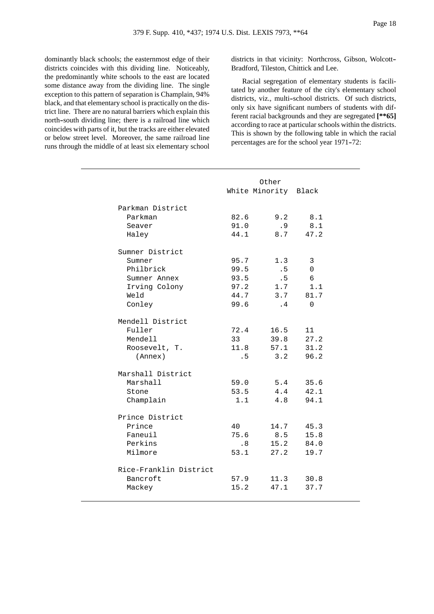dominantly black schools; the easternmost edge of their districts coincides with this dividing line. Noticeably, the predominantly white schools to the east are located some distance away from the dividing line. The single exception to this pattern of separation is Champlain, 94% black, and that elementary school is practically on the district line. There are no natural barriers which explain this north--south dividing line; there is a railroad line which coincides with parts of it, but the tracks are either elevated or below street level. Moreover, the same railroad line runs through the middle of at least six elementary school districts in that vicinity: Northcross, Gibson, Wolcott-- Bradford, Tileston, Chittick and Lee.

Racial segregation of elementary students is facilitated by another feature of the city's elementary school districts, viz., multi-school districts. Of such districts, only six have significant numbers of students with different racial backgrounds and they are segregated **[\*\*65]** according to race at particular schools within the districts. This is shown by the following table in which the racial percentages are for the school year 1971-72:

|                        |      | Other<br>White Minority Black |          |
|------------------------|------|-------------------------------|----------|
| Parkman District       |      |                               |          |
| Parkman                | 82.6 | 9.2                           | 8.1      |
| Seaver                 | 91.0 | .9                            | 8.1      |
| Haley                  | 44.1 | 8.7                           | 47.2     |
| Sumner District        |      |                               |          |
| Sumner                 | 95.7 | 1.3                           | 3        |
| Philbrick              | 99.5 | .5                            | $\Omega$ |
| Sumner Annex           | 93.5 | .5                            | 6        |
| Irving Colony          | 97.2 | 1.7                           | 1.1      |
| Weld                   | 44.7 | 3.7                           | 81.7     |
| Conley                 | 99.6 | $\cdot$ 4                     | $\Omega$ |
| Mendell District       |      |                               |          |
| Fuller                 | 72.4 | 16.5                          | 11       |
| Mendell                | 33   | 39.8                          | 27.2     |
| Roosevelt, T.          | 11.8 | 57.1                          | 31.2     |
| (Annex)                | .5   | 3.2                           | 96.2     |
| Marshall District      |      |                               |          |
| Marshall               | 59.0 | 5.4                           | 35.6     |
| Stone                  | 53.5 | 4.4                           | 42.1     |
| Champlain              | 1.1  | 4.8                           | 94.1     |
| Prince District        |      |                               |          |
| Prince                 | 40   | 14.7                          | 45.3     |
| Faneuil                | 75.6 | 8.5                           | 15.8     |
| Perkins                | .8   | 15.2                          | 84.0     |
| Milmore                | 53.1 | 27.2                          | 19.7     |
| Rice-Franklin District |      |                               |          |
| Bancroft               | 57.9 | 11.3                          | 30.8     |
| Mackey                 | 15.2 | 47.1                          | 37.7     |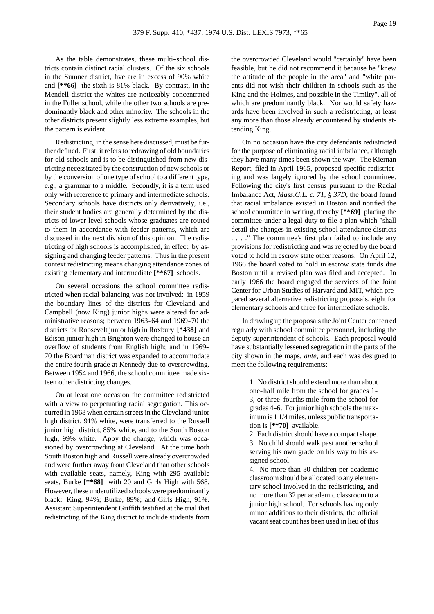As the table demonstrates, these multi-school districts contain distinct racial clusters. Of the six schools in the Sumner district, five are in excess of 90% white and **[\*\*66]** the sixth is 81% black. By contrast, in the Mendell district the whites are noticeably concentrated in the Fuller school, while the other two schools are predominantly black and other minority. The schools in the other districts present slightly less extreme examples, but the pattern is evident.

Redistricting, in the sense here discussed, must be further defined. First, it refers to redrawing of old boundaries for old schools and is to be distinguished from new districting necessitated by the construction of new schools or by the conversion of one type of school to a different type, e.g., a grammar to a middle. Secondly, it is a term used only with reference to primary and intermediate schools. Secondary schools have districts only derivatively, i.e., their student bodies are generally determined by the districts of lower level schools whose graduates are routed to them in accordance with feeder patterns, which are discussed in the next division of this opinion. The redistricting of high schools is accomplished, in effect, by assigning and changing feeder patterns. Thus in the present context redistricting means changing attendance zones of existing elementary and intermediate **[\*\*67]** schools.

On several occasions the school committee redistricted when racial balancing was not involved: in 1959 the boundary lines of the districts for Cleveland and Campbell (now King) junior highs were altered for administrative reasons; between 1963-64 and 1969-70 the districts for Roosevelt junior high in Roxbury **[\*438]** and Edison junior high in Brighton were changed to house an overflow of students from English high; and in 1969-- 70 the Boardman district was expanded to accommodate the entire fourth grade at Kennedy due to overcrowding. Between 1954 and 1966, the school committee made sixteen other districting changes.

On at least one occasion the committee redistricted with a view to perpetuating racial segregation. This occurred in 1968 when certain streets in the Cleveland junior high district, 91% white, were transferred to the Russell junior high district, 85% white, and to the South Boston high, 99% white. Apby the change, which was occasioned by overcrowding at Cleveland. At the time both South Boston high and Russell were already overcrowded and were further away from Cleveland than other schools with available seats, namely, King with 295 available seats, Burke **[\*\*68]** with 20 and Girls High with 568. However, these underutilized schools were predominantly black: King, 94%; Burke, 89%; and Girls High, 91%. Assistant Superintendent Griffith testified at the trial that redistricting of the King district to include students from the overcrowded Cleveland would "certainly" have been feasible, but he did not recommend it because he "knew the attitude of the people in the area" and "white parents did not wish their children in schools such as the King and the Holmes, and possible in the Timilty", all of which are predominantly black. Nor would safety hazards have been involved in such a redistricting, at least any more than those already encountered by students attending King.

On no occasion have the city defendants redistricted for the purpose of eliminating racial imbalance, although they have many times been shown the way. The Kiernan Report, filed in April 1965, proposed specific redistricting and was largely ignored by the school committee. Following the city's first census pursuant to the Racial Imbalance Act, *Mass.G.L. c. 71, § 37D*, the board found that racial imbalance existed in Boston and notified the school committee in writing, thereby **[\*\*69]** placing the committee under a legal duty to file a plan which "shall detail the changes in existing school attendance districts . . . ." The committee's first plan failed to include any provisions for redistricting and was rejected by the board voted to hold in escrow state other reasons. On April 12, 1966 the board voted to hold in escrow state funds due Boston until a revised plan was filed and accepted. In early 1966 the board engaged the services of the Joint Center for Urban Studies of Harvard and MIT, which prepared several alternative redistricting proposals, eight for elementary schools and three for intermediate schools.

In drawing up the proposals the Joint Center conferred regularly with school committee personnel, including the deputy superintendent of schools. Each proposal would have substantially lessened segregation in the parts of the city shown in the maps, *ante*, and each was designed to meet the following requirements:

> 1. No district should extend more than about one--half mile from the school for grades 1-- 3, or three--fourths mile from the school for grades 4-6. For junior high schools the maximum is 1 1/4 miles, unless public transportation is **[\*\*70]** available.

> 2. Each district should have a compact shape. 3. No child should walk past another school serving his own grade on his way to his assigned school.

> 4. No more than 30 children per academic classroom should be allocated to any elementary school involved in the redistricting, and no more than 32 per academic classroom to a junior high school. For schools having only minor additions to their districts, the official vacant seat count has been used in lieu of this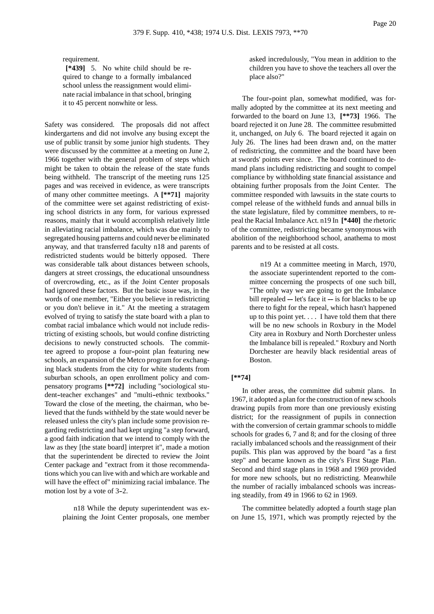requirement.

**[\*439]** 5. No white child should be required to change to a formally imbalanced school unless the reassignment would eliminate racial imbalance in that school, bringing it to 45 percent nonwhite or less.

Safety was considered. The proposals did not affect kindergartens and did not involve any busing except the use of public transit by some junior high students. They were discussed by the committee at a meeting on June 2, 1966 together with the general problem of steps which might be taken to obtain the release of the state funds being withheld. The transcript of the meeting runs 125 pages and was received in evidence, as were transcripts of many other committee meetings. A **[\*\*71]** majority of the committee were set against redistricting of existing school districts in any form, for various expressed reasons, mainly that it would accomplish relatively little in alleviating racial imbalance, which was due mainly to segregated housing patterns and could never be eliminated anyway, and that transferred faculty n18 and parents of redistricted students would be bitterly opposed. There was considerable talk about distances between schools, dangers at street crossings, the educational unsoundness of overcrowding, etc., as if the Joint Center proposals had ignored these factors. But the basic issue was, in the words of one member, "Either you believe in redistricting or you don't believe in it." At the meeting a stratagem evolved of trying to satisfy the state board with a plan to combat racial imbalance which would not include redistricting of existing schools, but would confine districting decisions to newly constructed schools. The committee agreed to propose a four--point plan featuring new schools, an expansion of the Metco program for exchanging black students from the city for white students from suburban schools, an open enrollment policy and compensatory programs **[\*\*72]** including "sociological student-teacher exchanges" and "multi-ethnic textbooks." Toward the close of the meeting, the chairman, who believed that the funds withheld by the state would never be released unless the city's plan include some provision regarding redistricting and had kept urging "a step forward, a good faith indication that we intend to comply with the law as they [the state board] interpret it", made a motion that the superintendent be directed to review the Joint Center package and "extract from it those recommendations which you can live with and which are workable and will have the effect of" minimizing racial imbalance. The motion lost by a vote of 3-2.

> n18 While the deputy superintendent was explaining the Joint Center proposals, one member

asked incredulously, "You mean in addition to the children you have to shove the teachers all over the place also?"

The four-point plan, somewhat modified, was formally adopted by the committee at its next meeting and forwarded to the board on June 13, **[\*\*73]** 1966. The board rejected it on June 28. The committee resubmitted it, unchanged, on July 6. The board rejected it again on July 26. The lines had been drawn and, on the matter of redistricting, the committee and the board have been at swords' points ever since. The board continued to demand plans including redistricting and sought to compel compliance by withholding state financial assistance and obtaining further proposals from the Joint Center. The committee responded with lawsuits in the state courts to compel release of the withheld funds and annual bills in the state legislature, filed by committee members, to repeal the Racial Imbalance Act. n19 In **[\*440]** the rhetoric of the committee, redistricting became synonymous with abolition of the neighborhood school, anathema to most parents and to be resisted at all costs.

> n19 At a committee meeting in March, 1970, the associate superintendent reported to the committee concerning the prospects of one such bill, "The only way we are going to get the Imbalance bill repealed  $-$  let's face it  $-$  is for blacks to be up there to fight for the repeal, which hasn't happened up to this point yet. . . . I have told them that there will be no new schools in Roxbury in the Model City area in Roxbury and North Dorchester unless the Imbalance bill is repealed." Roxbury and North Dorchester are heavily black residential areas of Boston.

## **[\*\*74]**

In other areas, the committee did submit plans. In 1967, it adopted a plan for the construction of new schools drawing pupils from more than one previously existing district; for the reassignment of pupils in connection with the conversion of certain grammar schools to middle schools for grades 6, 7 and 8; and for the closing of three racially imbalanced schools and the reassignment of their pupils. This plan was approved by the board "as a first step" and became known as the city's First Stage Plan. Second and third stage plans in 1968 and 1969 provided for more new schools, but no redistricting. Meanwhile the number of racially imbalanced schools was increasing steadily, from 49 in 1966 to 62 in 1969.

The committee belatedly adopted a fourth stage plan on June 15, 1971, which was promptly rejected by the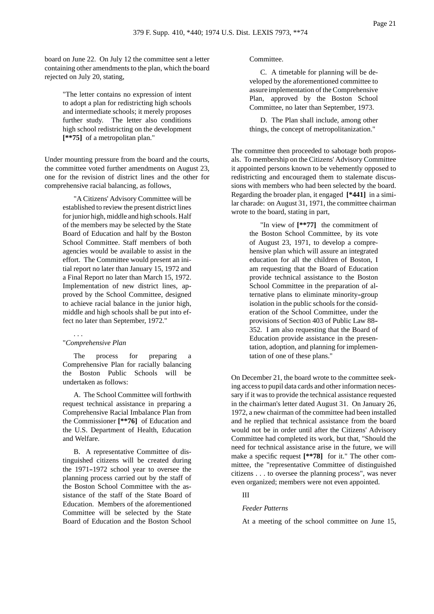board on June 22. On July 12 the committee sent a letter containing other amendments to the plan, which the board rejected on July 20, stating,

> "The letter contains no expression of intent to adopt a plan for redistricting high schools and intermediate schools; it merely proposes further study. The letter also conditions high school redistricting on the development **[\*\*75]** of a metropolitan plan."

Under mounting pressure from the board and the courts, the committee voted further amendments on August 23, one for the revision of district lines and the other for comprehensive racial balancing, as follows,

> "A Citizens' Advisory Committee will be established to review the present district lines for junior high, middle and high schools. Half of the members may be selected by the State Board of Education and half by the Boston School Committee. Staff members of both agencies would be available to assist in the effort. The Committee would present an initial report no later than January 15, 1972 and a Final Report no later than March 15, 1972. Implementation of new district lines, approved by the School Committee, designed to achieve racial balance in the junior high, middle and high schools shall be put into effect no later than September, 1972."

## . . . "*Comprehensive Plan*

The process for preparing a Comprehensive Plan for racially balancing the Boston Public Schools will be undertaken as follows:

A. The School Committee will forthwith request technical assistance in preparing a Comprehensive Racial Imbalance Plan from the Commissioner **[\*\*76]** of Education and the U.S. Department of Health, Education and Welfare.

B. A representative Committee of distinguished citizens will be created during the 1971-1972 school year to oversee the planning process carried out by the staff of the Boston School Committee with the assistance of the staff of the State Board of Education. Members of the aforementioned Committee will be selected by the State Board of Education and the Boston School Committee.

C. A timetable for planning will be developed by the aforementioned committee to assure implementation of the Comprehensive Plan, approved by the Boston School Committee, no later than September, 1973.

D. The Plan shall include, among other things, the concept of metropolitanization."

The committee then proceeded to sabotage both proposals. To membership on the Citizens' Advisory Committee it appointed persons known to be vehemently opposed to redistricting and encouraged them to stalemate discussions with members who had been selected by the board. Regarding the broader plan, it engaged **[\*441]** in a similar charade: on August 31, 1971, the committee chairman wrote to the board, stating in part,

> "In view of **[\*\*77]** the commitment of the Boston School Committee, by its vote of August 23, 1971, to develop a comprehensive plan which will assure an integrated education for all the children of Boston, I am requesting that the Board of Education provide technical assistance to the Boston School Committee in the preparation of alternative plans to eliminate minority-group isolation in the public schools for the consideration of the School Committee, under the provisions of Section 403 of Public Law 88-- 352. I am also requesting that the Board of Education provide assistance in the presentation, adoption, and planning for implementation of one of these plans."

On December 21, the board wrote to the committee seeking access to pupil data cards and other information necessary if it was to provide the technical assistance requested in the chairman's letter dated August 31. On January 26, 1972, a new chairman of the committee had been installed and he replied that technical assistance from the board would not be in order until after the Citizens' Advisory Committee had completed its work, but that, "Should the need for technical assistance arise in the future, we will make a specific request **[\*\*78]** for it." The other committee, the "representative Committee of distinguished citizens . . . to oversee the planning process", was never even organized; members were not even appointed.

### III

# *Feeder Patterns*

At a meeting of the school committee on June 15,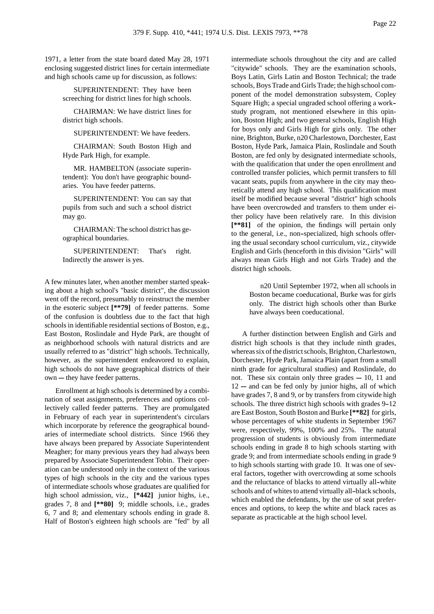1971, a letter from the state board dated May 28, 1971 enclosing suggested district lines for certain intermediate and high schools came up for discussion, as follows:

> SUPERINTENDENT: They have been screeching for district lines for high schools.

> CHAIRMAN: We have district lines for district high schools.

SUPERINTENDENT: We have feeders.

CHAIRMAN: South Boston High and Hyde Park High, for example.

MR. HAMBELTON (associate superintendent): You don't have geographic boundaries. You have feeder patterns.

SUPERINTENDENT: You can say that pupils from such and such a school district may go.

CHAIRMAN: The school district has geographical boundaries.

SUPERINTENDENT: That's right. Indirectly the answer is yes.

A few minutes later, when another member started speaking about a high school's "basic district", the discussion went off the record, presumably to reinstruct the member in the esoteric subject **[\*\*79]** of feeder patterns. Some of the confusion is doubtless due to the fact that high schools in identifiable residential sections of Boston, e.g., East Boston, Roslindale and Hyde Park, are thought of as neighborhood schools with natural districts and are usually referred to as "district" high schools. Technically, however, as the superintendent endeavored to explain, high schools do not have geographical districts of their own ---- they have feeder patterns.

Enrollment at high schools is determined by a combination of seat assignments, preferences and options collectively called feeder patterns. They are promulgated in February of each year in superintendent's circulars which incorporate by reference the geographical boundaries of intermediate school districts. Since 1966 they have always been prepared by Associate Superintendent Meagher; for many previous years they had always been prepared by Associate Superintendent Tobin. Their operation can be understood only in the context of the various types of high schools in the city and the various types of intermediate schools whose graduates are qualified for high school admission, viz., **[\*442]** junior highs, i.e., grades 7, 8 and **[\*\*80]** 9; middle schools, i.e., grades 6, 7 and 8; and elementary schools ending in grade 8. Half of Boston's eighteen high schools are "fed" by all intermediate schools throughout the city and are called "citywide" schools. They are the examination schools, Boys Latin, Girls Latin and Boston Technical; the trade schools, Boys Trade and Girls Trade; the high school component of the model demonstration subsystem, Copley Square High; a special ungraded school offering a work- study program, not mentioned elsewhere in this opinion, Boston High; and two general schools, English High for boys only and Girls High for girls only. The other nine, Brighton, Burke, n20 Charlestown, Dorchester, East Boston, Hyde Park, Jamaica Plain, Roslindale and South Boston, are fed only by designated intermediate schools, with the qualification that under the open enrollment and controlled transfer policies, which permit transfers to fill vacant seats, pupils from anywhere in the city may theoretically attend any high school. This qualification must itself be modified because several "district" high schools have been overcrowded and transfers to them under either policy have been relatively rare. In this division **[\*\*81]** of the opinion, the findings will pertain only to the general, i.e., non--specialized, high schools offering the usual secondary school curriculum, viz., citywide English and Girls (henceforth in this division "Girls" will always mean Girls High and not Girls Trade) and the district high schools.

> n20 Until September 1972, when all schools in Boston became coeducational, Burke was for girls only. The district high schools other than Burke have always been coeducational.

A further distinction between English and Girls and district high schools is that they include ninth grades, whereas six of the district schools, Brighton, Charlestown, Dorchester, Hyde Park, Jamaica Plain (apart from a small ninth grade for agricultural studies) and Roslindale, do not. These six contain only three grades  $-10$ , 11 and  $12$  --- and can be fed only by junior highs, all of which have grades 7, 8 and 9, or by transfers from citywide high schools. The three district high schools with grades 9-12 are East Boston, South Boston and Burke **[\*\*82]** for girls, whose percentages of white students in September 1967 were, respectively, 99%, 100% and 25%. The natural progression of students is obviously from intermediate schools ending in grade 8 to high schools starting with grade 9; and from intermediate schools ending in grade 9 to high schools starting with grade 10. It was one of several factors, together with overcrowding at some schools and the reluctance of blacks to attend virtually all-white schools and of whites to attend virtually all-black schools, which enabled the defendants, by the use of seat preferences and options, to keep the white and black races as separate as practicable at the high school level.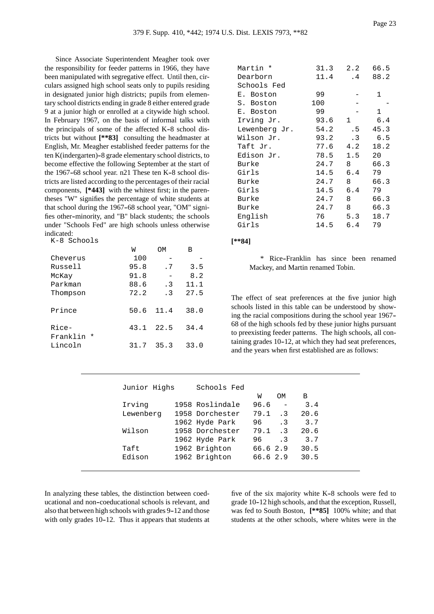Since Associate Superintendent Meagher took over the responsibility for feeder patterns in 1966, they have been manipulated with segregative effect. Until then, circulars assigned high school seats only to pupils residing in designated junior high districts; pupils from elementary school districts ending in grade 8 either entered grade 9 at a junior high or enrolled at a citywide high school. In February 1967, on the basis of informal talks with the principals of some of the affected  $K-8$  school districts but without **[\*\*83]** consulting the headmaster at English, Mr. Meagher established feeder patterns for the ten K(indergarten)-8 grade elementary school districts, to become effective the following September at the start of the 1967-68 school year.  $n21$  These ten K-8 school districts are listed according to the percentages of their racial components, **[\*443]** with the whitest first; in the parentheses "W" signifies the percentage of white students at that school during the 1967-68 school year, "OM" signifies other--minority, and "B" black students; the schools under "Schools Fed" are high schools unless otherwise indicated:

| K-8 Schools            |      |           |      |
|------------------------|------|-----------|------|
|                        | W    | OМ        | B    |
| Cheverus               | 100  |           |      |
| Russell                | 95.8 | . 7       | 3.5  |
| McKay                  | 91.8 |           | 8.2  |
| Parkman                | 88.6 | $\cdot$ 3 | 11.1 |
| Thompson               | 72.2 | $\cdot$ 3 | 27.5 |
| Prince                 | 50.6 | 11.4      | 38.0 |
| Rice-<br>Franklin<br>* | 43.1 | 22.5      | 34.4 |
| Lincoln                | 31.7 | 35.3      | 33.0 |

| Martin *      | 31.3 | 2.2          | 66.5 |
|---------------|------|--------------|------|
| Dearborn      | 11.4 | $\cdot$ 4    | 88.2 |
| Schools Fed   |      |              |      |
| E. Boston     | 99   |              | 1    |
| S. Boston     | 100  |              |      |
| E. Boston     | 99   |              | 1    |
| Irving Jr.    | 93.6 | $\mathbf{1}$ | 6.4  |
| Lewenberg Jr. | 54.2 | . 5          | 45.3 |
| Wilson Jr.    | 93.2 | $\cdot$ 3    | 6.5  |
| Taft Jr.      | 77.6 | 4.2          | 18.2 |
| Edison Jr.    | 78.5 | 1.5          | 20   |
| Burke         | 24.7 | 8            | 66.3 |
| Girls         | 14.5 | 6.4          | 79   |
| Burke         | 24.7 | 8            | 66.3 |
| Girls         | 14.5 | 6.4          | 79   |
| Burke         | 24.7 | 8            | 66.3 |
| Burke         | 24.7 | 8            | 66.3 |
| English       | 76   | 5.3          | 18.7 |
| Girls         | 14.5 | 6.4          | 79   |

### **[\*\*84]**

\* Rice--Franklin has since been renamed Mackey, and Martin renamed Tobin.

The effect of seat preferences at the five junior high schools listed in this table can be understood by showing the racial compositions during the school year 1967-- 68 of the high schools fed by these junior highs pursuant to preexisting feeder patterns. The high schools, all containing grades  $10-12$ , at which they had seat preferences, and the years when first established are as follows:

| Junior Highs | Schools Fed     |            |           |      |
|--------------|-----------------|------------|-----------|------|
|              |                 | W          | OМ        | В    |
| Irving       | 1958 Roslindale | 96.6       | $\equiv$  | 3.4  |
| Lewenberg    | 1958 Dorchester | 79.1       | $\cdot$ 3 | 20.6 |
|              | 1962 Hyde Park  | 96         | $\cdot$ 3 | 3.7  |
| Wilson       | 1958 Dorchester | $79.1 \t3$ |           | 20.6 |
|              | 1962 Hyde Park  | 96 —       | $\cdot$ 3 | 3.7  |
| Taft         | 1962 Brighton   | 66.6 2.9   |           | 30.5 |
| Edison       | 1962 Brighton   | 66.62.9    |           | 30.5 |

In analyzing these tables, the distinction between coeducational and non--coeducational schools is relevant, and also that between high schools with grades 9--12 and those with only grades  $10-12$ . Thus it appears that students at five of the six majority white  $K-8$  schools were fed to grade 10-12 high schools, and that the exception, Russell, was fed to South Boston, **[\*\*85]** 100% white; and that students at the other schools, where whites were in the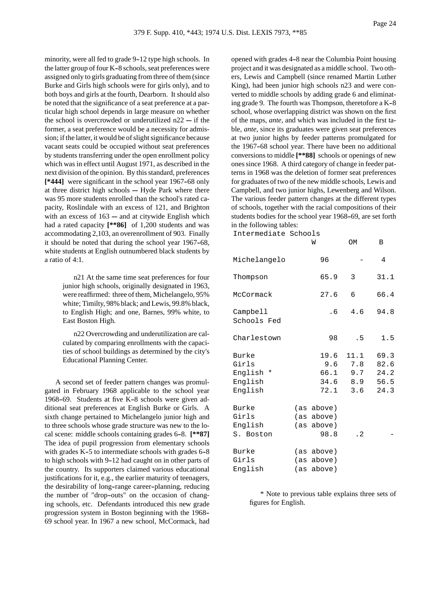minority, were all fed to grade 9-12 type high schools. In the latter group of four K-8 schools, seat preferences were assigned only to girls graduating from three of them (since Burke and Girls high schools were for girls only), and to

both boys and girls at the fourth, Dearborn. It should also be noted that the significance of a seat preference at a particular high school depends in large measure on whether the school is overcrowded or underutilized  $n22 - if$  the former, a seat preference would be a necessity for admission; if the latter, it would be of slight significance because vacant seats could be occupied without seat preferences by students transferring under the open enrollment policy which was in effect until August 1971, as described in the next division of the opinion. By this standard, preferences [\*444] were significant in the school year 1967-68 only at three district high schools  $-$  Hyde Park where there was 95 more students enrolled than the school's rated capacity, Roslindale with an excess of 121, and Brighton with an excess of  $163 -$  and at citywide English which had a rated capacity **[\*\*86]** of 1,200 students and was accommodating 2,103, an overenrollment of 903. Finally it should be noted that during the school year 1967-68, white students at English outnumbered black students by a ratio of 4:1.

> n21 At the same time seat preferences for four junior high schools, originally designated in 1963, were reaffirmed: three of them, Michelangelo, 95% white; Timilty, 98% black; and Lewis, 99.8% black, to English High; and one, Barnes, 99% white, to East Boston High.

> n22 Overcrowding and underutilization are calculated by comparing enrollments with the capacities of school buildings as determined by the city's Educational Planning Center.

A second set of feeder pattern changes was promulgated in February 1968 applicable to the school year 1968-69. Students at five K-8 schools were given additional seat preferences at English Burke or Girls. A sixth change pertained to Michelangelo junior high and to three schools whose grade structure was new to the local scene: middle schools containing grades 6-8. [\*\*87] The idea of pupil progression from elementary schools with grades  $K-5$  to intermediate schools with grades  $6-8$ to high schools with 9-12 had caught on in other parts of the country. Its supporters claimed various educational justifications for it, e.g., the earlier maturity of teenagers, the desirability of long--range career--planning, reducing the number of "drop-outs" on the occasion of changing schools, etc. Defendants introduced this new grade progression system in Boston beginning with the 1968-- 69 school year. In 1967 a new school, McCormack, had opened with grades 4-8 near the Columbia Point housing project and it was designated as a middle school. Two others, Lewis and Campbell (since renamed Martin Luther King), had been junior high schools n23 and were converted to middle schools by adding grade 6 and eliminating grade 9. The fourth was Thompson, theretofore a K-8 school, whose overlapping district was shown on the first of the maps, *ante*, and which was included in the first table, *ante*, since its graduates were given seat preferences at two junior highs by feeder patterns promulgated for the 1967-68 school year. There have been no additional conversions to middle **[\*\*88]** schools or openings of new ones since 1968. A third category of change in feeder patterns in 1968 was the deletion of former seat preferences for graduates of two of the new middle schools, Lewis and Campbell, and two junior highs, Lewenberg and Wilson. The various feeder pattern changes at the different types of schools, together with the racial compositions of their students bodies for the school year 1968-69, are set forth in the following tables:

Intermediate Schools

|                                                   | M                                              | OM                                                        | В                                    |
|---------------------------------------------------|------------------------------------------------|-----------------------------------------------------------|--------------------------------------|
| Michelangelo                                      | 96                                             |                                                           | 4                                    |
| Thompson                                          | 65.9                                           | 3                                                         | 31.1                                 |
| McCormack                                         | 27.6                                           | 6                                                         | 66.4                                 |
| Campbell<br>Schools Fed                           | . 6                                            | 4.6                                                       | 94.8                                 |
| Charlestown                                       | 98                                             | . 5                                                       | 1.5                                  |
| Burke<br>Girls<br>English *<br>English<br>English | 19.6                                           | 11.1<br>$9.6$ $7.8$<br>66.1 9.7<br>$34.6$ 8.9<br>72.1 3.6 | 69.3<br>82.6<br>24.2<br>56.5<br>24.3 |
| Burke<br>Girls<br>English<br>S. Boston            | (as above)<br>(as above)<br>(as above)<br>98.8 | $\cdot$ 2                                                 |                                      |
| Burke<br>Girls<br>English                         | (as above)<br>(as above)<br>(as above)         |                                                           |                                      |

\* Note to previous table explains three sets of figures for English.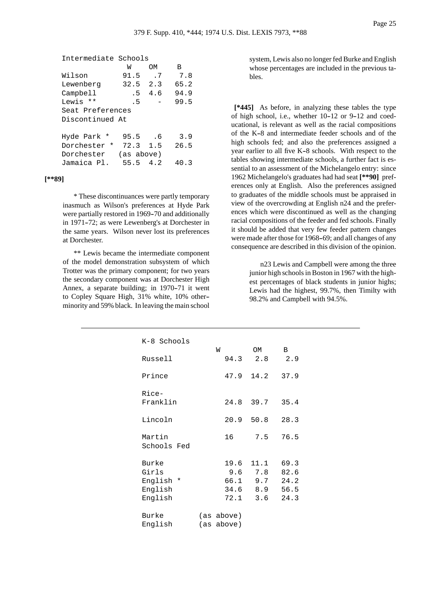```
Intermediate Schools
W OM B
```

| Wilson           | 91.5       | . 7 | 7.8  |
|------------------|------------|-----|------|
| Lewenberg        | 32.5       | 2.3 | 65.2 |
| Campbell         | . 5        | 4.6 | 94.9 |
| Lewis **         | . 5        |     | 99.5 |
| Seat Preferences |            |     |      |
| Discontinued At  |            |     |      |
|                  |            |     |      |
| Hyde Park *      | 95.5       | . 6 | 3.9  |
| Dorchester *     | 72.3 1.5   |     | 26.5 |
| Dorchester       | (as above) |     |      |
| Jamaica Pl.      | 55.5       | 4 2 | 40.3 |

# **[\*\*89]**

\* These discontinuances were partly temporary inasmuch as Wilson's preferences at Hyde Park were partially restored in 1969-70 and additionally in 1971-72; as were Lewenberg's at Dorchester in the same years. Wilson never lost its preferences at Dorchester.

\*\* Lewis became the intermediate component of the model demonstration subsystem of which Trotter was the primary component; for two years the secondary component was at Dorchester High Annex, a separate building; in 1970–71 it went to Copley Square High, 31% white, 10% other- minority and 59% black. In leaving the main school system, Lewis also no longer fed Burke and English whose percentages are included in the previous tables.

**[\*445]** As before, in analyzing these tables the type of high school, i.e., whether  $10-12$  or  $9-12$  and coeducational, is relevant as well as the racial compositions of the K-8 and intermediate feeder schools and of the high schools fed; and also the preferences assigned a year earlier to all five  $K-8$  schools. With respect to the tables showing intermediate schools, a further fact is essential to an assessment of the Michelangelo entry: since 1962 Michelangelo's graduates had had seat **[\*\*90]** preferences only at English. Also the preferences assigned to graduates of the middle schools must be appraised in view of the overcrowding at English n24 and the preferences which were discontinued as well as the changing racial compositions of the feeder and fed schools. Finally it should be added that very few feeder pattern changes were made after those for 1968-69; and all changes of any consequence are described in this division of the opinion.

> n23 Lewis and Campbell were among the three junior high schools in Boston in 1967 with the highest percentages of black students in junior highs; Lewis had the highest, 99.7%, then Timilty with 98.2% and Campbell with 94.5%.

| K-8 Schools |            |             |      |  |
|-------------|------------|-------------|------|--|
|             | W          | OM          | B    |  |
| Russell     | 94.3       | 2.8         | 2.9  |  |
| Prince      | 47.9       | 14.2        | 37.9 |  |
| Rice-       |            |             |      |  |
| Franklin    |            | 24.8 39.7   | 35.4 |  |
| Lincoln     |            | $20.9$ 50.8 | 28.3 |  |
| Martin      | 16         | 7.5         | 76.5 |  |
| Schools Fed |            |             |      |  |
| Burke       | 19.6       | 11.1        | 69.3 |  |
| Girls       |            | $9.6$ $7.8$ | 82.6 |  |
| English *   |            | 66.1 9.7    | 24.2 |  |
| English     |            | 34.6 8.9    | 56.5 |  |
| English     | 72.1       | 3.6         | 24.3 |  |
| Burke       | (as above) |             |      |  |
| English     | (as above) |             |      |  |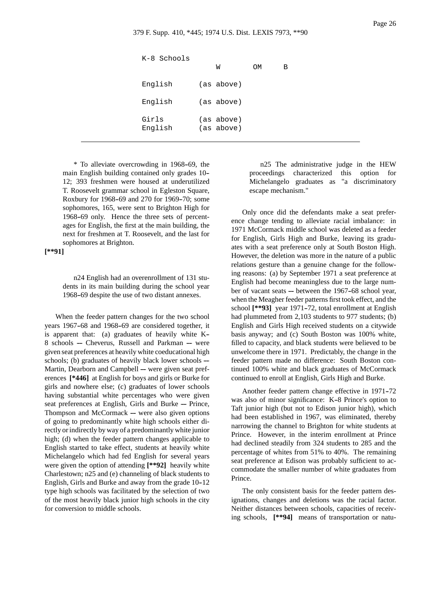| K-8 Schools      | W                        | <b>OM</b> | В |
|------------------|--------------------------|-----------|---|
| English          | (as above)               |           |   |
| English          | (as above)               |           |   |
| Girls<br>English | (as above)<br>(as above) |           |   |

\* To alleviate overcrowding in 1968--69, the main English building contained only grades 10-- 12; 393 freshmen were housed at underutilized T. Roosevelt grammar school in Egleston Square, Roxbury for 1968-69 and 270 for 1969-70; some sophomores, 165, were sent to Brighton High for 1968-69 only. Hence the three sets of percentages for English, the first at the main building, the next for freshmen at T. Roosevelt, and the last for sophomores at Brighton.

# **[\*\*91]**

n24 English had an overenrollment of 131 students in its main building during the school year 1968--69 despite the use of two distant annexes.

When the feeder pattern changes for the two school years 1967-68 and 1968-69 are considered together, it is apparent that: (a) graduates of heavily white K--  $8$  schools  $-$  Cheverus, Russell and Parkman  $-$  were given seat preferences at heavily white coeducational high schools; (b) graduates of heavily black lower schools --Martin, Dearborn and Campbell ------ were given seat preferences **[\*446]** at English for boys and girls or Burke for girls and nowhere else; (c) graduates of lower schools having substantial white percentages who were given seat preferences at English, Girls and Burke ----- Prince, Thompson and McCormack  $-$  were also given options of going to predominantly white high schools either directly or indirectly by way of a predominantly white junior high; (d) when the feeder pattern changes applicable to English started to take effect, students at heavily white Michelangelo which had fed English for several years were given the option of attending **[\*\*92]** heavily white Charlestown; n25 and (e) channeling of black students to English, Girls and Burke and away from the grade 10-12 type high schools was facilitated by the selection of two of the most heavily black junior high schools in the city for conversion to middle schools.

n25 The administrative judge in the HEW proceedings characterized this option for Michelangelo graduates as "a discriminatory escape mechanism."

Only once did the defendants make a seat preference change tending to alleviate racial imbalance: in 1971 McCormack middle school was deleted as a feeder for English, Girls High and Burke, leaving its graduates with a seat preference only at South Boston High. However, the deletion was more in the nature of a public relations gesture than a genuine change for the following reasons: (a) by September 1971 a seat preference at English had become meaningless due to the large number of vacant seats ---- between the 1967-68 school year, when the Meagher feeder patterns first took effect, and the school [\*\*93] year 1971-72, total enrollment at English had plummeted from 2,103 students to 977 students; (b) English and Girls High received students on a citywide basis anyway; and (c) South Boston was 100% white, filled to capacity, and black students were believed to be unwelcome there in 1971. Predictably, the change in the feeder pattern made no difference: South Boston continued 100% white and black graduates of McCormack continued to enroll at English, Girls High and Burke.

Another feeder pattern change effective in 1971-72 was also of minor significance: K-8 Prince's option to Taft junior high (but not to Edison junior high), which had been established in 1967, was eliminated, thereby narrowing the channel to Brighton for white students at Prince. However, in the interim enrollment at Prince had declined steadily from 324 students to 285 and the percentage of whites from 51% to 40%. The remaining seat preference at Edison was probably sufficient to accommodate the smaller number of white graduates from Prince.

The only consistent basis for the feeder pattern designations, changes and deletions was the racial factor. Neither distances between schools, capacities of receiving schools, **[\*\*94]** means of transportation or natu-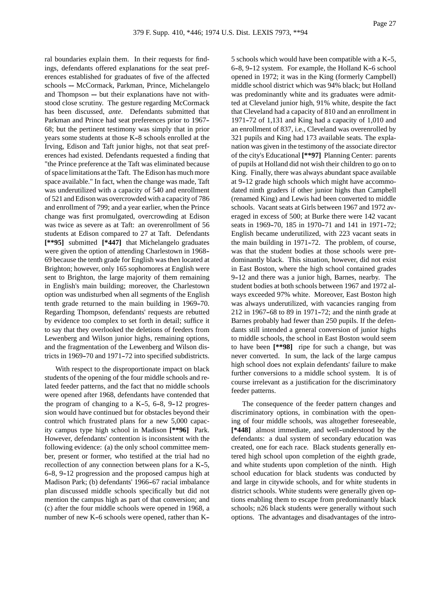ral boundaries explain them. In their requests for findings, defendants offered explanations for the seat preferences established for graduates of five of the affected schools --- McCormack, Parkman, Prince, Michelangelo and Thompson  $-$  but their explanations have not withstood close scrutiny. The gesture regarding McCormack has been discussed, *ante*. Defendants submitted that Parkman and Prince had seat preferences prior to 1967-- 68; but the pertinent testimony was simply that in prior years some students at those K-8 schools enrolled at the Irving, Edison and Taft junior highs, not that seat preferences had existed. Defendants requested a finding that "the Prince preference at the Taft was eliminated because of space limitations at the Taft. The Edison has much more space available." In fact, when the change was made, Taft was underutilized with a capacity of 540 and enrollment of 521 and Edison was overcrowded with a capacity of 786 and enrollment of 799; and a year earlier, when the Prince change was first promulgated, overcrowding at Edison was twice as severe as at Taft: an overenrollment of 56 students at Edison compared to 27 at Taft. Defendants **[\*\*95]** submitted **[\*447]** that Michelangelo graduates were given the option of attending Charlestown in 1968-- 69 because the tenth grade for English was then located at Brighton; however, only 165 sophomores at English were sent to Brighton, the large majority of them remaining in English's main building; moreover, the Charlestown option was undisturbed when all segments of the English tenth grade returned to the main building in 1969-70. Regarding Thompson, defendants' requests are rebutted by evidence too complex to set forth in detail; suffice it to say that they overlooked the deletions of feeders from Lewenberg and Wilson junior highs, remaining options, and the fragmentation of the Lewenberg and Wilson districts in 1969-70 and 1971-72 into specified subdistricts.

With respect to the disproportionate impact on black students of the opening of the four middle schools and related feeder patterns, and the fact that no middle schools were opened after 1968, defendants have contended that the program of changing to a  $K-5$ , 6-8, 9-12 progression would have continued but for obstacles beyond their control which frustrated plans for a new 5,000 capacity campus type high school in Madison **[\*\*96]** Park. However, defendants' contention is inconsistent with the following evidence: (a) the only school committee member, present or former, who testified at the trial had no recollection of any connection between plans for a K-5, 6-8, 9-12 progression and the proposed campus high at Madison Park; (b) defendants' 1966-67 racial imbalance plan discussed middle schools specifically but did not mention the campus high as part of that conversion; and (c) after the four middle schools were opened in 1968, a number of new K-6 schools were opened, rather than K--

5 schools which would have been compatible with a  $K-5$ , 6-8, 9-12 system. For example, the Holland K-6 school opened in 1972; it was in the King (formerly Campbell) middle school district which was 94% black; but Holland was predominantly white and its graduates were admitted at Cleveland junior high, 91% white, despite the fact that Cleveland had a capacity of 810 and an enrollment in 1971-72 of 1,131 and King had a capacity of  $1,010$  and an enrollment of 837, i.e., Cleveland was overenrolled by 321 pupils and King had 173 available seats. The explanation was given in the testimony of the associate director of the city's Educational **[\*\*97]** Planning Center: parents of pupils at Holland did not wish their children to go on to King. Finally, there was always abundant space available at 9-12 grade high schools which might have accommodated ninth graders if other junior highs than Campbell (renamed King) and Lewis had been converted to middle schools. Vacant seats at Girls between 1967 and 1972 averaged in excess of 500; at Burke there were 142 vacant seats in 1969-70, 185 in 1970-71 and 141 in 1971-72; English became underutilized, with 223 vacant seats in the main building in 1971-72. The problem, of course, was that the student bodies at those schools were predominantly black. This situation, however, did not exist in East Boston, where the high school contained grades 9-12 and there was a junior high, Barnes, nearby. The student bodies at both schools between 1967 and 1972 always exceeded 97% white. Moreover, East Boston high was always underutilized, with vacancies ranging from  $212$  in 1967–68 to 89 in 1971–72; and the ninth grade at Barnes probably had fewer than 250 pupils. If the defendants still intended a general conversion of junior highs to middle schools, the school in East Boston would seem to have been **[\*\*98]** ripe for such a change, but was never converted. In sum, the lack of the large campus high school does not explain defendants' failure to make further conversions to a middle school system. It is of course irrelevant as a justification for the discriminatory feeder patterns.

The consequence of the feeder pattern changes and discriminatory options, in combination with the opening of four middle schools, was altogether foreseeable, [\*448] almost immediate, and well-understood by the defendants: a dual system of secondary education was created, one for each race. Black students generally entered high school upon completion of the eighth grade, and white students upon completion of the ninth. High school education for black students was conducted by and large in citywide schools, and for white students in district schools. White students were generally given options enabling them to escape from predominantly black schools; n26 black students were generally without such options. The advantages and disadvantages of the intro-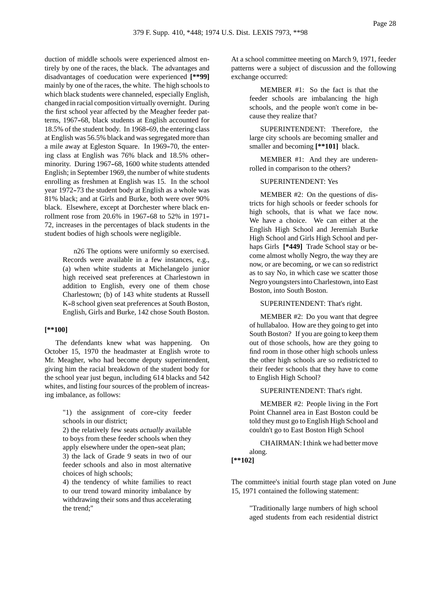duction of middle schools were experienced almost entirely by one of the races, the black. The advantages and disadvantages of coeducation were experienced **[\*\*99]** mainly by one of the races, the white. The high schools to which black students were channeled, especially English, changed in racial composition virtually overnight. During the first school year affected by the Meagher feeder patterns, 1967-68, black students at English accounted for 18.5% of the student body. In 1968–69, the entering class at English was 56.5% black and was segregated more than a mile away at Egleston Square. In 1969-70, the entering class at English was 76% black and 18.5% other- minority. During 1967-68, 1600 white students attended English; in September 1969, the number of white students enrolling as freshmen at English was 15. In the school year 1972-73 the student body at English as a whole was 81% black; and at Girls and Burke, both were over 90% black. Elsewhere, except at Dorchester where black enrollment rose from 20.6% in 1967-68 to 52% in 1971-72, increases in the percentages of black students in the student bodies of high schools were negligible.

> n26 The options were uniformly so exercised. Records were available in a few instances, e.g., (a) when white students at Michelangelo junior high received seat preferences at Charlestown in addition to English, every one of them chose Charlestown; (b) of 143 white students at Russell K-8 school given seat preferences at South Boston, English, Girls and Burke, 142 chose South Boston.

## **[\*\*100]**

The defendants knew what was happening. On October 15, 1970 the headmaster at English wrote to Mr. Meagher, who had become deputy superintendent, giving him the racial breakdown of the student body for the school year just begun, including 614 blacks and 542 whites, and listing four sources of the problem of increasing imbalance, as follows:

> "1) the assignment of core-city feeder schools in our district;

> 2) the relatively few seats *actually* available to boys from these feeder schools when they apply elsewhere under the open-seat plan; 3) the lack of Grade 9 seats in two of our feeder schools and also in most alternative choices of high schools;

> 4) the tendency of white families to react to our trend toward minority imbalance by withdrawing their sons and thus accelerating the trend;"

At a school committee meeting on March 9, 1971, feeder patterns were a subject of discussion and the following exchange occurred:

> MEMBER #1: So the fact is that the feeder schools are imbalancing the high schools, and the people won't come in because they realize that?

> SUPERINTENDENT: Therefore, the large city schools are becoming smaller and smaller and becoming **[\*\*101]** black.

> MEMBER #1: And they are underenrolled in comparison to the others?

## SUPERINTENDENT: Yes

MEMBER #2: On the questions of districts for high schools or feeder schools for high schools, that is what we face now. We have a choice. We can either at the English High School and Jeremiah Burke High School and Girls High School and perhaps Girls **[\*449]** Trade School stay or become almost wholly Negro, the way they are now, or are becoming, or we can so redistrict as to say No, in which case we scatter those Negro youngsters into Charlestown, into East Boston, into South Boston.

SUPERINTENDENT: That's right.

MEMBER #2: Do you want that degree of hullabaloo. How are they going to get into South Boston? If you are going to keep them out of those schools, how are they going to find room in those other high schools unless the other high schools are so redistricted to their feeder schools that they have to come to English High School?

## SUPERINTENDENT: That's right.

MEMBER #2: People living in the Fort Point Channel area in East Boston could be told they must go to English High School and couldn't go to East Boston High School

CHAIRMAN: I think we had better move along.

# **[\*\*102]**

The committee's initial fourth stage plan voted on June 15, 1971 contained the following statement:

> "Traditionally large numbers of high school aged students from each residential district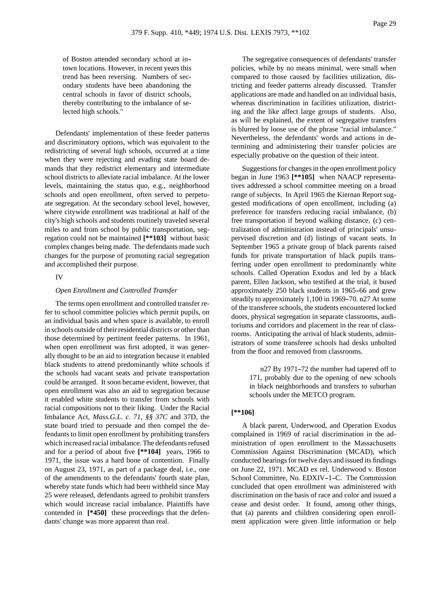of Boston attended secondary school at in- town locations. However, in recent years this trend has been reversing. Numbers of secondary students have been abandoning the central schools in favor of district schools, thereby contributing to the imbalance of selected high schools."

Defendants' implementation of these feeder patterns and discriminatory options, which was equivalent to the redistricting of several high schools, occurred at a time when they were rejecting and evading state board demands that they redistrict elementary and intermediate school districts to alleviate racial imbalance. At the lower levels, maintaining the status quo, e.g., neighborhood schools and open enrollment, often served to perpetuate segregation. At the secondary school level, however, where citywide enrollment was traditional at half of the city's high schools and students routinely traveled several miles to and from school by public transportation, segregation could not be maintained **[\*\*103]** without basic complex changes being made. The defendants made such changes for the purpose of promoting racial segregation and accomplished their purpose.

## IV

### *Open Enrollment and Controlled Transfer*

The terms open enrollment and controlled transfer refer to school committee policies which permit pupils, on an individual basis and when space is available, to enroll in schools outside of their residential districts or other than those determined by pertinent feeder patterns. In 1961, when open enrollment was first adopted, it was generally thought to be an aid to integration because it enabled black students to attend predominantly white schools if the schools had vacant seats and private transportation could be arranged. It soon became evident, however, that open enrollment was also an aid to segregation because it enabled white students to transfer from schools with racial compositions not to their liking. Under the Racial Imbalance Act, *Mass.G.L. c. 71, §§ 37C* and 37D, the state board tried to persuade and then compel the defendants to limit open enrollment by prohibiting transfers which increased racial imbalance. The defendants refused and for a period of about five **[\*\*104]** years, 1966 to 1971, the issue was a hard bone of contention. Finally on August 23, 1971, as part of a package deal, i.e., one of the amendments to the defendants' fourth state plan, whereby state funds which had been withheld since May 25 were released, defendants agreed to prohibit transfers which would increase racial imbalance. Plaintiffs have contended in **[\*450]** these proceedings that the defendants' change was more apparent than real.

The segregative consequences of defendants' transfer policies, while by no means minimal, were small when compared to those caused by facilities utilization, districting and feeder patterns already discussed. Transfer applications are made and handled on an individual basis, whereas discrimination in facilities utilization, districting and the like affect large groups of students. Also, as will be explained, the extent of segregative transfers is blurred by loose use of the phrase "racial imbalance." Nevertheless, the defendants' words and actions in determining and administering their transfer policies are especially probative on the question of their intent.

Suggestions for changes in the open enrollment policy began in June 1963 **[\*\*105]** when NAACP representatives addressed a school committee meeting on a broad range of subjects. In April 1965 the Kiernan Report suggested modifications of open enrollment, including (a) preference for transfers reducing racial imbalance, (b) free transportation if beyond walking distance, (c) centralization of administration instead of principals' unsupervised discretion and (d) listings of vacant seats. In September 1965 a private group of black parents raised funds for private transportation of black pupils transferring under open enrollment to predominantly white schools. Called Operation Exodus and led by a black parent, Ellen Jackson, who testified at the trial, it bused approximately 250 black students in 1965-66 and grew steadily to approximately 1,100 in 1969-70. n27 At some of the transferee schools, the students encountered locked doors, physical segregation in separate classrooms, auditoriums and corridors and placement in the rear of classrooms. Anticipating the arrival of black students, administrators of some transferee schools had desks unbolted from the floor and removed from classrooms.

> n27 By 1971-72 the number had tapered off to 171, probably due to the opening of new schools in black neighborhoods and transfers to suburban schools under the METCO program.

# **[\*\*106]**

A black parent, Underwood, and Operation Exodus complained in 1969 of racial discrimination in the administration of open enrollment to the Massachusetts Commission Against Discrimination (MCAD), which conducted hearings for twelve days and issued its findings on June 22, 1971. MCAD ex rel. Underwood v. Boston School Committee, No. EDXIV-1-C. The Commission concluded that open enrollment was administered with discrimination on the basis of race and color and issued a cease and desist order. It found, among other things, that (a) parents and children considering open enrollment application were given little information or help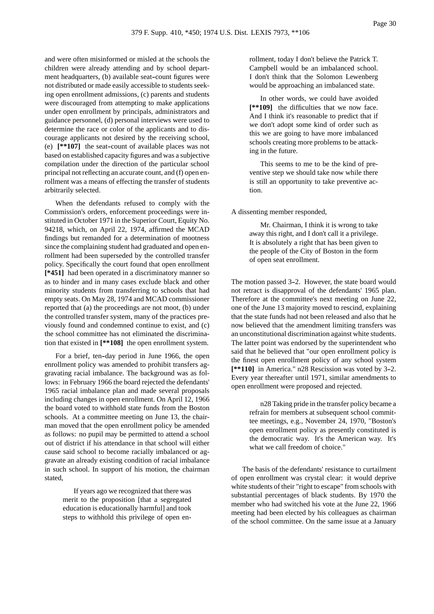and were often misinformed or misled at the schools the children were already attending and by school department headquarters, (b) available seat-count figures were not distributed or made easily accessible to students seeking open enrollment admissions, (c) parents and students were discouraged from attempting to make applications under open enrollment by principals, administrators and guidance personnel, (d) personal interviews were used to determine the race or color of the applicants and to discourage applicants not desired by the receiving school, (e) **[\*\*107]** the seat--count of available places was not based on established capacity figures and was a subjective compilation under the direction of the particular school principal not reflecting an accurate count, and (f) open enrollment was a means of effecting the transfer of students arbitrarily selected.

When the defendants refused to comply with the Commission's orders, enforcement proceedings were instituted in October 1971 in the Superior Court, Equity No. 94218, which, on April 22, 1974, affirmed the MCAD findings but remanded for a determination of mootness since the complaining student had graduated and open enrollment had been superseded by the controlled transfer policy. Specifically the court found that open enrollment **[\*451]** had been operated in a discriminatory manner so as to hinder and in many cases exclude black and other minority students from transferring to schools that had empty seats. On May 28, 1974 and MCAD commissioner reported that (a) the proceedings are not moot, (b) under the controlled transfer system, many of the practices previously found and condemned continue to exist, and (c) the school committee has not eliminated the discrimination that existed in **[\*\*108]** the open enrollment system.

For a brief, ten-day period in June 1966, the open enrollment policy was amended to prohibit transfers aggravating racial imbalance. The background was as follows: in February 1966 the board rejected the defendants' 1965 racial imbalance plan and made several proposals including changes in open enrollment. On April 12, 1966 the board voted to withhold state funds from the Boston schools. At a committee meeting on June 13, the chairman moved that the open enrollment policy be amended as follows: no pupil may be permitted to attend a school out of district if his attendance in that school will either cause said school to become racially imbalanced or aggravate an already existing condition of racial imbalance in such school. In support of his motion, the chairman stated,

> If years ago we recognized that there was merit to the proposition [that a segregated education is educationally harmful] and took steps to withhold this privilege of open en

rollment, today I don't believe the Patrick T. Campbell would be an imbalanced school. I don't think that the Solomon Lewenberg would be approaching an imbalanced state.

In other words, we could have avoided **[\*\*109]** the difficulties that we now face. And I think it's reasonable to predict that if we don't adopt some kind of order such as this we are going to have more imbalanced schools creating more problems to be attacking in the future.

This seems to me to be the kind of preventive step we should take now while there is still an opportunity to take preventive action.

A dissenting member responded,

Mr. Chairman, I think it is wrong to take away this right, and I don't call it a privilege. It is absolutely a right that has been given to the people of the City of Boston in the form of open seat enrollment.

The motion passed 3-2. However, the state board would not retract is disapproval of the defendants' 1965 plan. Therefore at the committee's next meeting on June 22, one of the June 13 majority moved to rescind, explaining that the state funds had not been released and also that he now believed that the amendment limiting transfers was an unconstitutional discrimination against white students. The latter point was endorsed by the superintendent who said that he believed that "our open enrollment policy is the finest open enrollment policy of any school system [\*\*110] in America." n28 Rescission was voted by 3-2. Every year thereafter until 1971, similar amendments to open enrollment were proposed and rejected.

> n28 Taking pride in the transfer policy became a refrain for members at subsequent school committee meetings, e.g., November 24, 1970, "Boston's open enrollment policy as presently constituted is the democratic way. It's the American way. It's what we call freedom of choice."

The basis of the defendants' resistance to curtailment of open enrollment was crystal clear: it would deprive white students of their "right to escape" from schools with substantial percentages of black students. By 1970 the member who had switched his vote at the June 22, 1966 meeting had been elected by his colleagues as chairman of the school committee. On the same issue at a January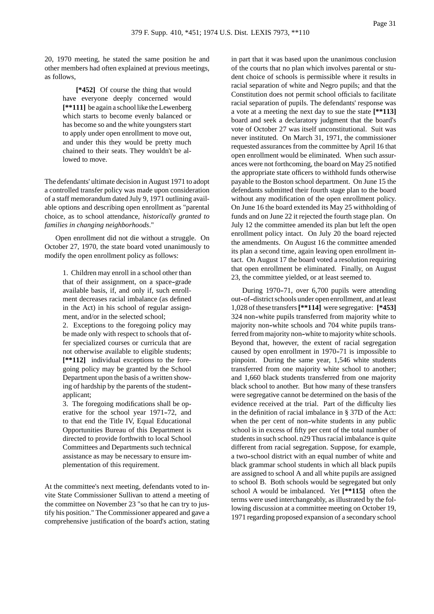20, 1970 meeting, he stated the same position he and other members had often explained at previous meetings, as follows,

> **[\*452]** Of course the thing that would have everyone deeply concerned would **[\*\*111]** be again a school like the Lewenberg which starts to become evenly balanced or has become so and the white youngsters start to apply under open enrollment to move out, and under this they would be pretty much chained to their seats. They wouldn't be allowed to move.

The defendants' ultimate decision in August 1971 to adopt a controlled transfer policy was made upon consideration of a staff memorandum dated July 9, 1971 outlining available options and describing open enrollment as "parental choice, as to school attendance, *historically granted to families in changing neighborhoods*."

Open enrollment did not die without a struggle. On October 27, 1970, the state board voted unanimously to modify the open enrollment policy as follows:

> 1. Children may enroll in a school other than that of their assignment, on a space-grade available basis, if, and only if, such enrollment decreases racial imbalance (as defined in the Act) in his school of regular assignment, and/or in the selected school;

> 2. Exceptions to the foregoing policy may be made only with respect to schools that offer specialized courses or curricula that are not otherwise available to eligible students; **[\*\*112]** individual exceptions to the foregoing policy may be granted by the School Department upon the basis of a written showing of hardship by the parents of the student- applicant;

> 3. The foregoing modifications shall be operative for the school year 1971-72, and to that end the Title IV, Equal Educational Opportunities Bureau of this Department is directed to provide forthwith to local School Committees and Departments such technical assistance as may be necessary to ensure implementation of this requirement.

At the committee's next meeting, defendants voted to invite State Commissioner Sullivan to attend a meeting of the committee on November 23 "so that he can try to justify his position." The Commissioner appeared and gave a comprehensive justification of the board's action, stating

in part that it was based upon the unanimous conclusion of the courts that no plan which involves parental or student choice of schools is permissible where it results in racial separation of white and Negro pupils; and that the Constitution does not permit school officials to facilitate racial separation of pupils. The defendants' response was a vote at a meeting the next day to sue the state **[\*\*113]** board and seek a declaratory judgment that the board's vote of October 27 was itself unconstitutional. Suit was never instituted. On March 31, 1971, the commissioner requested assurances from the committee by April 16 that open enrollment would be eliminated. When such assurances were not forthcoming, the board on May 25 notified the appropriate state officers to withhold funds otherwise payable to the Boston school department. On June 15 the defendants submitted their fourth stage plan to the board without any modification of the open enrollment policy. On June 16 the board extended its May 25 withholding of funds and on June 22 it rejected the fourth stage plan. On July 12 the committee amended its plan but left the open enrollment policy intact. On July 20 the board rejected the amendments. On August 16 the committee amended its plan a second time, again leaving open enrollment intact. On August 17 the board voted a resolution requiring that open enrollment be eliminated. Finally, on August 23, the committee yielded, or at least seemed to.

During 1970-71, over 6,700 pupils were attending out-of-district schools under open enrollment, and at least 1,028 of these transfers**[\*\*114]** were segregative: **[\*453]** 324 non--white pupils transferred from majority white to majority non-white schools and 704 white pupils transferred from majority non--white to majority white schools. Beyond that, however, the extent of racial segregation caused by open enrollment in 1970-71 is impossible to pinpoint. During the same year, 1,546 white students transferred from one majority white school to another; and 1,660 black students transferred from one majority black school to another. But how many of these transfers were segregative cannot be determined on the basis of the evidence received at the trial. Part of the difficulty lies in the definition of racial imbalance in § 37D of the Act: when the per cent of non-white students in any public school is in excess of fifty per cent of the total number of students in such school. n29 Thus racial imbalance is quite different from racial segregation. Suppose, for example, a two--school district with an equal number of white and black grammar school students in which all black pupils are assigned to school A and all white pupils are assigned to school B. Both schools would be segregated but only school A would be imbalanced. Yet **[\*\*115]** often the terms were used interchangeably, as illustrated by the following discussion at a committee meeting on October 19, 1971 regarding proposed expansion of a secondary school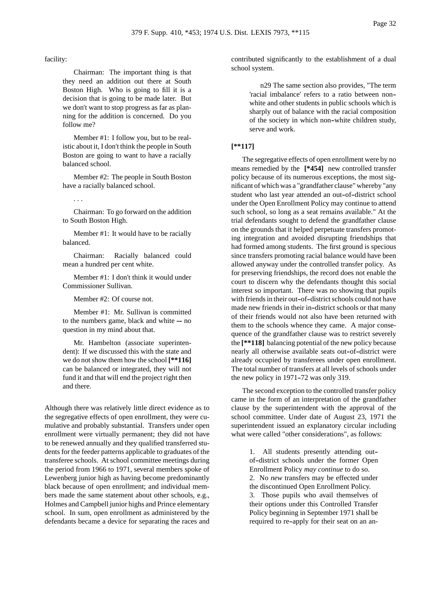## facility:

Chairman: The important thing is that they need an addition out there at South Boston High. Who is going to fill it is a decision that is going to be made later. But we don't want to stop progress as far as planning for the addition is concerned. Do you follow me?

Member #1: I follow you, but to be realistic about it, I don't think the people in South Boston are going to want to have a racially balanced school.

Member #2: The people in South Boston have a racially balanced school.

. . .

Chairman: To go forward on the addition to South Boston High.

Member #1: It would have to be racially balanced.

Chairman: Racially balanced could mean a hundred per cent white.

Member #1: I don't think it would under Commissioner Sullivan.

Member #2: Of course not.

Member #1: Mr. Sullivan is committed to the numbers game, black and white  $-$  no question in my mind about that.

Mr. Hambelton (associate superintendent): If we discussed this with the state and we do not show them how the school **[\*\*116]** can be balanced or integrated, they will not fund it and that will end the project right then and there.

Although there was relatively little direct evidence as to the segregative effects of open enrollment, they were cumulative and probably substantial. Transfers under open enrollment were virtually permanent; they did not have to be renewed annually and they qualified transferred students for the feeder patterns applicable to graduates of the transferee schools. At school committee meetings during the period from 1966 to 1971, several members spoke of Lewenberg junior high as having become predominantly black because of open enrollment; and individual members made the same statement about other schools, e.g., Holmes and Campbell junior highs and Prince elementary school. In sum, open enrollment as administered by the defendants became a device for separating the races and

contributed significantly to the establishment of a dual school system.

> n29 The same section also provides, "The term 'racial imbalance' refers to a ratio between non- white and other students in public schools which is sharply out of balance with the racial composition of the society in which non--white children study, serve and work.

#### **[\*\*117]**

The segregative effects of open enrollment were by no means remedied by the **[\*454]** new controlled transfer policy because of its numerous exceptions, the most significant of which was a "grandfather clause" whereby "any student who last year attended an out-of-district school under the Open Enrollment Policy may continue to attend such school, so long as a seat remains available." At the trial defendants sought to defend the grandfather clause on the grounds that it helped perpetuate transfers promoting integration and avoided disrupting friendships that had formed among students. The first ground is specious since transfers promoting racial balance would have been allowed anyway under the controlled transfer policy. As for preserving friendships, the record does not enable the court to discern why the defendants thought this social interest so important. There was no showing that pupils with friends in their out-of-district schools could not have made new friends in their in-district schools or that many of their friends would not also have been returned with them to the schools whence they came. A major consequence of the grandfather clause was to restrict severely the **[\*\*118]** balancing potential of the new policy because nearly all otherwise available seats out-of-district were already occupied by transferees under open enrollment. The total number of transfers at all levels of schools under the new policy in  $1971-72$  was only 319.

The second exception to the controlled transfer policy came in the form of an interpretation of the grandfather clause by the superintendent with the approval of the school committee. Under date of August 23, 1971 the superintendent issued an explanatory circular including what were called "other considerations", as follows:

> 1. All students presently attending out- of--district schools under the former Open Enrollment Policy *may continue* to do so. 2. No *new* transfers may be effected under the discontinued Open Enrollment Policy. 3. Those pupils who avail themselves of their options under this Controlled Transfer Policy beginning in September 1971 shall be required to re--apply for their seat on an an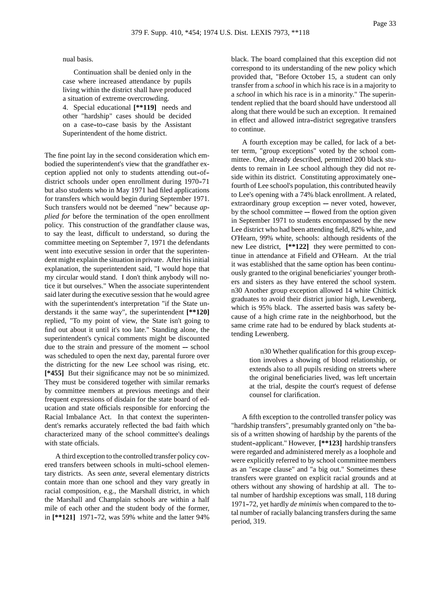nual basis.

Continuation shall be denied only in the case where increased attendance by pupils living within the district shall have produced a situation of extreme overcrowding.

4. Special educational **[\*\*119]** needs and other "hardship" cases should be decided on a case-to-case basis by the Assistant Superintendent of the home district.

The fine point lay in the second consideration which embodied the superintendent's view that the grandfather exception applied not only to students attending out-ofdistrict schools under open enrollment during 1970-71 but also students who in May 1971 had filed applications for transfers which would begin during September 1971. Such transfers would not be deemed "new" because *applied for* before the termination of the open enrollment policy. This construction of the grandfather clause was, to say the least, difficult to understand, so during the committee meeting on September 7, 1971 the defendants went into executive session in order that the superintendent might explain the situation in private. After his initial explanation, the superintendent said, "I would hope that my circular would stand. I don't think anybody will notice it but ourselves." When the associate superintendent said later during the executive session that he would agree with the superintendent's interpretation "if the State understands it the same way", the superintendent **[\*\*120]** replied, "To my point of view, the State isn't going to find out about it until it's too late." Standing alone, the superintendent's cynical comments might be discounted due to the strain and pressure of the moment  $-$  school was scheduled to open the next day, parental furore over the districting for the new Lee school was rising, etc. **[\*455]** But their significance may not be so minimized. They must be considered together with similar remarks by committee members at previous meetings and their frequent expressions of disdain for the state board of education and state officials responsible for enforcing the Racial Imbalance Act. In that context the superintendent's remarks accurately reflected the bad faith which characterized many of the school committee's dealings with state officials.

A third exception to the controlled transfer policy covered transfers between schools in multi-school elementary districts. As seen *ante*, several elementary districts contain more than one school and they vary greatly in racial composition, e.g., the Marshall district, in which the Marshall and Champlain schools are within a half mile of each other and the student body of the former, in  $[**121]$  1971-72, was 59% white and the latter 94%

black. The board complained that this exception did not correspond to its understanding of the new policy which provided that, "Before October 15, a student can only transfer from a *school* in which his race is in a majority to a *school* in which his race is in a minority." The superintendent replied that the board should have understood all along that there would be such an exception. It remained in effect and allowed intra-district segregative transfers to continue.

A fourth exception may be called, for lack of a better term, "group exceptions" voted by the school committee. One, already described, permitted 200 black students to remain in Lee school although they did not reside within its district. Constituting approximately one- fourth of Lee school's population, this contributed heavily to Lee's opening with a 74% black enrollment. A related, extraordinary group exception ---- never voted, however, by the school committee  $-$  flowed from the option given in September 1971 to students encompassed by the new Lee district who had been attending field, 82% white, and O'Hearn, 99% white, schools: although residents of the new Lee district, **[\*\*122]** they were permitted to continue in attendance at Fifield and O'Hearn. At the trial it was established that the same option has been continuously granted to the original beneficiaries' younger brothers and sisters as they have entered the school system. n30 Another group exception allowed 14 white Chittick graduates to avoid their district junior high, Lewenberg, which is 95% black. The asserted basis was safety because of a high crime rate in the neighborhood, but the same crime rate had to be endured by black students attending Lewenberg.

> n30 Whether qualification for this group exception involves a showing of blood relationship, or extends also to all pupils residing on streets where the original beneficiaries lived, was left uncertain at the trial, despite the court's request of defense counsel for clarification.

A fifth exception to the controlled transfer policy was "hardship transfers", presumably granted only on "the basis of a written showing of hardship by the parents of the student--applicant." However, **[\*\*123]** hardship transfers were regarded and administered merely as a loophole and were explicitly referred to by school committee members as an "escape clause" and "a big out." Sometimes these transfers were granted on explicit racial grounds and at others without any showing of hardship at all. The total number of hardship exceptions was small, 118 during 1971-72, yet hardly *de minimis* when compared to the total number of racially balancing transfers during the same period, 319.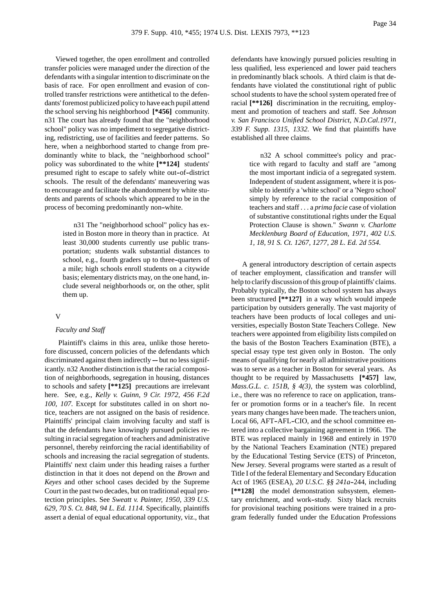Viewed together, the open enrollment and controlled transfer policies were managed under the direction of the defendants with a singular intention to discriminate on the basis of race. For open enrollment and evasion of controlled transfer restrictions were antithetical to the defendants' foremost publicized policy to have each pupil attend the school serving his neighborhood **[\*456]** community. n31 The court has already found that the "neighborhood school" policy was no impediment to segregative districting, redistricting, use of facilities and feeder patterns. So here, when a neighborhood started to change from predominantly white to black, the "neighborhood school" policy was subordinated to the white **[\*\*124]** students' presumed right to escape to safely white out-of-district schools. The result of the defendants' maneuvering was to encourage and facilitate the abandonment by white students and parents of schools which appeared to be in the process of becoming predominantly non-white.

> n31 The "neighborhood school" policy has existed in Boston more in theory than in practice. At least 30,000 students currently use public transportation; students walk substantial distances to school, e.g., fourth graders up to three-quarters of a mile; high schools enroll students on a citywide basis; elementary districts may, on the one hand, include several neighborhoods or, on the other, split them up.

## V

#### *Faculty and Staff*

Plaintiff's claims in this area, unlike those heretofore discussed, concern policies of the defendants which  $discriminated against them indirectly - but no less significant$ icantly. n32 Another distinction is that the racial composition of neighborhoods, segregation in housing, distances to schools and safety **[\*\*125]** precautions are irrelevant here. See, e.g., *Kelly v. Guinn, 9 Cir. 1972, 456 F.2d 100, 107.* Except for substitutes called in on short notice, teachers are not assigned on the basis of residence. Plaintiffs' principal claim involving faculty and staff is that the defendants have knowingly pursued policies resulting in racial segregation of teachers and administrative personnel, thereby reinforcing the racial identifiability of schools and increasing the racial segregation of students. Plaintiffs' next claim under this heading raises a further distinction in that it does not depend on the *Brown* and *Keyes* and other school cases decided by the Supreme Court in the past two decades, but on traditional equal protection principles. See *Sweatt v. Painter, 1950, 339 U.S. 629, 70 S. Ct. 848, 94 L. Ed. 1114.* Specifically, plaintiffs assert a denial of equal educational opportunity, viz., that

defendants have knowingly pursued policies resulting in less qualified, less experienced and lower paid teachers in predominantly black schools. A third claim is that defendants have violated the constitutional right of public school students to have the school system operated free of racial **[\*\*126]** discrimination in the recruiting, employment and promotion of teachers and staff. See *Johnson v. San Francisco Unified School District, N.D.Cal.1971, 339 F. Supp. 1315, 1332.* We find that plaintiffs have established all three claims.

> n32 A school committee's policy and practice with regard to faculty and staff are "among the most important indicia of a segregated system. Independent of student assignment, where it is possible to identify a 'white school' or a 'Negro school' simply by reference to the racial composition of teachers and staff . . . a *prima facie* case of violation of substantive constitutional rights under the Equal Protection Clause is shown." *Swann v. Charlotte Mecklenburg Board of Education, 1971, 402 U.S. 1, 18, 91 S. Ct. 1267, 1277, 28 L. Ed. 2d 554.*

A general introductory description of certain aspects of teacher employment, classification and transfer will help to clarify discussion of this group of plaintiffs' claims. Probably typically, the Boston school system has always been structured **[\*\*127]** in a way which would impede participation by outsiders generally. The vast majority of teachers have been products of local colleges and universities, especially Boston State Teachers College. New teachers were appointed from eligibility lists compiled on the basis of the Boston Teachers Examination (BTE), a special essay type test given only in Boston. The only means of qualifying for nearly all administrative positions was to serve as a teacher in Boston for several years. As thought to be required by Massachusetts **[\*457]** law, *Mass.G.L. c. 151B, § 4(3)*, the system was colorblind, i.e., there was no reference to race on application, transfer or promotion forms or in a teacher's file. In recent years many changes have been made. The teachers union, Local 66, AFT-AFL-CIO, and the school committee entered into a collective bargaining agreement in 1966. The BTE was replaced mainly in 1968 and entirely in 1970 by the National Teachers Examination (NTE) prepared by the Educational Testing Service (ETS) of Princeton, New Jersey. Several programs were started as a result of Title I of the federal Elementary and Secondary Education Act of 1965 (ESEA), *20 U.S.C.* §§ 241a-244, including **[\*\*128]** the model demonstration subsystem, elementary enrichment, and work--study. Sixty black recruits for provisional teaching positions were trained in a program federally funded under the Education Professions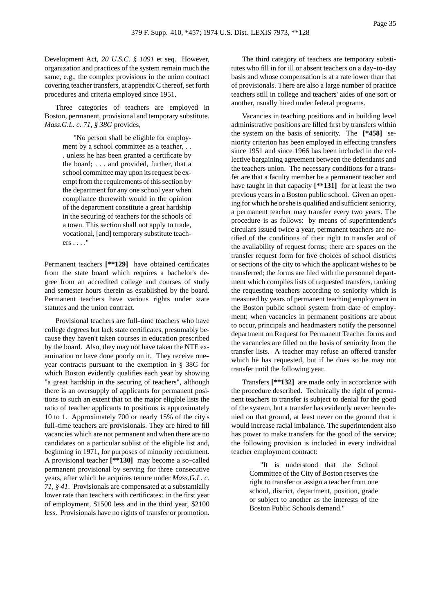Development Act, *20 U.S.C. § 1091* et seq. However, organization and practices of the system remain much the same, e.g., the complex provisions in the union contract covering teacher transfers, at appendix C thereof, set forth procedures and criteria employed since 1951.

Three categories of teachers are employed in Boston, permanent, provisional and temporary substitute. *Mass.G.L. c. 71, § 38G* provides,

> "No person shall be eligible for employment by a school committee as a teacher, . . . unless he has been granted a certificate by the board; . . . and provided, further, that a school committee may upon its request be exempt from the requirements of this section by the department for any one school year when compliance therewith would in the opinion of the department constitute a great hardship in the securing of teachers for the schools of a town. This section shall not apply to trade, vocational, [and] temporary substitute teachers . . . ."

Permanent teachers **[\*\*129]** have obtained certificates from the state board which requires a bachelor's degree from an accredited college and courses of study and semester hours therein as established by the board. Permanent teachers have various rights under state statutes and the union contract.

Provisional teachers are full-time teachers who have college degrees but lack state certificates, presumably because they haven't taken courses in education prescribed by the board. Also, they may not have taken the NTE examination or have done poorly on it. They receive one- year contracts pursuant to the exemption in § 38G for which Boston evidently qualifies each year by showing "a great hardship in the securing of teachers", although there is an oversupply of applicants for permanent positions to such an extent that on the major eligible lists the ratio of teacher applicants to positions is approximately 10 to 1. Approximately 700 or nearly 15% of the city's full-time teachers are provisionals. They are hired to fill vacancies which are not permanent and when there are no candidates on a particular sublist of the eligible list and, beginning in 1971, for purposes of minority recruitment. A provisional teacher **[\*\*130]** may become a so--called permanent provisional by serving for three consecutive years, after which he acquires tenure under *Mass.G.L. c. 71, § 41*. Provisionals are compensated at a substantially lower rate than teachers with certificates: in the first year of employment, \$1500 less and in the third year, \$2100 less. Provisionals have no rights of transfer or promotion.

The third category of teachers are temporary substitutes who fill in for ill or absent teachers on a day-to-day basis and whose compensation is at a rate lower than that of provisionals. There are also a large number of practice teachers still in college and teachers' aides of one sort or another, usually hired under federal programs.

Vacancies in teaching positions and in building level administrative positions are filled first by transfers within the system on the basis of seniority. The **[\*458]** seniority criterion has been employed in effecting transfers since 1951 and since 1966 has been included in the collective bargaining agreement between the defendants and the teachers union. The necessary conditions for a transfer are that a faculty member be a permanent teacher and have taught in that capacity **[\*\*131]** for at least the two previous years in a Boston public school. Given an opening for which he or she is qualified and sufficient seniority, a permanent teacher may transfer every two years. The procedure is as follows: by means of superintendent's circulars issued twice a year, permanent teachers are notified of the conditions of their right to transfer and of the availability of request forms; there are spaces on the transfer request form for five choices of school districts or sections of the city to which the applicant wishes to be transferred; the forms are filed with the personnel department which compiles lists of requested transfers, ranking the requesting teachers according to seniority which is measured by years of permanent teaching employment in the Boston public school system from date of employment; when vacancies in permanent positions are about to occur, principals and headmasters notify the personnel department on Request for Permanent Teacher forms and the vacancies are filled on the basis of seniority from the transfer lists. A teacher may refuse an offered transfer which he has requested, but if he does so he may not transfer until the following year.

Transfers **[\*\*132]** are made only in accordance with the procedure described. Technically the right of permanent teachers to transfer is subject to denial for the good of the system, but a transfer has evidently never been denied on that ground, at least never on the ground that it would increase racial imbalance. The superintendent also has power to make transfers for the good of the service; the following provision is included in every individual teacher employment contract:

> "It is understood that the School Committee of the City of Boston reserves the right to transfer or assign a teacher from one school, district, department, position, grade or subject to another as the interests of the Boston Public Schools demand."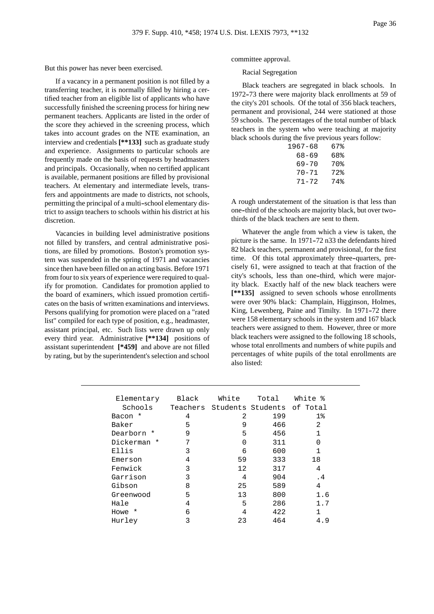But this power has never been exercised.

If a vacancy in a permanent position is not filled by a transferring teacher, it is normally filled by hiring a certified teacher from an eligible list of applicants who have successfully finished the screening process for hiring new permanent teachers. Applicants are listed in the order of the score they achieved in the screening process, which takes into account grades on the NTE examination, an interview and credentials **[\*\*133]** such as graduate study and experience. Assignments to particular schools are frequently made on the basis of requests by headmasters and principals. Occasionally, when no certified applicant is available, permanent positions are filled by provisional teachers. At elementary and intermediate levels, transfers and appointments are made to districts, not schools, permitting the principal of a multi--school elementary district to assign teachers to schools within his district at his discretion.

Vacancies in building level administrative positions not filled by transfers, and central administrative positions, are filled by promotions. Boston's promotion system was suspended in the spring of 1971 and vacancies since then have been filled on an acting basis. Before 1971 from four to six years of experience were required to qualify for promotion. Candidates for promotion applied to the board of examiners, which issued promotion certificates on the basis of written examinations and interviews. Persons qualifying for promotion were placed on a "rated list" compiled for each type of position, e.g., headmaster, assistant principal, etc. Such lists were drawn up only every third year. Administrative **[\*\*134]** positions of assistant superintendent **[\*459]** and above are not filled by rating, but by the superintendent's selection and school

committee approval.

Racial Segregation

Black teachers are segregated in black schools. In 1972-73 there were majority black enrollments at 59 of the city's 201 schools. Of the total of 356 black teachers, permanent and provisional, 244 were stationed at those 59 schools. The percentages of the total number of black teachers in the system who were teaching at majority black schools during the five previous years follow:

| 67% |
|-----|
| 68% |
| 70% |
| 72% |
| 74% |
|     |

A rough understatement of the situation is that less than one--third of the schools are majority black, but over two- thirds of the black teachers are sent to them.

Whatever the angle from which a view is taken, the picture is the same. In 1971–72 n33 the defendants hired 82 black teachers, permanent and provisional, for the first time. Of this total approximately three-quarters, precisely 61, were assigned to teach at that fraction of the city's schools, less than one--third, which were majority black. Exactly half of the new black teachers were **[\*\*135]** assigned to seven schools whose enrollments were over 90% black: Champlain, Higginson, Holmes, King, Lewenberg, Paine and Timilty. In 1971-72 there were 158 elementary schools in the system and 167 black teachers were assigned to them. However, three or more black teachers were assigned to the following 18 schools, whose total enrollments and numbers of white pupils and percentages of white pupils of the total enrollments are also listed:

| Elementary  | Black | White | Total                               | White % |
|-------------|-------|-------|-------------------------------------|---------|
| Schools     |       |       | Teachers Students Students of Total |         |
| *<br>Bacon  | 4     | 2     | 199                                 | $1\%$   |
| Baker       | 5     | 9     | 466                                 | 2       |
| Dearborn *  | 9     | 5     | 456                                 |         |
| Dickerman * | 7     | 0     | 311                                 | U       |
| Ellis       | 3     | 6     | 600                                 | 1       |
| Emerson     | 4     | 59    | 333                                 | 18      |
| Fenwick     | 3     | 12    | 317                                 | 4       |
| Garrison    | 3     | 4     | 904                                 | . 4     |
| Gibson      | 8     | 25    | 589                                 | 4       |
| Greenwood   | 5     | 13    | 800                                 | 1.6     |
| Hale        | 4     | 5     | 286                                 | 1.7     |
| Howe *      | 6     | 4     | 422                                 | 1       |
| Hurley      | 3     | 23    | 464                                 | 4.9     |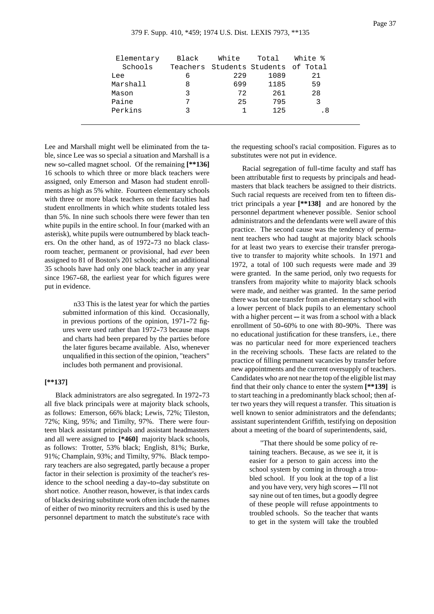| Elementary | Black | White | Total                               | White % |
|------------|-------|-------|-------------------------------------|---------|
| Schools    |       |       | Teachers Students Students of Total |         |
| Lee        | 6     | 229   | 1089                                | 21      |
| Marshall   | 8     | 699   | 1185                                | 59      |
| Mason      | ર     | 72    | 261                                 | 28      |
| Paine      |       | 25    | 795                                 |         |
| Perkins    | っ     |       | 125                                 | . 8     |
|            |       |       |                                     |         |

Lee and Marshall might well be eliminated from the table, since Lee was so special a situation and Marshall is a new so--called magnet school. Of the remaining **[\*\*136]** 16 schools to which three or more black teachers were assigned, only Emerson and Mason had student enrollments as high as 5% white. Fourteen elementary schools with three or more black teachers on their faculties had student enrollments in which white students totaled less than 5%. In nine such schools there were fewer than ten white pupils in the entire school. In four (marked with an asterisk), white pupils were outnumbered by black teachers. On the other hand, as of 1972-73 no black classroom teacher, permanent or provisional, had *ever* been assigned to 81 of Boston's 201 schools; and an additional 35 schools have had only one black teacher in any year since 1967-68, the earliest year for which figures were put in evidence.

> n33 This is the latest year for which the parties submitted information of this kind. Occasionally, in previous portions of the opinion, 1971-72 figures were used rather than 1972--73 because maps and charts had been prepared by the parties before the later figures became available. Also, whenever unqualified in this section of the opinion, "teachers" includes both permanent and provisional.

### **[\*\*137]**

Black administrators are also segregated. In 1972-73 all five black principals were at majority black schools, as follows: Emerson, 66% black; Lewis, 72%; Tileston, 72%; King, 95%; and Timilty, 97%. There were fourteen black assistant principals and assistant headmasters and all were assigned to **[\*460]** majority black schools, as follows: Trotter, 53% black; English, 81%; Burke, 91%; Champlain, 93%; and Timilty, 97%. Black temporary teachers are also segregated, partly because a proper factor in their selection is proximity of the teacher's residence to the school needing a day-to-day substitute on short notice. Another reason, however, is that index cards of blacks desiring substitute work often include the names of either of two minority recruiters and this is used by the personnel department to match the substitute's race with

the requesting school's racial composition. Figures as to substitutes were not put in evidence.

Racial segregation of full-time faculty and staff has been attributable first to requests by principals and headmasters that black teachers be assigned to their districts. Such racial requests are received from ten to fifteen district principals a year **[\*\*138]** and are honored by the personnel department whenever possible. Senior school administrators and the defendants were well aware of this practice. The second cause was the tendency of permanent teachers who had taught at majority black schools for at least two years to exercise their transfer prerogative to transfer to majority white schools. In 1971 and 1972, a total of 100 such requests were made and 39 were granted. In the same period, only two requests for transfers from majority white to majority black schools were made, and neither was granted. In the same period there was but one transfer from an elementary school with a lower percent of black pupils to an elementary school with a higher percent  $-$  it was from a school with a black enrollment of 50-60% to one with 80-90%. There was no educational justification for these transfers, i.e., there was no particular need for more experienced teachers in the receiving schools. These facts are related to the practice of filling permanent vacancies by transfer before new appointments and the current oversupply of teachers. Candidates who are not near the top of the eligible list may find that their only chance to enter the system **[\*\*139]** is to start teaching in a predominantly black school; then after two years they will request a transfer. This situation is well known to senior administrators and the defendants: assistant superintendent Griffith, testifying on deposition about a meeting of the board of superintendents, said,

> "That there should be some policy of retaining teachers. Because, as we see it, it is easier for a person to gain access into the school system by coming in through a troubled school. If you look at the top of a list and you have very, very high scores ---- I'll not say nine out of ten times, but a goodly degree of these people will refuse appointments to troubled schools. So the teacher that wants to get in the system will take the troubled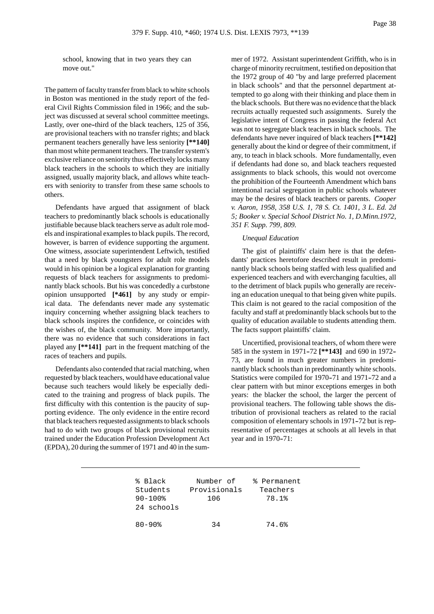school, knowing that in two years they can move out."

The pattern of faculty transfer from black to white schools in Boston was mentioned in the study report of the federal Civil Rights Commission filed in 1966; and the subject was discussed at several school committee meetings. Lastly, over one-third of the black teachers, 125 of 356, are provisional teachers with no transfer rights; and black permanent teachers generally have less seniority **[\*\*140]** than most white permanent teachers. The transfer system's exclusive reliance on seniority thus effectively locks many black teachers in the schools to which they are initially assigned, usually majority black, and allows white teachers with seniority to transfer from these same schools to others.

Defendants have argued that assignment of black teachers to predominantly black schools is educationally justifiable because black teachers serve as adult role models and inspirational examples to black pupils. The record, however, is barren of evidence supporting the argument. One witness, associate superintendent Leftwich, testified that a need by black youngsters for adult role models would in his opinion be a logical explanation for granting requests of black teachers for assignments to predominantly black schools. But his was concededly a curbstone opinion unsupported **[\*461]** by any study or empirical data. The defendants never made any systematic inquiry concerning whether assigning black teachers to black schools inspires the confidence, or coincides with the wishes of, the black community. More importantly, there was no evidence that such considerations in fact played any **[\*\*141]** part in the frequent matching of the races of teachers and pupils.

Defendants also contended that racial matching, when requested by black teachers, would have educational value because such teachers would likely be especially dedicated to the training and progress of black pupils. The first difficulty with this contention is the paucity of supporting evidence. The only evidence in the entire record that black teachers requested assignments to black schools had to do with two groups of black provisional recruits trained under the Education Profession Development Act (EPDA), 20 during the summer of 1971 and 40 in the summer of 1972. Assistant superintendent Griffith, who is in charge of minority recruitment, testified on deposition that the 1972 group of 40 "by and large preferred placement in black schools" and that the personnel department attempted to go along with their thinking and place them in the black schools. But there was no evidence that the black recruits actually requested such assignments. Surely the legislative intent of Congress in passing the federal Act was not to segregate black teachers in black schools. The defendants have never inquired of black teachers **[\*\*142]** generally about the kind or degree of their commitment, if any, to teach in black schools. More fundamentally, even if defendants had done so, and black teachers requested assignments to black schools, this would not overcome the prohibition of the Fourteenth Amendment which bans intentional racial segregation in public schools whatever may be the desires of black teachers or parents. *Cooper v. Aaron, 1958, 358 U.S. 1, 78 S. Ct. 1401, 3 L. Ed. 2d 5; Booker v. Special School District No. 1, D.Minn.1972, 351 F. Supp. 799, 809.*

## *Unequal Education*

The gist of plaintiffs' claim here is that the defendants' practices heretofore described result in predominantly black schools being staffed with less qualified and experienced teachers and with everchanging faculties, all to the detriment of black pupils who generally are receiving an education unequal to that being given white pupils. This claim is not geared to the racial composition of the faculty and staff at predominantly black schools but to the quality of education available to students attending them. The facts support plaintiffs' claim.

Uncertified, provisional teachers, of whom there were 585 in the system in 1971-72 [\*\***143**] and 690 in 1972-73, are found in much greater numbers in predominantly black schools than in predominantly white schools. Statistics were compiled for 1970-71 and 1971-72 and a clear pattern with but minor exceptions emerges in both years: the blacker the school, the larger the percent of provisional teachers. The following table shows the distribution of provisional teachers as related to the racial composition of elementary schools in 1971-72 but is representative of percentages at schools at all levels in that year and in 1970–71:

| % Black<br>Students<br>$90 - 100$ %<br>24 schools | Number of<br>Provisionals<br>106 | % Permanent<br>Teachers<br>78.1% |  |
|---------------------------------------------------|----------------------------------|----------------------------------|--|
| $80 - 90$                                         | 34                               | 74.6%                            |  |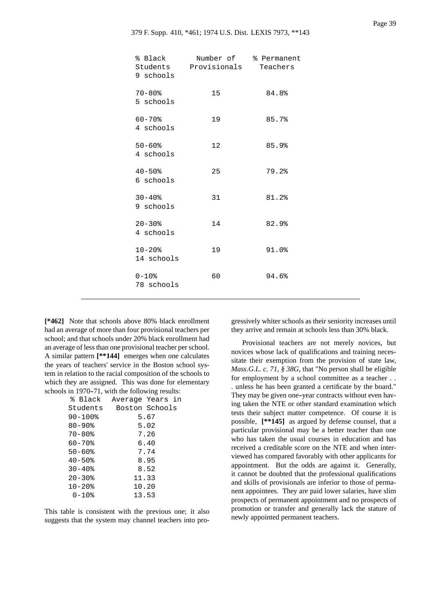| % Black<br>9 schools      | Students Provisionals | Number of % Permanent<br>Teachers |
|---------------------------|-----------------------|-----------------------------------|
| $70 - 80$ %<br>5 schools  | 15                    | 84.8%                             |
| $60 - 70$ %<br>4 schools  | 19                    | 85.7%                             |
| $50 - 60$ %<br>4 schools  | 12.                   | 85.9%                             |
| $40 - 50$ %<br>6 schools  | 25                    | 79.2%                             |
| $30 - 40$ %<br>9 schools  | 31                    | 81.2%                             |
| $20 - 30$ %<br>4 schools  | 14                    | 82.9%                             |
| $10 - 20$ %<br>14 schools | 19                    | 91.0%                             |
| $0 - 10$ %<br>78 schools  | 60                    | 94.6%                             |

**[\*462]** Note that schools above 80% black enrollment had an average of more than four provisional teachers per school; and that schools under 20% black enrollment had an average of less than one provisional teacher per school. A similar pattern **[\*\*144]** emerges when one calculates the years of teachers' service in the Boston school system in relation to the racial composition of the schools to which they are assigned. This was done for elementary schools in 1970-71, with the following results:

| % Black                | Average Years in |      |  |
|------------------------|------------------|------|--|
| Students               | Boston Schools   |      |  |
| $90 - 100$ %           |                  | 5.67 |  |
| $80 - 90$              |                  | 5.02 |  |
| $70 - 80$              |                  | 7.26 |  |
| $60 - 70$              |                  | 6.40 |  |
| $50 - 60$ <sup>8</sup> |                  | 7.74 |  |
| $40 - 50$ %            |                  | 8.95 |  |
| $30 - 40$ <sup>8</sup> |                  | 8.52 |  |
| $20 - 30$ %            | 11.33            |      |  |
| $10 - 20$ $%$          | 10.20            |      |  |
| $0 - 10$ %             | 13.53            |      |  |
|                        |                  |      |  |

This table is consistent with the previous one; it also suggests that the system may channel teachers into progressively whiter schools as their seniority increases until they arrive and remain at schools less than 30% black.

Provisional teachers are not merely novices, but novices whose lack of qualifications and training necessitate their exemption from the provision of state law, *Mass.G.L. c. 71, § 38G*, that "No person shall be eligible for employment by a school committee as a teacher . . . unless he has been granted a certificate by the board." They may be given one-year contracts without even having taken the NTE or other standard examination which tests their subject matter competence. Of course it is possible, **[\*\*145]** as argued by defense counsel, that a particular provisional may be a better teacher than one who has taken the usual courses in education and has received a creditable score on the NTE and when interviewed has compared favorably with other applicants for appointment. But the odds are against it. Generally, it cannot be doubted that the professional qualifications and skills of provisionals are inferior to those of permanent appointees. They are paid lower salaries, have slim prospects of permanent appointment and no prospects of promotion or transfer and generally lack the stature of newly appointed permanent teachers.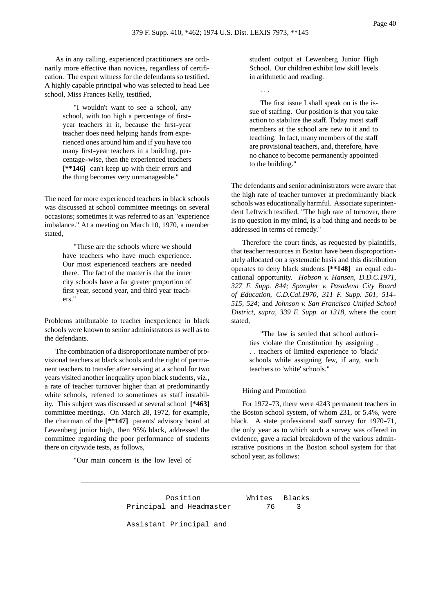As in any calling, experienced practitioners are ordinarily more effective than novices, regardless of certification. The expert witness for the defendants so testified. A highly capable principal who was selected to head Lee school, Miss Frances Kelly, testified,

> "I wouldn't want to see a school, any school, with too high a percentage of first- year teachers in it, because the first-year teacher does need helping hands from experienced ones around him and if you have too many first-year teachers in a building, percentage--wise, then the experienced teachers **[\*\*146]** can't keep up with their errors and the thing becomes very unmanageable."

The need for more experienced teachers in black schools was discussed at school committee meetings on several occasions; sometimes it was referred to as an "experience imbalance." At a meeting on March 10, 1970, a member stated,

> "These are the schools where we should have teachers who have much experience. Our most experienced teachers are needed there. The fact of the matter is that the inner city schools have a far greater proportion of first year, second year, and third year teachers."

Problems attributable to teacher inexperience in black schools were known to senior administrators as well as to the defendants.

The combination of a disproportionate number of provisional teachers at black schools and the right of permanent teachers to transfer after serving at a school for two years visited another inequality upon black students, viz., a rate of teacher turnover higher than at predominantly white schools, referred to sometimes as staff instability. This subject was discussed at several school **[\*463]** committee meetings. On March 28, 1972, for example, the chairman of the **[\*\*147]** parents' advisory board at Lewenberg junior high, then 95% black, addressed the committee regarding the poor performance of students there on citywide tests, as follows,

"Our main concern is the low level of

student output at Lewenberg Junior High School. Our children exhibit low skill levels in arithmetic and reading.

. . .

The first issue I shall speak on is the issue of staffing. Our position is that you take action to stabilize the staff. Today most staff members at the school are new to it and to teaching. In fact, many members of the staff are provisional teachers, and, therefore, have no chance to become permanently appointed to the building."

The defendants and senior administrators were aware that the high rate of teacher turnover at predominantly black schools was educationally harmful. Associate superintendent Leftwich testified, "The high rate of turnover, there is no question in my mind, is a bad thing and needs to be addressed in terms of remedy."

Therefore the court finds, as requested by plaintiffs, that teacher resources in Boston have been disproportionately allocated on a systematic basis and this distribution operates to deny black students **[\*\*148]** an equal educational opportunity. *Hobson v. Hansen, D.D.C.1971, 327 F. Supp. 844; Spangler v. Pasadena City Board of Education, C.D.Cal.1970, 311 F. Supp. 501, 514-- 515, 524;* and *Johnson v. San Francisco Unified School District, supra, 339 F. Supp. at 1318,* where the court stated,

> "The law is settled that school authorities violate the Constitution by assigning . . . teachers of limited experience to 'black' schools while assigning few, if any, such teachers to 'white' schools."

#### Hiring and Promotion

For 1972-73, there were 4243 permanent teachers in the Boston school system, of whom 231, or 5.4%, were black. A state professional staff survey for 1970-71, the only year as to which such a survey was offered in evidence, gave a racial breakdown of the various administrative positions in the Boston school system for that school year, as follows:

Position Whites Blacks Principal and Headmaster 76 3 Assistant Principal and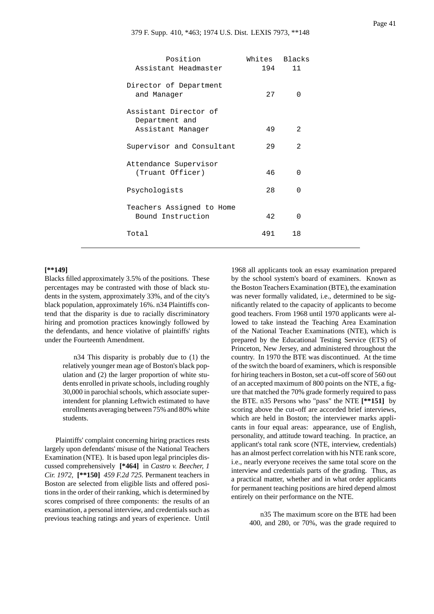| Position<br>Assistant Headmaster                             | Whites Blacks<br>194 | 11             |
|--------------------------------------------------------------|----------------------|----------------|
| Director of Department<br>and Manager                        | 2.7                  | <sup>0</sup>   |
| Assistant Director of<br>Department and<br>Assistant Manager | 49                   | $\mathfrak{D}$ |
| Supervisor and Consultant                                    | 29                   | $\mathfrak{D}$ |
| Attendance Supervisor<br>(Truant Officer)                    | 46                   | <sup>0</sup>   |
| Psychologists                                                | 28                   | <sup>0</sup>   |
| Teachers Assigned to Home<br>Bound Instruction               | 42                   | <sup>0</sup>   |
| Total                                                        | 491                  | 18             |

## **[\*\*149]**

Blacks filled approximately 3.5% of the positions. These percentages may be contrasted with those of black students in the system, approximately 33%, and of the city's black population, approximately 16%. n34 Plaintiffs contend that the disparity is due to racially discriminatory hiring and promotion practices knowingly followed by the defendants, and hence violative of plaintiffs' rights under the Fourteenth Amendment.

> n34 This disparity is probably due to (1) the relatively younger mean age of Boston's black population and (2) the larger proportion of white students enrolled in private schools, including roughly 30,000 in parochial schools, which associate superintendent for planning Leftwich estimated to have enrollments averaging between 75% and 80% white students.

Plaintiffs' complaint concerning hiring practices rests largely upon defendants' misuse of the National Teachers Examination (NTE). It is based upon legal principles discussed comprehensively **[\*464]** in *Castro v. Beecher, 1 Cir. 1972,* **[\*\*150]** *459 F.2d 725.* Permanent teachers in Boston are selected from eligible lists and offered positions in the order of their ranking, which is determined by scores comprised of three components: the results of an examination, a personal interview, and credentials such as previous teaching ratings and years of experience. Until

1968 all applicants took an essay examination prepared by the school system's board of examiners. Known as the Boston Teachers Examination (BTE), the examination was never formally validated, i.e., determined to be significantly related to the capacity of applicants to become good teachers. From 1968 until 1970 applicants were allowed to take instead the Teaching Area Examination of the National Teacher Examinations (NTE), which is prepared by the Educational Testing Service (ETS) of Princeton, New Jersey, and administered throughout the country. In 1970 the BTE was discontinued. At the time of the switch the board of examiners, which is responsible for hiring teachers in Boston, set a cut-off score of 560 out of an accepted maximum of 800 points on the NTE, a figure that matched the 70% grade formerly required to pass the BTE. n35 Persons who "pass" the NTE **[\*\*151]** by scoring above the cut-off are accorded brief interviews, which are held in Boston; the interviewer marks applicants in four equal areas: appearance, use of English, personality, and attitude toward teaching. In practice, an applicant's total rank score (NTE, interview, credentials) has an almost perfect correlation with his NTE rank score, i.e., nearly everyone receives the same total score on the interview and credentials parts of the grading. Thus, as a practical matter, whether and in what order applicants for permanent teaching positions are hired depend almost entirely on their performance on the NTE.

> n35 The maximum score on the BTE had been 400, and 280, or 70%, was the grade required to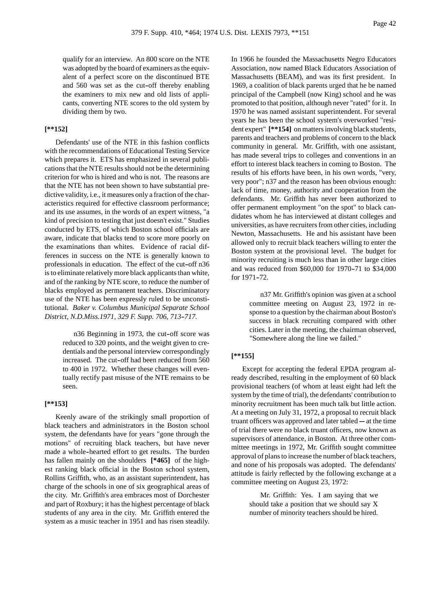qualify for an interview. An 800 score on the NTE was adopted by the board of examiners as the equivalent of a perfect score on the discontinued BTE and 560 was set as the cut-off thereby enabling the examiners to mix new and old lists of applicants, converting NTE scores to the old system by dividing them by two.

## **[\*\*152]**

Defendants' use of the NTE in this fashion conflicts with the recommendations of Educational Testing Service which prepares it. ETS has emphasized in several publications that the NTE results should not be the determining criterion for who is hired and who is not. The reasons are that the NTE has not been shown to have substantial predictive validity, i.e., it measures only a fraction of the characteristics required for effective classroom performance; and its use assumes, in the words of an expert witness, "a kind of precision to testing that just doesn't exist." Studies conducted by ETS, of which Boston school officials are aware, indicate that blacks tend to score more poorly on the examinations than whites. Evidence of racial differences in success on the NTE is generally known to professionals in education. The effect of the cut-off n36 is to eliminate relatively more black applicants than white, and of the ranking by NTE score, to reduce the number of blacks employed as permanent teachers. Discriminatory use of the NTE has been expressly ruled to be unconstitutional. *Baker v. Columbus Municipal Separate School District, N.D.Miss.1971, 329 F. Supp. 706, 713--717.*

> n36 Beginning in 1973, the cut-off score was reduced to 320 points, and the weight given to credentials and the personal interview correspondingly increased. The cut-off had been reduced from 560 to 400 in 1972. Whether these changes will eventually rectify past misuse of the NTE remains to be seen.

# **[\*\*153]**

Keenly aware of the strikingly small proportion of black teachers and administrators in the Boston school system, the defendants have for years "gone through the motions" of recruiting black teachers, but have never made a whole-hearted effort to get results. The burden has fallen mainly on the shoulders **[\*465]** of the highest ranking black official in the Boston school system, Rollins Griffith, who, as an assistant superintendent, has charge of the schools in one of six geographical areas of the city. Mr. Griffith's area embraces most of Dorchester and part of Roxbury; it has the highest percentage of black students of any area in the city. Mr. Griffith entered the system as a music teacher in 1951 and has risen steadily. In 1966 he founded the Massachusetts Negro Educators Association, now named Black Educators Association of Massachusetts (BEAM), and was its first president. In 1969, a coalition of black parents urged that he be named principal of the Campbell (now King) school and he was promoted to that position, although never "rated" for it. In 1970 he was named assistant superintendent. For several years he has been the school system's overworked "resident expert" **[\*\*154]** on matters involving black students, parents and teachers and problems of concern to the black community in general. Mr. Griffith, with one assistant, has made several trips to colleges and conventions in an effort to interest black teachers in coming to Boston. The results of his efforts have been, in his own words, "very, very poor"; n37 and the reason has been obvious enough: lack of time, money, authority and cooperation from the defendants. Mr. Griffith has never been authorized to offer permanent employment "on the spot" to black candidates whom he has interviewed at distant colleges and universities, as have recruiters from other cities, including Newton, Massachusetts. He and his assistant have been allowed only to recruit black teachers willing to enter the Boston system at the provisional level. The budget for minority recruiting is much less than in other large cities and was reduced from \$60,000 for 1970-71 to \$34,000 for 1971-72.

> n37 Mr. Griffith's opinion was given at a school committee meeting on August 23, 1972 in response to a question by the chairman about Boston's success in black recruiting compared with other cities. Later in the meeting, the chairman observed, "Somewhere along the line we failed."

### **[\*\*155]**

Except for accepting the federal EPDA program already described, resulting in the employment of 60 black provisional teachers (of whom at least eight had left the system by the time of trial), the defendants' contribution to minority recruitment has been much talk but little action. At a meeting on July 31, 1972, a proposal to recruit black truant officers was approved and later tabled ---- at the time of trial there were no black truant officers, now known as supervisors of attendance, in Boston. At three other committee meetings in 1972, Mr. Griffith sought committee approval of plans to increase the number of black teachers, and none of his proposals was adopted. The defendants' attitude is fairly reflected by the following exchange at a committee meeting on August 23, 1972:

> Mr. Griffith: Yes. I am saying that we should take a position that we should say X number of minority teachers should be hired.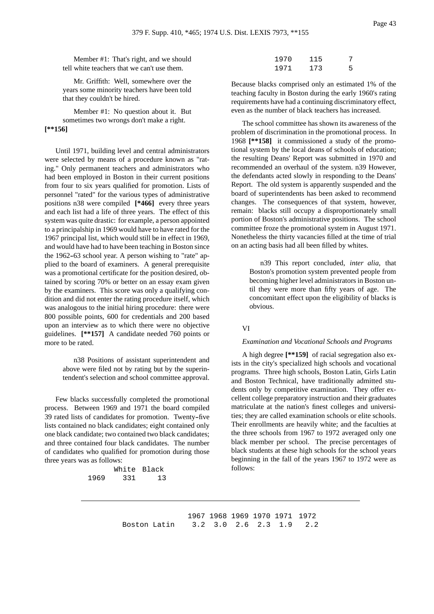Member #1: That's right, and we should tell white teachers that we can't use them.

Mr. Griffith: Well, somewhere over the years some minority teachers have been told that they couldn't be hired.

Member #1: No question about it. But sometimes two wrongs don't make a right. **[\*\*156]**

Until 1971, building level and central administrators were selected by means of a procedure known as "rating." Only permanent teachers and administrators who had been employed in Boston in their current positions from four to six years qualified for promotion. Lists of personnel "rated" for the various types of administrative positions n38 were compiled **[\*466]** every three years and each list had a life of three years. The effect of this system was quite drastic: for example, a person appointed to a principalship in 1969 would have to have rated for the 1967 principal list, which would still be in effect in 1969, and would have had to have been teaching in Boston since the 1962–63 school year. A person wishing to "rate" applied to the board of examiners. A general prerequisite was a promotional certificate for the position desired, obtained by scoring 70% or better on an essay exam given by the examiners. This score was only a qualifying condition and did not enter the rating procedure itself, which was analogous to the initial hiring procedure: there were 800 possible points, 600 for credentials and 200 based upon an interview as to which there were no objective guidelines. **[\*\*157]** A candidate needed 760 points or more to be rated.

> n38 Positions of assistant superintendent and above were filed not by rating but by the superintendent's selection and school committee approval.

Few blacks successfully completed the promotional process. Between 1969 and 1971 the board compiled 39 rated lists of candidates for promotion. Twenty-five lists contained no black candidates; eight contained only one black candidate; two contained two black candidates; and three contained four black candidates. The number of candidates who qualified for promotion during those three years was as follows:

> White Black 1969 331 13

| 1970 | 115 | 7 |
|------|-----|---|
| 1971 | 173 | 5 |

Because blacks comprised only an estimated 1% of the teaching faculty in Boston during the early 1960's rating requirements have had a continuing discriminatory effect, even as the number of black teachers has increased.

The school committee has shown its awareness of the problem of discrimination in the promotional process. In 1968 **[\*\*158]** it commissioned a study of the promotional system by the local deans of schools of education; the resulting Deans' Report was submitted in 1970 and recommended an overhaul of the system. n39 However, the defendants acted slowly in responding to the Deans' Report. The old system is apparently suspended and the board of superintendents has been asked to recommend changes. The consequences of that system, however, remain: blacks still occupy a disproportionately small portion of Boston's administrative positions. The school committee froze the promotional system in August 1971. Nonetheless the thirty vacancies filled at the time of trial on an acting basis had all been filled by whites.

> n39 This report concluded, *inter alia*, that Boston's promotion system prevented people from becoming higher level administrators in Boston until they were more than fifty years of age. The concomitant effect upon the eligibility of blacks is obvious.

#### VI

#### *Examination and Vocational Schools and Programs*

A high degree **[\*\*159]** of racial segregation also exists in the city's specialized high schools and vocational programs. Three high schools, Boston Latin, Girls Latin and Boston Technical, have traditionally admitted students only by competitive examination. They offer excellent college preparatory instruction and their graduates matriculate at the nation's finest colleges and universities; they are called examination schools or elite schools. Their enrollments are heavily white; and the faculties at the three schools from 1967 to 1972 averaged only one black member per school. The precise percentages of black students at these high schools for the school years beginning in the fall of the years 1967 to 1972 were as follows:

1967 1968 1969 1970 1971 1972 Boston Latin 3.2 3.0 2.6 2.3 1.9 2.2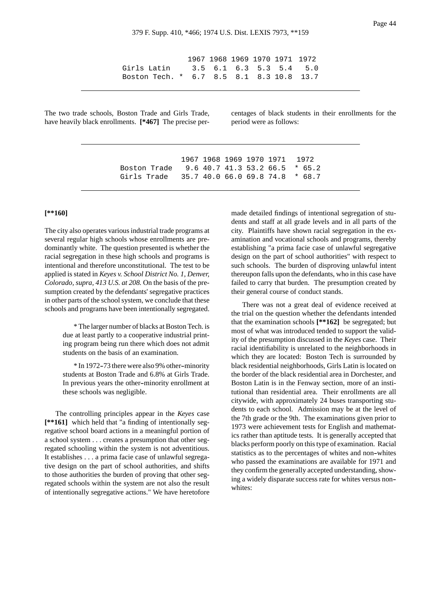1967 1968 1969 1970 1971 1972 Girls Latin 3.5 6.1 6.3 5.3 5.4 5.0 Boston Tech. \* 6.7 8.5 8.1 8.3 10.8 13.7

The two trade schools, Boston Trade and Girls Trade, have heavily black enrollments. **[\*467]** The precise percentages of black students in their enrollments for the period were as follows:

1967 1968 1969 1970 1971 1972 Boston Trade 9.6 40.7 41.3 53.2 66.5 \* 65.2 Girls Trade 35.7 40.0 66.0 69.8 74.8 \* 68.7

# **[\*\*160]**

The city also operates various industrial trade programs at several regular high schools whose enrollments are predominantly white. The question presented is whether the racial segregation in these high schools and programs is intentional and therefore unconstitutional. The test to be applied is stated in *Keyes v. School District No. 1, Denver, Colorado, supra, 413 U.S. at 208.* On the basis of the presumption created by the defendants' segregative practices in other parts of the school system, we conclude that these schools and programs have been intentionally segregated.

> \* The larger number of blacks at Boston Tech. is due at least partly to a cooperative industrial printing program being run there which does not admit students on the basis of an examination.

> \* In 1972--73 there were also 9% other--minority students at Boston Trade and 6.8% at Girls Trade. In previous years the other--minority enrollment at these schools was negligible.

The controlling principles appear in the *Keyes* case **[\*\*161]** which held that "a finding of intentionally segregative school board actions in a meaningful portion of a school system . . . creates a presumption that other segregated schooling within the system is not adventitious. It establishes . . . a prima facie case of unlawful segregative design on the part of school authorities, and shifts to those authorities the burden of proving that other segregated schools within the system are not also the result of intentionally segregative actions." We have heretofore

made detailed findings of intentional segregation of students and staff at all grade levels and in all parts of the city. Plaintiffs have shown racial segregation in the examination and vocational schools and programs, thereby establishing "a prima facie case of unlawful segregative design on the part of school authorities" with respect to such schools. The burden of disproving unlawful intent thereupon falls upon the defendants, who in this case have failed to carry that burden. The presumption created by their general course of conduct stands.

There was not a great deal of evidence received at the trial on the question whether the defendants intended that the examination schools **[\*\*162]** be segregated; but most of what was introduced tended to support the validity of the presumption discussed in the *Keyes* case. Their racial identifiability is unrelated to the neighborhoods in which they are located: Boston Tech is surrounded by black residential neighborhoods, Girls Latin is located on the border of the black residential area in Dorchester, and Boston Latin is in the Fenway section, more of an institutional than residential area. Their enrollments are all citywide, with approximately 24 buses transporting students to each school. Admission may be at the level of the 7th grade or the 9th. The examinations given prior to 1973 were achievement tests for English and mathematics rather than aptitude tests. It is generally accepted that blacks perform poorly on this type of examination. Racial statistics as to the percentages of whites and non-whites who passed the examinations are available for 1971 and they confirm the generally accepted understanding, showing a widely disparate success rate for whites versus non- whites: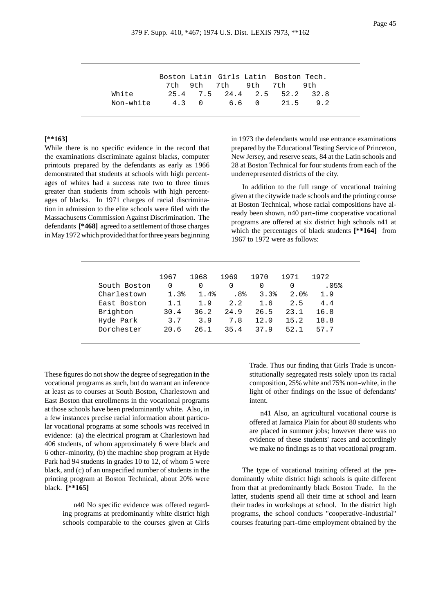|           |  |  | Boston Latin Girls Latin Boston Tech. |     |
|-----------|--|--|---------------------------------------|-----|
|           |  |  | 7th 9th 7th 9th 7th 9th               |     |
| White     |  |  | 25.4 7.5 24.4 2.5 52.2 32.8           |     |
| Non-white |  |  | 4.3 0 6.6 0 21.5                      | 9.2 |
|           |  |  |                                       |     |

# **[\*\*163]**

While there is no specific evidence in the record that the examinations discriminate against blacks, computer printouts prepared by the defendants as early as 1966 demonstrated that students at schools with high percentages of whites had a success rate two to three times greater than students from schools with high percentages of blacks. In 1971 charges of racial discrimination in admission to the elite schools were filed with the Massachusetts Commission Against Discrimination. The defendants **[\*468]** agreed to a settlement of those charges in May 1972 which provided that for three years beginning

in 1973 the defendants would use entrance examinations prepared by the Educational Testing Service of Princeton, New Jersey, and reserve seats, 84 at the Latin schools and 28 at Boston Technical for four students from each of the underrepresented districts of the city.

In addition to the full range of vocational training given at the citywide trade schools and the printing course at Boston Technical, whose racial compositions have already been shown, n40 part-time cooperative vocational programs are offered at six district high schools n41 at which the percentages of black students **[\*\*164]** from 1967 to 1972 were as follows:

|              | 1967 | 1968 | 1969 | 1970 | 1971 | 1972 |
|--------------|------|------|------|------|------|------|
| South Boston | 0    | 0    |      | O    | O    | .05% |
| Charlestown  | 1.3% | 1.4% | .8%  | 3.3% | 2.0% | 1.9  |
| East Boston  | 1.1  | 1.9  | 2.2  | 1.6  | 2.5  | 4.4  |
| Brighton     | 30.4 | 36.2 | 24.9 | 26.5 | 23.1 | 16.8 |
| Hyde Park    | 3.7  | 3.9  | 7.8  | 12.0 | 15.2 | 18.8 |
| Dorchester   | 20.6 | 26.1 | 35.4 | 37.9 | 52.1 | 57.7 |

These figures do not show the degree of segregation in the vocational programs as such, but do warrant an inference at least as to courses at South Boston, Charlestown and East Boston that enrollments in the vocational programs at those schools have been predominantly white. Also, in a few instances precise racial information about particular vocational programs at some schools was received in evidence: (a) the electrical program at Charlestown had 406 students, of whom approximately 6 were black and 6 other--minority, (b) the machine shop program at Hyde Park had 94 students in grades 10 to 12, of whom 5 were black, and (c) of an unspecified number of students in the printing program at Boston Technical, about 20% were black. **[\*\*165]**

> n40 No specific evidence was offered regarding programs at predominantly white district high schools comparable to the courses given at Girls

Trade. Thus our finding that Girls Trade is unconstitutionally segregated rests solely upon its racial composition, 25% white and 75% non--white, in the light of other findings on the issue of defendants' intent.

n41 Also, an agricultural vocational course is offered at Jamaica Plain for about 80 students who are placed in summer jobs; however there was no evidence of these students' races and accordingly we make no findings as to that vocational program.

The type of vocational training offered at the predominantly white district high schools is quite different from that at predominantly black Boston Trade. In the latter, students spend all their time at school and learn their trades in workshops at school. In the district high programs, the school conducts "cooperative--industrial" courses featuring part-time employment obtained by the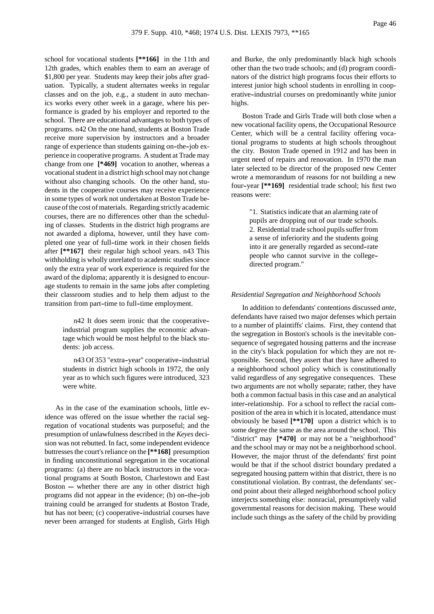school for vocational students **[\*\*166]** in the 11th and 12th grades, which enables them to earn an average of \$1,800 per year. Students may keep their jobs after graduation. Typically, a student alternates weeks in regular classes and on the job, e.g., a student in auto mechanics works every other week in a garage, where his performance is graded by his employer and reported to the school. There are educational advantages to both types of programs. n42 On the one hand, students at Boston Trade receive more supervision by instructors and a broader range of experience than students gaining on-the-job experience in cooperative programs. A student at Trade may change from one **[\*469]** vocation to another, whereas a vocational student in a district high school may not change without also changing schools. On the other hand, students in the cooperative courses may receive experience in some types of work not undertaken at Boston Trade because of the cost of materials. Regarding strictly academic courses, there are no differences other than the scheduling of classes. Students in the district high programs are not awarded a diploma, however, until they have completed one year of full--time work in their chosen fields after **[\*\*167]** their regular high school years. n43 This withholding is wholly unrelated to academic studies since only the extra year of work experience is required for the award of the diploma; apparently it is designed to encourage students to remain in the same jobs after completing their classroom studies and to help them adjust to the transition from part-time to full-time employment.

> n42 It does seem ironic that the cooperative- industrial program supplies the economic advantage which would be most helpful to the black students: job access.

> n43 Of 353 "extra-year" cooperative-industrial students in district high schools in 1972, the only year as to which such figures were introduced, 323 were white.

As in the case of the examination schools, little evidence was offered on the issue whether the racial segregation of vocational students was purposeful; and the presumption of unlawfulness described in the *Keyes* decision was not rebutted. In fact, some independent evidence buttresses the court's reliance on the **[\*\*168]** presumption in finding unconstitutional segregation in the vocational programs: (a) there are no black instructors in the vocational programs at South Boston, Charlestown and East Boston  $-$  whether there are any in other district high programs did not appear in the evidence; (b) on--the--job training could be arranged for students at Boston Trade, but has not been; (c) cooperative-industrial courses have never been arranged for students at English, Girls High and Burke, the only predominantly black high schools other than the two trade schools; and (d) program coordinators of the district high programs focus their efforts to interest junior high school students in enrolling in cooperative-industrial courses on predominantly white junior highs.

Boston Trade and Girls Trade will both close when a new vocational facility opens, the Occupational Resource Center, which will be a central facility offering vocational programs to students at high schools throughout the city. Boston Trade opened in 1912 and has been in urgent need of repairs and renovation. In 1970 the man later selected to be director of the proposed new Center wrote a memorandum of reasons for not building a new four--year **[\*\*169]** residential trade school; his first two reasons were:

> "1. Statistics indicate that an alarming rate of pupils are dropping out of our trade schools. 2. Residential trade school pupils suffer from a sense of inferiority and the students going into it are generally regarded as second-rate people who cannot survive in the college- directed program."

## *Residential Segregation and Neighborhood Schools*

In addition to defendants' contentions discussed *ante*, defendants have raised two major defenses which pertain to a number of plaintiffs' claims. First, they contend that the segregation in Boston's schools is the inevitable consequence of segregated housing patterns and the increase in the city's black population for which they are not responsible. Second, they assert that they have adhered to a neighborhood school policy which is constitutionally valid regardless of any segregative consequences. These two arguments are not wholly separate; rather, they have both a common factual basis in this case and an analytical inter--relationship. For a school to reflect the racial composition of the area in which it is located, attendance must obviously be based **[\*\*170]** upon a district which is to some degree the same as the area around the school. This "district" may **[\*470]** or may not be a "neighborhood" and the school may or may not be a neighborhood school. However, the major thrust of the defendants' first point would be that if the school district boundary predated a segregated housing pattern within that district, there is no constitutional violation. By contrast, the defendants' second point about their alleged neighborhood school policy interjects something else: nonracial, presumptively valid governmental reasons for decision making. These would include such things as the safety of the child by providing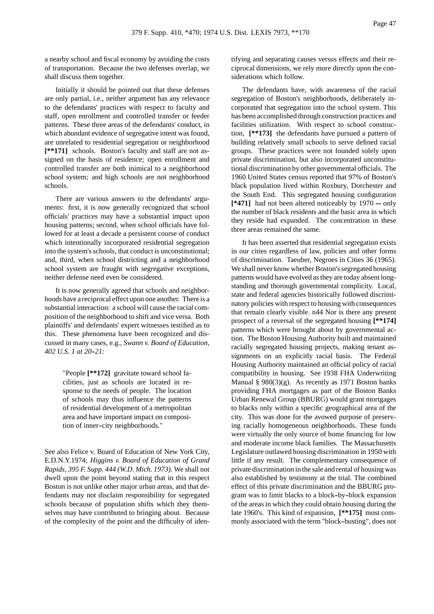a nearby school and fiscal economy by avoiding the costs of transportation. Because the two defenses overlap, we shall discuss them together.

Initially it should be pointed out that these defenses are only partial, i.e., neither argument has any relevance to the defendants' practices with respect to faculty and staff, open enrollment and controlled transfer or feeder patterns. These three areas of the defendants' conduct, in which abundant evidence of segregative intent was found, are unrelated to residential segregation or neighborhood **[\*\*171]** schools. Boston's faculty and staff are not assigned on the basis of residence; open enrollment and controlled transfer are both inimical to a neighborhood school system; and high schools are not neighborhood schools.

There are various answers to the defendants' arguments: first, it is now generally recognized that school officials' practices may have a substantial impact upon housing patterns; second, when school officials have followed for at least a decade a persistent course of conduct which intentionally incorporated residential segregation into the system's schools, that conduct is unconstitutional; and, third, when school districting and a neighborhood school system are fraught with segregative exceptions, neither defense need even be considered.

It is now generally agreed that schools and neighborhoods have a reciprocal effect upon one another. There is a substantial interaction: a school will cause the racial composition of the neighborhood to shift and vice versa. Both plaintiffs' and defendants' expert witnesses testified as to this. These phenomena have been recognized and discussed in many cases, e.g., *Swann v. Board of Education,* 402 U.S. 1 at 20-21:

> "People **[\*\*172]** gravitate toward school facilities, just as schools are located in response to the needs of people. The location of schools may thus influence the patterns of residential development of a metropolitan area and have important impact on composition of inner-city neighborhoods."

See also Felice v. Board of Education of New York City, E.D.N.Y.1974; *Higgins v. Board of Education of Grand Rapids, 395 F. Supp. 444 (W.D. Mich. 1973).* We shall not dwell upon the point beyond stating that in this respect Boston is not unlike other major urban areas, and that defendants may not disclaim responsibility for segregated schools because of population shifts which they themselves may have contributed to bringing about. Because of the complexity of the point and the difficulty of identifying and separating causes versus effects and their reciprocal dimensions, we rely more directly upon the considerations which follow.

The defendants have, with awareness of the racial segregation of Boston's neighborhoods, deliberately incorporated that segregation into the school system. This has been accomplished through construction practices and facilities utilization. With respect to school construction, **[\*\*173]** the defendants have pursued a pattern of building relatively small schools to serve defined racial groups. These practices were not founded solely upon private discrimination, but also incorporated unconstitutional discrimination by other governmental officials. The 1960 United States census reported that 97% of Boston's black population lived within Roxbury, Dorchester and the South End. This segregated housing configuration  $[*471]$  had not been altered noticeably by  $1970 - \text{only}$ the number of black residents and the basic area in which they reside had expanded. The concentration in these three areas remained the same.

It has been asserted that residential segregation exists in our cities regardless of law, policies and other forms of discrimination. Taeuber, Negroes in Cities 36 (1965). We shall never know whether Boston's segregated housing patterns would have evolved as they are today absent longstanding and thorough governmental complicity. Local, state and federal agencies historically followed discriminatory policies with respect to housing with consequences that remain clearly visible. n44 Nor is there any present prospect of a reversal of the segregated housing **[\*\*174]** patterns which were brought about by governmental action. The Boston Housing Authority built and maintained racially segregated housing projects, making tenant assignments on an explicitly racial basis. The Federal Housing Authority maintained an official policy of racial compatibility in housing. See 1938 FHA Underwriting Manual § 980(3)(g). As recently as 1971 Boston banks providing FHA mortgages as part of the Boston Banks Urban Renewal Group (BBURG) would grant mortgages to blacks only within a specific geographical area of the city. This was done for the avowed purpose of preserving racially homogeneous neighborhoods. These funds were virtually the only source of home financing for low and moderate income black families. The Massachusetts Legislature outlawed housing discrimination in 1950 with little if any result. The complementary consequence of private discrimination in the sale and rental of housing was also established by testimony at the trial. The combined effect of this private discrimination and the BBURG program was to limit blacks to a block-by-block expansion of the areas in which they could obtain housing during the late 1960's. This kind of expansion, **[\*\*175]** most commonly associated with the term "block-busting", does not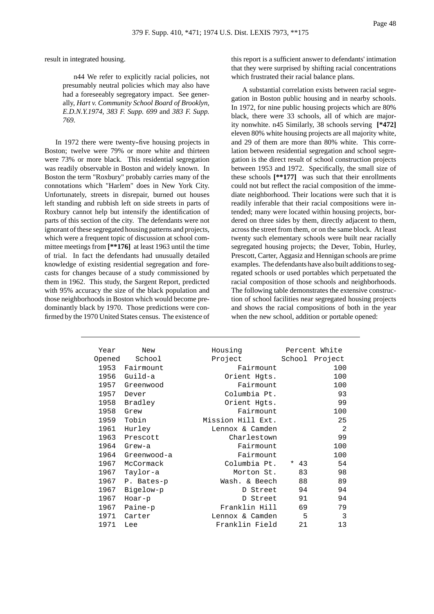result in integrated housing.

n44 We refer to explicitly racial policies, not presumably neutral policies which may also have had a foreseeably segregatory impact. See generally, *Hart v. Community School Board of Brooklyn, E.D.N.Y.1974, 383 F. Supp. 699* and *383 F. Supp. 769.*

In 1972 there were twenty-five housing projects in Boston; twelve were 79% or more white and thirteen were 73% or more black. This residential segregation was readily observable in Boston and widely known. In Boston the term "Roxbury" probably carries many of the connotations which "Harlem" does in New York City. Unfortunately, streets in disrepair, burned out houses left standing and rubbish left on side streets in parts of Roxbury cannot help but intensify the identification of parts of this section of the city. The defendants were not ignorant of these segregated housing patterns and projects, which were a frequent topic of discussion at school committee meetings from **[\*\*176]** at least 1963 until the time of trial. In fact the defendants had unusually detailed knowledge of existing residential segregation and forecasts for changes because of a study commissioned by them in 1962. This study, the Sargent Report, predicted with 95% accuracy the size of the black population and those neighborhoods in Boston which would become predominantly black by 1970. Those predictions were confirmed by the 1970 United States census. The existence of this report is a sufficient answer to defendants' intimation that they were surprised by shifting racial concentrations which frustrated their racial balance plans.

A substantial correlation exists between racial segregation in Boston public housing and in nearby schools. In 1972, for nine public housing projects which are 80% black, there were 33 schools, all of which are majority nonwhite. n45 Similarly, 38 schools serving **[\*472]** eleven 80% white housing projects are all majority white, and 29 of them are more than 80% white. This correlation between residential segregation and school segregation is the direct result of school construction projects between 1953 and 1972. Specifically, the small size of these schools **[\*\*177]** was such that their enrollments could not but reflect the racial composition of the immediate neighborhood. Their locations were such that it is readily inferable that their racial compositions were intended; many were located within housing projects, bordered on three sides by them, directly adjacent to them, across the street from them, or on the same block. At least twenty such elementary schools were built near racially segregated housing projects; the Dever, Tobin, Hurley, Prescott, Carter, Aggasiz and Hennigan schools are prime examples. The defendants have also built additions to segregated schools or used portables which perpetuated the racial composition of those schools and neighborhoods. The following table demonstrates the extensive construction of school facilities near segregated housing projects and shows the racial compositions of both in the year when the new school, addition or portable opened:

| Year   | New         | Housing           |                   | Percent White |
|--------|-------------|-------------------|-------------------|---------------|
| Opened | School      | Project           | School<br>Project |               |
| 1953   | Fairmount   | Fairmount         |                   | 100           |
| 1956   | Guild-a     | Orient Hqts.      |                   | 100           |
| 1957   | Greenwood   | Fairmount         |                   | 100           |
| 1957   | Dever       | Columbia Pt.      |                   | 93            |
| 1958   | Bradley     | Orient Hqts.      |                   | 99            |
| 1958   | Grew        | Fairmount         |                   | 100           |
| 1959   | Tobin       | Mission Hill Ext. |                   |               |
| 1961   | Hurley      | Lennox & Camden   |                   | 2             |
| 1963   | Prescott    | Charlestown       |                   | 99            |
| 1964   | $G$ rew-a   | Fairmount         |                   | 100           |
| 1964   | Greenwood-a | Fairmount         |                   | 100           |
| 1967   | McCormack   | Columbia Pt.      | $* 43$            | 54            |
| 1967   | Taylor-a    | Morton St.        | 83                | 98            |
| 1967   | P. Bates-p  | Wash. & Beech     | 88                | 89            |
| 1967   | Bigelow-p   | D Street          | 94                | 94            |
| 1967   | Hoar-p      | D Street          | 91                | 94            |
| 1967   | Paine-p     | Franklin Hill     | 69                | 79            |
| 1971   | Carter      | Lennox & Camden   | 5                 | 3             |
| 1971   | Lee         | Franklin Field    | 21                | 13            |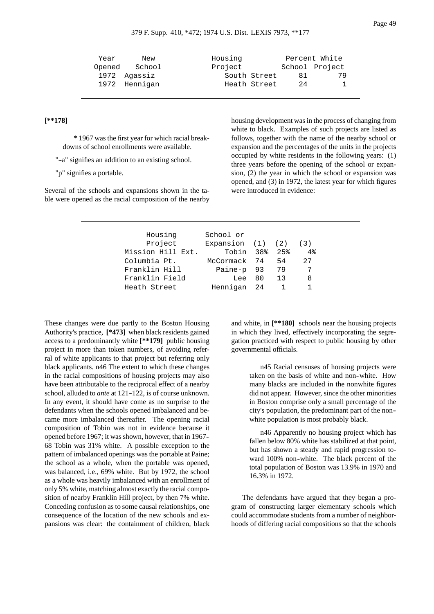| Year | New           | Housing      |    | Percent White  |
|------|---------------|--------------|----|----------------|
|      | Opened School | Project      |    | School Project |
|      | 1972 Agassiz  | South Street | 81 | 79             |
|      | 1972 Hennigan | Heath Street | 24 | 1.             |

# **[\*\*178]**

\* 1967 was the first year for which racial breakdowns of school enrollments were available.

"-a" signifies an addition to an existing school.

"p" signifies a portable.

Several of the schools and expansions shown in the table were opened as the racial composition of the nearby housing development was in the process of changing from white to black. Examples of such projects are listed as follows, together with the name of the nearby school or expansion and the percentages of the units in the projects occupied by white residents in the following years: (1) three years before the opening of the school or expansion, (2) the year in which the school or expansion was opened, and (3) in 1972, the latest year for which figures were introduced in evidence:

| Housing           | School or                   |      |    |    |
|-------------------|-----------------------------|------|----|----|
| Project           | Expansion $(1)$ $(2)$ $(3)$ |      |    |    |
| Mission Hill Ext. | Tobin 38% 25%               |      |    | 4% |
| Columbia Pt.      | McCormack 74                |      | 54 | 27 |
| Franklin Hill     | Paine-p 93                  |      | 79 |    |
| Franklin Field    | Lee                         | 80 — | 13 | 8  |
| Heath Street      | Hennigan 24                 |      |    |    |

These changes were due partly to the Boston Housing Authority's practice, **[\*473]** when black residents gained access to a predominantly white **[\*\*179]** public housing project in more than token numbers, of avoiding referral of white applicants to that project but referring only black applicants. n46 The extent to which these changes in the racial compositions of housing projects may also have been attributable to the reciprocal effect of a nearby school, alluded to *ante* at 121-122, is of course unknown. In any event, it should have come as no surprise to the defendants when the schools opened imbalanced and became more imbalanced thereafter. The opening racial composition of Tobin was not in evidence because it opened before 1967; it was shown, however, that in 1967-- 68 Tobin was 31% white. A possible exception to the pattern of imbalanced openings was the portable at Paine; the school as a whole, when the portable was opened, was balanced, i.e., 69% white. But by 1972, the school as a whole was heavily imbalanced with an enrollment of only 5% white, matching almost exactly the racial composition of nearby Franklin Hill project, by then 7% white. Conceding confusion as to some causal relationships, one consequence of the location of the new schools and expansions was clear: the containment of children, black

and white, in **[\*\*180]** schools near the housing projects in which they lived, effectively incorporating the segregation practiced with respect to public housing by other governmental officials.

> n45 Racial censuses of housing projects were taken on the basis of white and non--white. How many blacks are included in the nonwhite figures did not appear. However, since the other minorities in Boston comprise only a small percentage of the city's population, the predominant part of the non- white population is most probably black.

> n46 Apparently no housing project which has fallen below 80% white has stabilized at that point, but has shown a steady and rapid progression toward 100% non-white. The black percent of the total population of Boston was 13.9% in 1970 and 16.3% in 1972.

The defendants have argued that they began a program of constructing larger elementary schools which could accommodate students from a number of neighborhoods of differing racial compositions so that the schools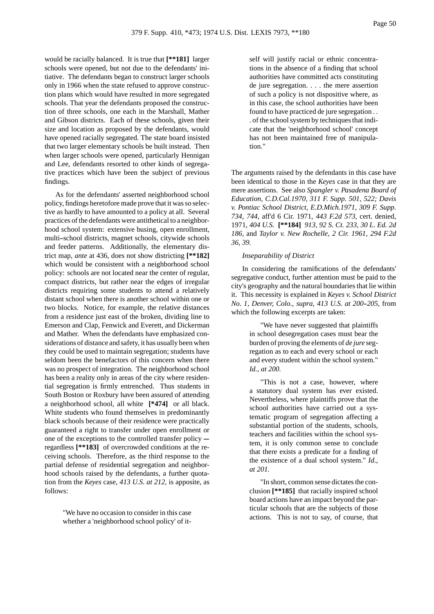would be racially balanced. It is true that **[\*\*181]** larger schools were opened, but not due to the defendants' initiative. The defendants began to construct larger schools only in 1966 when the state refused to approve construction plans which would have resulted in more segregated schools. That year the defendants proposed the construction of three schools, one each in the Marshall, Mather and Gibson districts. Each of these schools, given their size and location as proposed by the defendants, would have opened racially segregated. The state board insisted that two larger elementary schools be built instead. Then when larger schools were opened, particularly Hennigan and Lee, defendants resorted to other kinds of segregative practices which have been the subject of previous findings.

As for the defendants' asserted neighborhood school policy, findings heretofore made prove that it was so selective as hardly to have amounted to a policy at all. Several practices of the defendants were antithetical to a neighborhood school system: extensive busing, open enrollment, multi--school districts, magnet schools, citywide schools and feeder patterns. Additionally, the elementary district map, *ante* at 436, does not show districting **[\*\*182]** which would be consistent with a neighborhood school policy: schools are not located near the center of regular, compact districts, but rather near the edges of irregular districts requiring some students to attend a relatively distant school when there is another school within one or two blocks. Notice, for example, the relative distances from a residence just east of the broken, dividing line to Emerson and Clap, Fenwick and Everett, and Dickerman and Mather. When the defendants have emphasized considerations of distance and safety, it has usually been when they could be used to maintain segregation; students have seldom been the benefactors of this concern when there was no prospect of integration. The neighborhood school has been a reality only in areas of the city where residential segregation is firmly entrenched. Thus students in South Boston or Roxbury have been assured of attending a neighborhood school, all white **[\*474]** or all black. White students who found themselves in predominantly black schools because of their residence were practically guaranteed a right to transfer under open enrollment or one of the exceptions to the controlled transfer policy -regardless **[\*\*183]** of overcrowded conditions at the receiving schools. Therefore, as the third response to the partial defense of residential segregation and neighborhood schools raised by the defendants, a further quotation from the *Keyes* case, *413 U.S. at 212,* is apposite, as follows:

> "We have no occasion to consider in this case whether a 'neighborhood school policy' of it

self will justify racial or ethnic concentrations in the absence of a finding that school authorities have committed acts constituting de jure segregation. . . . the mere assertion of such a policy is not dispositive where, as in this case, the school authorities have been found to have practiced de jure segregation . . . of the school system by techniques that indicate that the 'neighborhood school' concept has not been maintained free of manipulation."

The arguments raised by the defendants in this case have been identical to those in the *Keyes* case in that they are mere assertions. See also *Spangler v. Pasadena Board of Education, C.D.Cal.1970, 311 F. Supp. 501, 522; Davis v. Pontiac School District, E.D.Mich.1971, 309 F. Supp. 734, 744,* aff'd 6 Cir. 1971, *443 F.2d 573,* cert. denied, 1971, *404 U.S.* **[\*\*184]** *913, 92 S. Ct. 233, 30 L. Ed. 2d 186,* and *Taylor v. New Rochelle, 2 Cir. 1961, 294 F.2d 36, 39.*

#### *Inseparability of District*

In considering the ramifications of the defendants' segregative conduct, further attention must be paid to the city's geography and the natural boundaries that lie within it. This necessity is explained in *Keyes v. School District No. 1, Denver, Colo., supra, 413 U.S. at 200--205,* from which the following excerpts are taken:

> "We have never suggested that plaintiffs in school desegregation cases must bear the burden of proving the elements of *de jure* segregation as to each and every school or each and every student within the school system." *Id., at 200.*

> "This is not a case, however, where a statutory dual system has ever existed. Nevertheless, where plaintiffs prove that the school authorities have carried out a systematic program of segregation affecting a substantial portion of the students, schools, teachers and facilities within the school system, it is only common sense to conclude that there exists a predicate for a finding of the existence of a dual school system." *Id., at 201.*

> "In short, common sense dictates the conclusion **[\*\*185]** that racially inspired school board actions have an impact beyond the particular schools that are the subjects of those actions. This is not to say, of course, that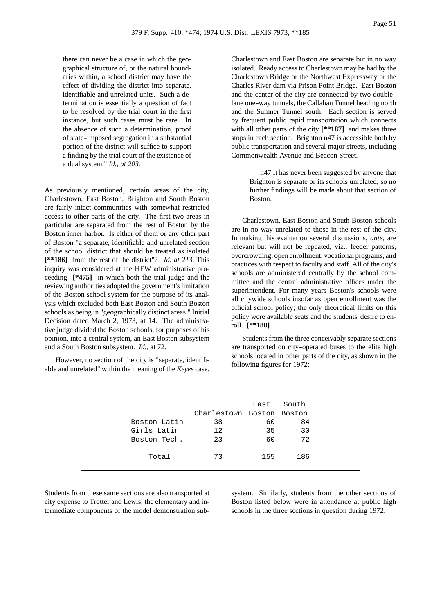there can never be a case in which the geographical structure of, or the natural boundaries within, a school district may have the effect of dividing the district into separate, identifiable and unrelated units. Such a determination is essentially a question of fact to be resolved by the trial court in the first instance, but such cases must be rare. In the absence of such a determination, proof of state--imposed segregation in a substantial portion of the district will suffice to support a finding by the trial court of the existence of a dual system." *Id., at 203.*

As previously mentioned, certain areas of the city, Charlestown, East Boston, Brighton and South Boston are fairly intact communities with somewhat restricted access to other parts of the city. The first two areas in particular are separated from the rest of Boston by the Boston inner harbor. Is either of them or any other part of Boston "a separate, identifiable and unrelated section of the school district that should be treated as isolated **[\*\*186]** from the rest of the district"? *Id. at 213.* This inquiry was considered at the HEW administrative proceeding **[\*475]** in which both the trial judge and the reviewing authorities adopted the government's limitation of the Boston school system for the purpose of its analysis which excluded both East Boston and South Boston schools as being in "geographically distinct areas." Initial Decision dated March 2, 1973, at 14. The administrative judge divided the Boston schools, for purposes of his opinion, into a central system, an East Boston subsystem and a South Boston subsystem. *Id.*, at 72.

However, no section of the city is "separate, identifiable and unrelated" within the meaning of the *Keyes* case. Charlestown and East Boston are separate but in no way isolated. Ready access to Charlestown may be had by the Charlestown Bridge or the Northwest Expressway or the Charles River dam via Prison Point Bridge. East Boston and the center of the city are connected by two double- lane one-way tunnels, the Callahan Tunnel heading north and the Sumner Tunnel south. Each section is served by frequent public rapid transportation which connects with all other parts of the city **[\*\*187]** and makes three stops in each section. Brighton n47 is accessible both by public transportation and several major streets, including Commonwealth Avenue and Beacon Street.

> n47 It has never been suggested by anyone that Brighton is separate or its schools unrelated; so no further findings will be made about that section of Boston.

Charlestown, East Boston and South Boston schools are in no way unrelated to those in the rest of the city. In making this evaluation several discussions, *ante*, are relevant but will not be repeated, viz., feeder patterns, overcrowding, open enrollment, vocational programs, and practices with respect to faculty and staff. All of the city's schools are administered centrally by the school committee and the central administrative offices under the superintendent. For many years Boston's schools were all citywide schools insofar as open enrollment was the official school policy; the only theoretical limits on this policy were available seats and the students' desire to enroll. **[\*\*188]**

Students from the three conceivably separate sections are transported on city-operated buses to the elite high schools located in other parts of the city, as shown in the following figures for 1972:

|              |                           | East | South |
|--------------|---------------------------|------|-------|
|              | Charlestown Boston Boston |      |       |
| Boston Latin | 38                        | 60   | 84    |
| Girls Latin  | 12                        | 35   | 30    |
| Boston Tech. | 23                        | 60   | 72    |
| Total        | 73                        | 155  | 186   |

Students from these same sections are also transported at city expense to Trotter and Lewis, the elementary and intermediate components of the model demonstration subsystem. Similarly, students from the other sections of Boston listed below were in attendance at public high schools in the three sections in question during 1972: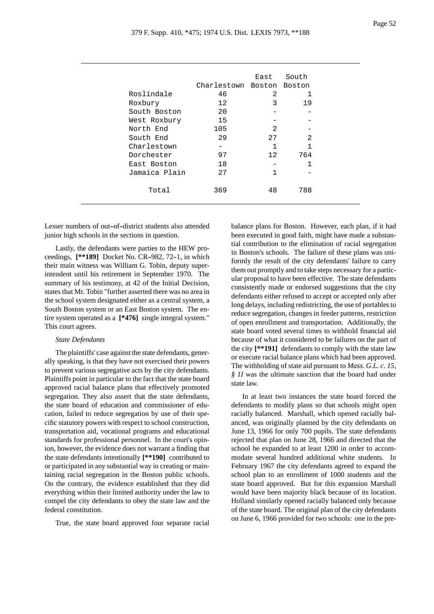|               |                    | East            | South          |
|---------------|--------------------|-----------------|----------------|
|               | Charlestown Boston |                 | Boston         |
| Roslindale    | 46                 | 2               |                |
| Roxbury       | 12                 | 3               | 19             |
| South Boston  | 20                 |                 |                |
| West Roxbury  | 15                 |                 |                |
| North End     | 105                | $\mathfrak{D}$  |                |
| South End     | 29                 | 27              | $\mathfrak{D}$ |
| Charlestown   |                    | 1               | 1              |
| Dorchester    | 97                 | 12 <sub>2</sub> | 764            |
| East Boston   | 18                 |                 |                |
| Jamaica Plain | 27                 | 1               |                |
|               |                    |                 |                |
| Total         | 369                | 48              | 788            |
|               |                    |                 |                |

Lesser numbers of out-of-district students also attended junior high schools in the sections in question.

Lastly, the defendants were parties to the HEW proceedings,  $[**189]$  Docket No. CR-982, 72-1, in which their main witness was William G. Tobin, deputy superintendent until his retirement in September 1970. The summary of his testimony, at 42 of the Initial Decision, states that Mr. Tobin "further asserted there was no area in the school system designated either as a central system, a South Boston system or an East Boston system. The entire system operated as a **[\*476]** single integral system." This court agrees.

# *State Defendants*

The plaintiffs' case against the state defendants, generally speaking, is that they have not exercised their powers to prevent various segregative acts by the city defendants. Plaintiffs point in particular to the fact that the state board approved racial balance plans that effectively promoted segregation. They also assert that the state defendants, the state board of education and commissioner of education, failed to reduce segregation by use of their specific statutory powers with respect to school construction, transportation aid, vocational programs and educational standards for professional personnel. In the court's opinion, however, the evidence does not warrant a finding that the state defendants intentionally **[\*\*190]** contributed to or participated in any substantial way in creating or maintaining racial segregation in the Boston public schools. On the contrary, the evidence established that they did everything within their limited authority under the law to compel the city defendants to obey the state law and the federal constitution.

True, the state board approved four separate racial

balance plans for Boston. However, each plan, if it had been executed in good faith, might have made a substantial contribution to the elimination of racial segregation in Boston's schools. The failure of these plans was uniformly the result of the city defendants' failure to carry them out promptly and to take steps necessary for a particular proposal to have been effective. The state defendants consistently made or endorsed suggestions that the city defendants either refused to accept or accepted only after long delays, including redistricting, the use of portables to reduce segregation, changes in feeder patterns, restriction of open enrollment and transportation. Additionally, the state board voted several times to withhold financial aid because of what it considered to be failures on the part of the city **[\*\*191]** defendants to comply with the state law or execute racial balance plans which had been approved. The withholding of state aid pursuant to *Mass. G.L. c. 15, § 1I* was the ultimate sanction that the board had under state law.

In at least two instances the state board forced the defendants to modify plans so that schools might open racially balanced. Marshall, which opened racially balanced, was originally planned by the city defendants on June 13, 1966 for only 700 pupils. The state defendants rejected that plan on June 28, 1966 and directed that the school be expanded to at least 1200 in order to accommodate several hundred additional white students. In February 1967 the city defendants agreed to expand the school plan to an enrollment of 1000 students and the state board approved. But for this expansion Marshall would have been majority black because of its location. Holland similarly opened racially balanced only because of the state board. The original plan of the city defendants on June 6, 1966 provided for two schools: one in the pre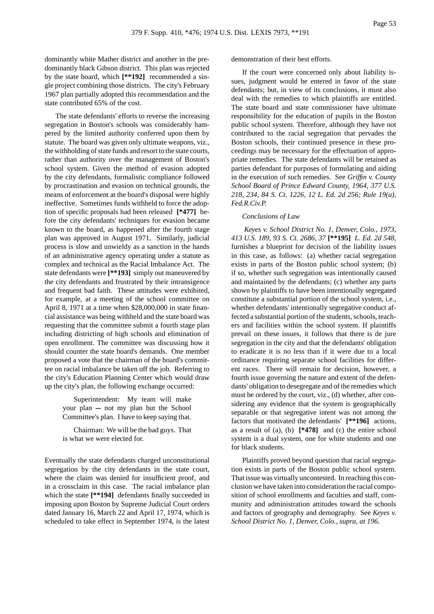dominantly white Mather district and another in the predominantly black Gibson district. This plan was rejected by the state board, which **[\*\*192]** recommended a single project combining those districts. The city's February 1967 plan partially adopted this recommendation and the state contributed 65% of the cost.

The state defendants' efforts to reverse the increasing segregation in Boston's schools was considerably hampered by the limited authority conferred upon them by statute. The board was given only ultimate weapons, viz., the withholding of state funds and resort to the state courts, rather than authority over the management of Boston's school system. Given the method of evasion adopted by the city defendants, formalistic compliance followed by procrastination and evasion on technical grounds, the means of enforcement at the board's disposal were highly ineffective. Sometimes funds withheld to force the adoption of specific proposals had been released **[\*477]** before the city defendants' techniques for evasion became known to the board, as happened after the fourth stage plan was approved in August 1971. Similarly, judicial process is slow and unwieldy as a sanction in the hands of an administrative agency operating under a statute as complex and technical as the Racial Imbalance Act. The state defendants were **[\*\*193]** simply out maneuvered by the city defendants and frustrated by their intransigence and frequent bad faith. These attitudes were exhibited, for example, at a meeting of the school committee on April 8, 1971 at a time when \$28,000,000 in state financial assistance was being withheld and the state board was requesting that the committee submit a fourth stage plan including districting of high schools and elimination of open enrollment. The committee was discussing how it should counter the state board's demands. One member proposed a vote that the chairman of the board's committee on racial imbalance be taken off the job. Referring to the city's Education Planning Center which would draw up the city's plan, the following exchange occurred:

> Superintendent: My team will make your plan  $-$  not my plan but the School Committee's plan. I have to keep saying that.

> Chairman: We will be the bad guys. That is what we were elected for.

Eventually the state defendants charged unconstitutional segregation by the city defendants in the state court, where the claim was denied for insufficient proof, and in a crossclaim in this case. The racial imbalance plan which the state [\*\*194] defendants finally succeeded in imposing upon Boston by Supreme Judicial Court orders dated January 16, March 22 and April 17, 1974, which is scheduled to take effect in September 1974, is the latest demonstration of their best efforts.

If the court were concerned only about liability issues, judgment would be entered in favor of the state defendants; but, in view of its conclusions, it must also deal with the remedies to which plaintiffs are entitled. The state board and state commissioner have ultimate responsibility for the education of pupils in the Boston public school system. Therefore, although they have not contributed to the racial segregation that pervades the Boston schools, their continued presence in these proceedings may be necessary for the effectuation of appropriate remedies. The state defendants will be retained as parties defendant for purposes of formulating and aiding in the execution of such remedies. See *Griffin v. County School Board of Prince Edward County, 1964, 377 U.S. 218, 234, 84 S. Ct. 1226, 12 L. Ed. 2d 256; Rule 19(a), Fed.R.Civ.P.*

#### *Conclusions of Law*

*Keyes v. School District No. 1, Denver, Colo., 1973, 413 U.S. 189, 93 S. Ct. 2686, 37* **[\*\*195]** *L. Ed. 2d 548,* furnishes a blueprint for decision of the liability issues in this case, as follows: (a) whether racial segregation exists in parts of the Boston public school system; (b) if so, whether such segregation was intentionally caused and maintained by the defendants; (c) whether any parts shown by plaintiffs to have been intentionally segregated constitute a substantial portion of the school system, i.e., whether defendants' intentionally segregative conduct affected a substantial portion of the students, schools, teachers and facilities within the school system. If plaintiffs prevail on these issues, it follows that there is de jure segregation in the city and that the defendants' obligation to eradicate it is no less than if it were due to a local ordinance requiring separate school facilities for different races. There will remain for decision, however, a fourth issue governing the nature and extent of the defendants' obligation to desegregate and of the remedies which must be ordered by the court, viz., (d) whether, after considering any evidence that the system is geographically separable or that segregative intent was not among the factors that motivated the defendants' **[\*\*196]** actions, as a result of (a), (b) **[\*478]** and (c) the entire school system is a dual system, one for white students and one for black students.

Plaintiffs proved beyond question that racial segregation exists in parts of the Boston public school system. That issue was virtually uncontested. In reaching this conclusion we have taken into consideration the racial composition of school enrollments and faculties and staff, community and administration attitudes toward the schools and factors of geography and demography. See *Keyes v. School District No. 1, Denver, Colo., supra, at 196.*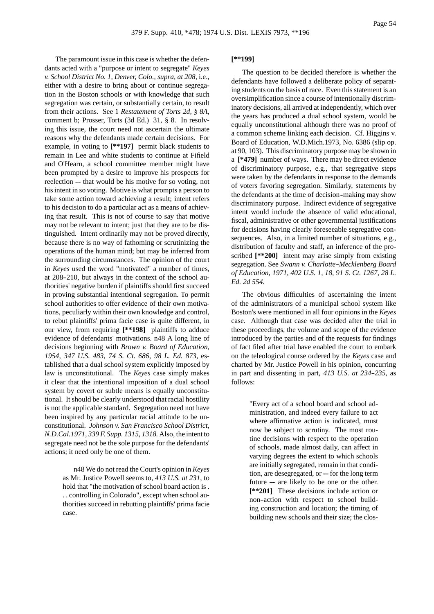The paramount issue in this case is whether the defendants acted with a "purpose or intent to segregate" *Keyes v. School District No. 1, Denver, Colo., supra, at 208,* i.e., either with a desire to bring about or continue segregation in the Boston schools or with knowledge that such segregation was certain, or substantially certain, to result from their actions. See 1 *Restatement of Torts 2d, § 8A*, comment b; Prosser, Torts (3d Ed.) 31, § 8. In resolving this issue, the court need not ascertain the ultimate reasons why the defendants made certain decisions. For example, in voting to **[\*\*197]** permit black students to remain in Lee and white students to continue at Fifield and O'Hearn, a school committee member might have been prompted by a desire to improve his prospects for reelection — that would be his motive for so voting, not his intent in so voting. Motive is what prompts a person to take some action toward achieving a result; intent refers to his decision to do a particular act as a means of achieving that result. This is not of course to say that motive may not be relevant to intent; just that they are to be distinguished. Intent ordinarily may not be proved directly, because there is no way of fathoming or scrutinizing the operations of the human mind; but may be inferred from the surrounding circumstances. The opinion of the court in *Keyes* used the word "motivated" a number of times, at 208-210, but always in the context of the school authorities' negative burden if plaintiffs should first succeed in proving substantial intentional segregation. To permit school authorities to offer evidence of their own motivations, peculiarly within their own knowledge and control, to rebut plaintiffs' prima facie case is quite different, in our view, from requiring **[\*\*198]** plaintiffs to adduce evidence of defendants' motivations. n48 A long line of decisions beginning with *Brown v. Board of Education, 1954, 347 U.S. 483, 74 S. Ct. 686, 98 L. Ed. 873,* established that a dual school system explicitly imposed by law is unconstitutional. The *Keyes* case simply makes it clear that the intentional imposition of a dual school system by covert or subtle means is equally unconstitutional. It should be clearly understood that racial hostility is not the applicable standard. Segregation need not have been inspired by any particular racial attitude to be unconstitutional. *Johnson v. San Francisco School District, N.D.Cal.1971, 339 F. Supp. 1315, 1318.* Also, the intent to segregate need not be the sole purpose for the defendants' actions; it need only be one of them.

> n48 We do not read the Court's opinion in *Keyes* as Mr. Justice Powell seems to, *413 U.S. at 231,* to hold that "the motivation of school board action is . . . controlling in Colorado", except when school authorities succeed in rebutting plaintiffs' prima facie case.

# **[\*\*199]**

The question to be decided therefore is whether the defendants have followed a deliberate policy of separating students on the basis of race. Even this statement is an oversimplification since a course of intentionally discriminatory decisions, all arrived at independently, which over the years has produced a dual school system, would be equally unconstitutional although there was no proof of a common scheme linking each decision. Cf. Higgins v. Board of Education, W.D.Mich.1973, No. 6386 (slip op. at 90, 103). This discriminatory purpose may be shown in a **[\*479]** number of ways. There may be direct evidence of discriminatory purpose, e.g., that segregative steps were taken by the defendants in response to the demands of voters favoring segregation. Similarly, statements by the defendants at the time of decision--making may show discriminatory purpose. Indirect evidence of segregative intent would include the absence of valid educational, fiscal, administrative or other governmental justifications for decisions having clearly foreseeable segregative consequences. Also, in a limited number of situations, e.g., distribution of faculty and staff, an inference of the proscribed **[\*\*200]** intent may arise simply from existing segregation. See *Swann v. Charlotte--Mecklenberg Board of Education, 1971, 402 U.S. 1, 18, 91 S. Ct. 1267, 28 L. Ed. 2d 554.*

The obvious difficulties of ascertaining the intent of the administrators of a municipal school system like Boston's were mentioned in all four opinions in the *Keyes* case. Although that case was decided after the trial in these proceedings, the volume and scope of the evidence introduced by the parties and of the requests for findings of fact filed after trial have enabled the court to embark on the teleological course ordered by the *Keyes* case and charted by Mr. Justice Powell in his opinion, concurring in part and dissenting in part, *413 U.S. at 234--235,* as follows:

> "Every act of a school board and school administration, and indeed every failure to act where affirmative action is indicated, must now be subject to scrutiny. The most routine decisions with respect to the operation of schools, made almost daily, can affect in varying degrees the extent to which schools are initially segregated, remain in that condition, are desegregated, or  $-$  for the long term future  $-$  are likely to be one or the other. **[\*\*201]** These decisions include action or non--action with respect to school building construction and location; the timing of building new schools and their size; the clos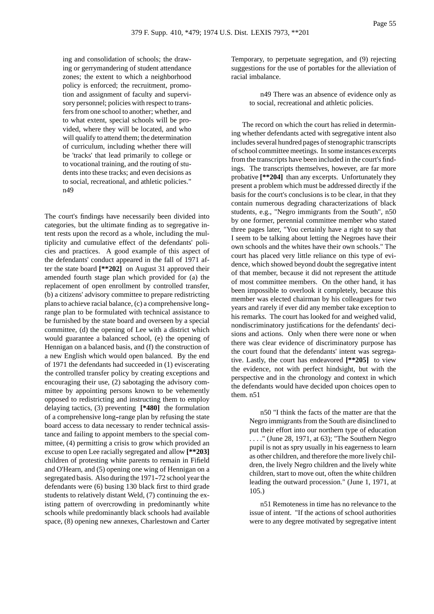ing and consolidation of schools; the drawing or gerrymandering of student attendance zones; the extent to which a neighborhood policy is enforced; the recruitment, promotion and assignment of faculty and supervisory personnel; policies with respect to transfers from one school to another; whether, and to what extent, special schools will be provided, where they will be located, and who will qualify to attend them; the determination of curriculum, including whether there will be 'tracks' that lead primarily to college or to vocational training, and the routing of students into these tracks; and even decisions as to social, recreational, and athletic policies." n49

The court's findings have necessarily been divided into categories, but the ultimate finding as to segregative intent rests upon the record as a whole, including the multiplicity and cumulative effect of the defendants' policies and practices. A good example of this aspect of the defendants' conduct appeared in the fall of 1971 after the state board **[\*\*202]** on August 31 approved their amended fourth stage plan which provided for (a) the replacement of open enrollment by controlled transfer, (b) a citizens' advisory committee to prepare redistricting plans to achieve racial balance, (c) a comprehensive long- range plan to be formulated with technical assistance to be furnished by the state board and overseen by a special committee, (d) the opening of Lee with a district which would guarantee a balanced school, (e) the opening of Hennigan on a balanced basis, and (f) the construction of a new English which would open balanced. By the end of 1971 the defendants had succeeded in (1) eviscerating the controlled transfer policy by creating exceptions and encouraging their use, (2) sabotaging the advisory committee by appointing persons known to be vehemently opposed to redistricting and instructing them to employ delaying tactics, (3) preventing **[\*480]** the formulation of a comprehensive long--range plan by refusing the state board access to data necessary to render technical assistance and failing to appoint members to the special committee, (4) permitting a crisis to grow which provided an excuse to open Lee racially segregated and allow **[\*\*203]** children of protesting white parents to remain in Fifield and O'Hearn, and (5) opening one wing of Hennigan on a segregated basis. Also during the 1971-72 school year the defendants were (6) busing 130 black first to third grade students to relatively distant Weld, (7) continuing the existing pattern of overcrowding in predominantly white schools while predominantly black schools had available space, (8) opening new annexes, Charlestown and Carter

Temporary, to perpetuate segregation, and (9) rejecting suggestions for the use of portables for the alleviation of racial imbalance.

> n49 There was an absence of evidence only as to social, recreational and athletic policies.

The record on which the court has relied in determining whether defendants acted with segregative intent also includes several hundred pages of stenographic transcripts of school committee meetings. In some instances excerpts from the transcripts have been included in the court's findings. The transcripts themselves, however, are far more probative **[\*\*204]** than any excerpts. Unfortunately they present a problem which must be addressed directly if the basis for the court's conclusions is to be clear, in that they contain numerous degrading characterizations of black students, e.g., "Negro immigrants from the South", n50 by one former, perennial committee member who stated three pages later, "You certainly have a right to say that I seem to be talking about letting the Negroes have their own schools and the whites have their own schools." The court has placed very little reliance on this type of evidence, which showed beyond doubt the segregative intent of that member, because it did not represent the attitude of most committee members. On the other hand, it has been impossible to overlook it completely, because this member was elected chairman by his colleagues for two years and rarely if ever did any member take exception to his remarks. The court has looked for and weighed valid, nondiscriminatory justifications for the defendants' decisions and actions. Only when there were none or when there was clear evidence of discriminatory purpose has the court found that the defendants' intent was segregative. Lastly, the court has endeavored **[\*\*205]** to view the evidence, not with perfect hindsight, but with the perspective and in the chronology and context in which the defendants would have decided upon choices open to them. n51

> n50 "I think the facts of the matter are that the Negro immigrants from the South are disinclined to put their effort into our northern type of education . . . ." (June 28, 1971, at 63); "The Southern Negro pupil is not as spry usually in his eagerness to learn as other children, and therefore the more lively children, the lively Negro children and the lively white children, start to move out, often the white children leading the outward procession." (June 1, 1971, at 105.)

> n51 Remoteness in time has no relevance to the issue of intent. "If the actions of school authorities were to any degree motivated by segregative intent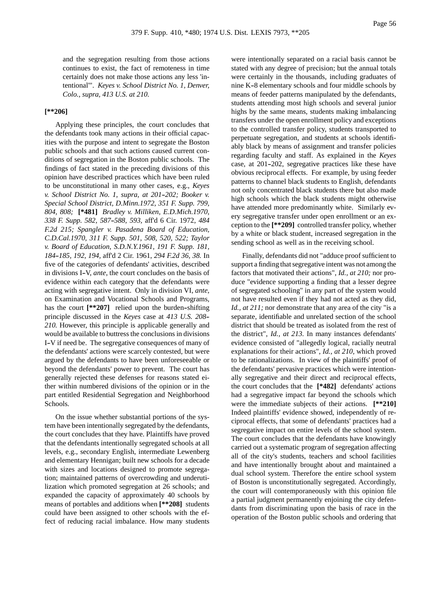Page 56

and the segregation resulting from those actions continues to exist, the fact of remoteness in time certainly does not make those actions any less 'intentional'". *Keyes v. School District No. 1, Denver, Colo., supra, 413 U.S. at 210.*

# **[\*\*206]**

Applying these principles, the court concludes that the defendants took many actions in their official capacities with the purpose and intent to segregate the Boston public schools and that such actions caused current conditions of segregation in the Boston public schools. The findings of fact stated in the preceding divisions of this opinion have described practices which have been ruled to be unconstitutional in many other cases, e.g., *Keyes v. School District No. 1, supra, at 201-202; Booker v. Special School District, D.Minn.1972, 351 F. Supp. 799, 804, 808;* **[\*481]** *Bradley v. Milliken, E.D.Mich.1970, 338 F. Supp. 582, 587--588, 593,* aff'd 6 Cir. 1972, *484 F.2d 215; Spangler v. Pasadena Board of Education, C.D.Cal.1970, 311 F. Supp. 501, 508, 520, 522; Taylor v. Board of Education, S.D.N.Y.1961, 191 F. Supp. 181, 184--185, 192, 194,* aff'd 2 Cir. 1961, *294 F.2d 36, 38.* In five of the categories of defendants' activities, described in divisions I-V, *ante*, the court concludes on the basis of evidence within each category that the defendants were acting with segregative intent. Only in division VI, *ante*, on Examination and Vocational Schools and Programs, has the court  $[**207]$  relied upon the burden-shifting principle discussed in the *Keyes* case at *413 U.S. 208-- 210.* However, this principle is applicable generally and would be available to buttress the conclusions in divisions I--V if need be. The segregative consequences of many of the defendants' actions were scarcely contested, but were argued by the defendants to have been unforeseeable or beyond the defendants' power to prevent. The court has generally rejected these defenses for reasons stated either within numbered divisions of the opinion or in the part entitled Residential Segregation and Neighborhood Schools.

On the issue whether substantial portions of the system have been intentionally segregated by the defendants, the court concludes that they have. Plaintiffs have proved that the defendants intentionally segregated schools at all levels, e.g., secondary English, intermediate Lewenberg and elementary Hennigan; built new schools for a decade with sizes and locations designed to promote segregation; maintained patterns of overcrowding and underutilization which promoted segregation at 26 schools; and expanded the capacity of approximately 40 schools by means of portables and additions when **[\*\*208]** students could have been assigned to other schools with the effect of reducing racial imbalance. How many students were intentionally separated on a racial basis cannot be stated with any degree of precision; but the annual totals were certainly in the thousands, including graduates of nine K-8 elementary schools and four middle schools by means of feeder patterns manipulated by the defendants, students attending most high schools and several junior highs by the same means, students making imbalancing transfers under the open enrollment policy and exceptions to the controlled transfer policy, students transported to perpetuate segregation, and students at schools identifiably black by means of assignment and transfer policies regarding faculty and staff. As explained in the *Keyes* case, at 201-202, segregative practices like these have obvious reciprocal effects. For example, by using feeder patterns to channel black students to English, defendants not only concentrated black students there but also made high schools which the black students might otherwise have attended more predominantly white. Similarly every segregative transfer under open enrollment or an exception to the **[\*\*209]** controlled transfer policy, whether by a white or black student, increased segregation in the sending school as well as in the receiving school.

Finally, defendants did not "adduce proof sufficient to support a finding that segregative intent was not among the factors that motivated their actions", *Id., at 210;* nor produce "evidence supporting a finding that a lesser degree of segregated schooling" in any part of the system would not have resulted even if they had not acted as they did, *Id., at 211;* nor demonstrate that any area of the city "is a separate, identifiable and unrelated section of the school district that should be treated as isolated from the rest of the district", *Id., at 213.* In many instances defendants' evidence consisted of "allegedly logical, racially neutral explanations for their actions", *Id., at 210,* which proved to be rationalizations. In view of the plaintiffs' proof of the defendants' pervasive practices which were intentionally segregative and their direct and reciprocal effects, the court concludes that the **[\*482]** defendants' actions had a segregative impact far beyond the schools which were the immediate subjects of their actions. **[\*\*210]** Indeed plaintiffs' evidence showed, independently of reciprocal effects, that some of defendants' practices had a segregative impact on entire levels of the school system. The court concludes that the defendants have knowingly carried out a systematic program of segregation affecting all of the city's students, teachers and school facilities and have intentionally brought about and maintained a dual school system. Therefore the entire school system of Boston is unconstitutionally segregated. Accordingly, the court will contemporaneously with this opinion file a partial judgment permanently enjoining the city defendants from discriminating upon the basis of race in the operation of the Boston public schools and ordering that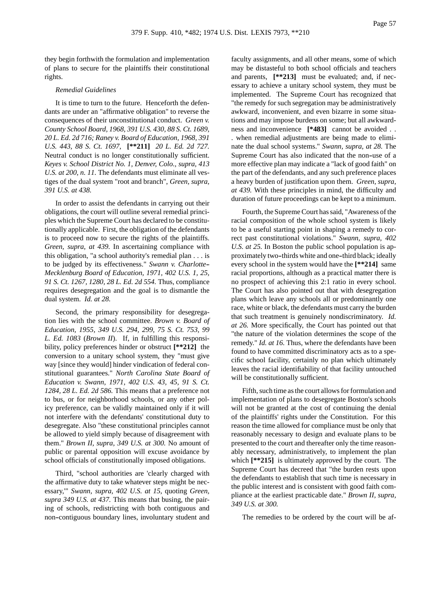they begin forthwith the formulation and implementation of plans to secure for the plaintiffs their constitutional rights.

### *Remedial Guidelines*

It is time to turn to the future. Henceforth the defendants are under an "affirmative obligation" to reverse the consequences of their unconstitutional conduct. *Green v. County School Board, 1968, 391 U.S. 430, 88 S. Ct. 1689, 20 L. Ed. 2d 716; Raney v. Board of Education, 1968, 391 U.S. 443, 88 S. Ct. 1697,* **[\*\*211]** *20 L. Ed. 2d 727.* Neutral conduct is no longer constitutionally sufficient. *Keyes v. School District No. 1, Denver, Colo., supra, 413 U.S. at 200, n. 11.* The defendants must eliminate all vestiges of the dual system "root and branch", *Green, supra, 391 U.S. at 438.*

In order to assist the defendants in carrying out their obligations, the court will outline several remedial principles which the Supreme Court has declared to be constitutionally applicable. First, the obligation of the defendants is to proceed now to secure the rights of the plaintiffs. *Green, supra, at 439.* In ascertaining compliance with this obligation, "a school authority's remedial plan . . . is to be judged by its effectiveness." *Swann v. Charlotte-- Mecklenburg Board of Education, 1971, 402 U.S. 1, 25, 91 S. Ct. 1267, 1280, 28 L. Ed. 2d 554.* Thus, compliance requires desegregation and the goal is to dismantle the dual system. *Id. at 28.*

Second, the primary responsibility for desegregation lies with the school committee. *Brown v. Board of Education, 1955, 349 U.S. 294, 299, 75 S. Ct. 753, 99 L. Ed. 1083* (*Brown II*). If, in fulfilling this responsibility, policy preferences hinder or obstruct **[\*\*212]** the conversion to a unitary school system, they "must give way [since they would] hinder vindication of federal constitutional guarantees." *North Carolina State Board of Education v. Swann, 1971, 402 U.S. 43, 45, 91 S. Ct. 1284, 28 L. Ed. 2d 586.* This means that a preference not to bus, or for neighborhood schools, or any other policy preference, can be validly maintained only if it will not interfere with the defendants' constitutional duty to desegregate. Also "these constitutional principles cannot be allowed to yield simply because of disagreement with them." *Brown II, supra, 349 U.S. at 300.* No amount of public or parental opposition will excuse avoidance by school officials of constitutionally imposed obligations.

Third, "school authorities are 'clearly charged with the affirmative duty to take whatever steps might be necessary,'" *Swann, supra, 402 U.S. at 15,* quoting *Green, supra 349 U.S. at 437.* This means that busing, the pairing of schools, redistricting with both contiguous and non--contiguous boundary lines, involuntary student and faculty assignments, and all other means, some of which may be distasteful to both school officials and teachers and parents, **[\*\*213]** must be evaluated; and, if necessary to achieve a unitary school system, they must be implemented. The Supreme Court has recognized that "the remedy for such segregation may be administratively awkward, inconvenient, and even bizarre in some situations and may impose burdens on some; but all awkwardness and inconvenience **[\*483]** cannot be avoided . . . when remedial adjustments are being made to eliminate the dual school systems." *Swann, supra, at 28.* The Supreme Court has also indicated that the non--use of a more effective plan may indicate a "lack of good faith" on the part of the defendants, and any such preference places a heavy burden of justification upon them. *Green, supra, at 439.* With these principles in mind, the difficulty and duration of future proceedings can be kept to a minimum.

Fourth, the Supreme Court has said, "Awareness of the racial composition of the whole school system is likely to be a useful starting point in shaping a remedy to correct past constitutional violations." *Swann, supra, 402 U.S. at 25.* In Boston the public school population is approximately two--thirds white and one--third black; ideally every school in the system would have the **[\*\*214]** same racial proportions, although as a practical matter there is no prospect of achieving this 2:1 ratio in every school. The Court has also pointed out that with desegregation plans which leave any schools all or predominantly one race, white or black, the defendants must carry the burden that such treatment is genuinely nondiscriminatory. *Id. at 26.* More specifically, the Court has pointed out that "the nature of the violation determines the scope of the remedy." *Id. at 16.* Thus, where the defendants have been found to have committed discriminatory acts as to a specific school facility, certainly no plan which ultimately leaves the racial identifiability of that facility untouched will be constitutionally sufficient.

Fifth, such time as the court allows for formulation and implementation of plans to desegregate Boston's schools will not be granted at the cost of continuing the denial of the plaintiffs' rights under the Constitution. For this reason the time allowed for compliance must be only that reasonably necessary to design and evaluate plans to be presented to the court and thereafter only the time reasonably necessary, administratively, to implement the plan which  $[**215]$  is ultimately approved by the court. The Supreme Court has decreed that "the burden rests upon the defendants to establish that such time is necessary in the public interest and is consistent with good faith compliance at the earliest practicable date." *Brown II, supra, 349 U.S. at 300.*

The remedies to be ordered by the court will be af-